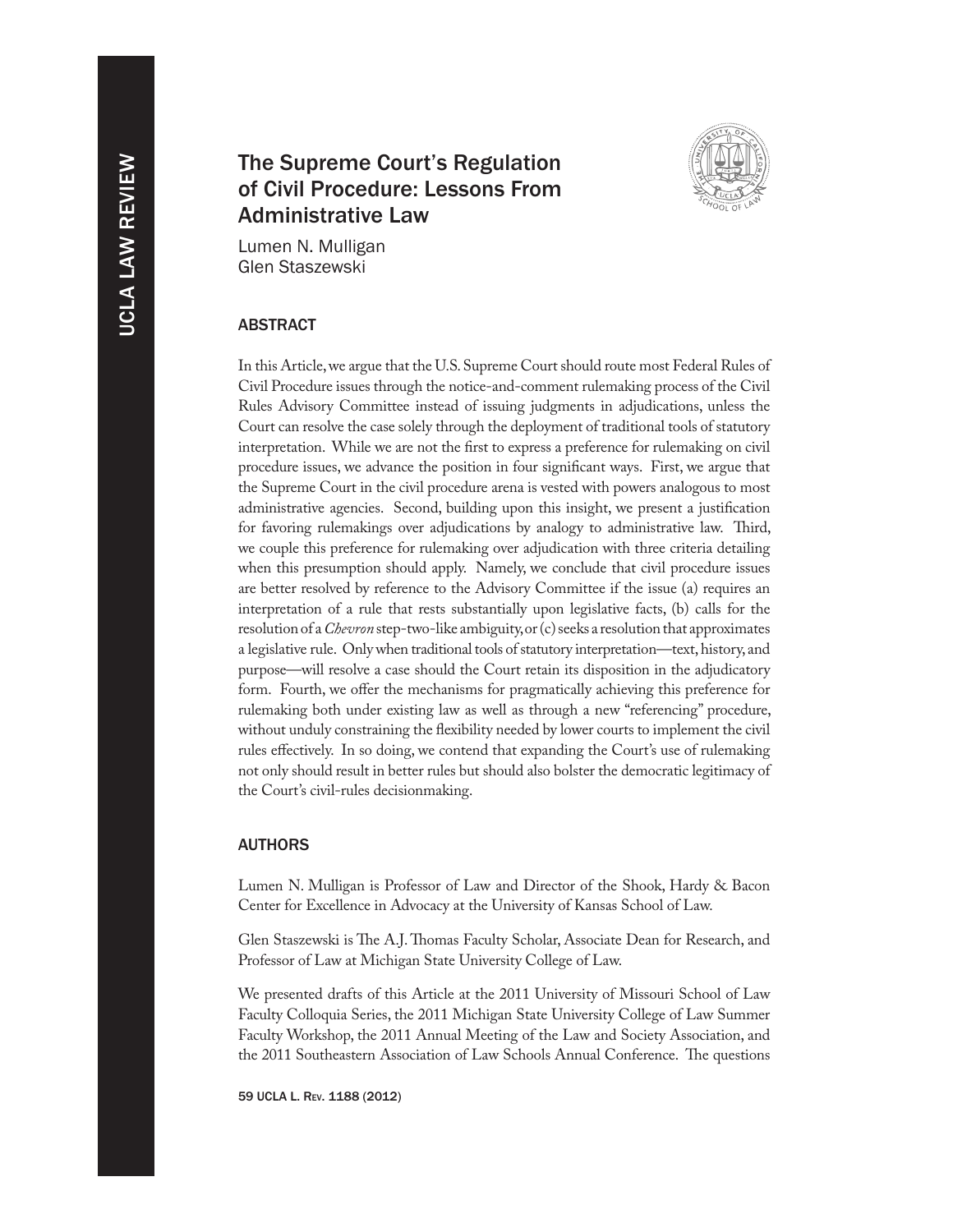# The Supreme Court's Regulation of Civil Procedure: Lessons From Administrative Law



Lumen N. Mulligan Glen Staszewski

# **ABSTRACT**

In this Article, we argue that the U.S. Supreme Court should route most Federal Rules of Civil Procedure issues through the notice-and-comment rulemaking process of the Civil Rules Advisory Committee instead of issuing judgments in adjudications, unless the Court can resolve the case solely through the deployment of traditional tools of statutory interpretation. While we are not the first to express a preference for rulemaking on civil procedure issues, we advance the position in four significant ways. First, we argue that the Supreme Court in the civil procedure arena is vested with powers analogous to most administrative agencies. Second, building upon this insight, we present a justification for favoring rulemakings over adjudications by analogy to administrative law. Third, we couple this preference for rulemaking over adjudication with three criteria detailing when this presumption should apply. Namely, we conclude that civil procedure issues are better resolved by reference to the Advisory Committee if the issue (a) requires an interpretation of a rule that rests substantially upon legislative facts, (b) calls for the resolution of a *Chevron* step-two-like ambiguity, or (c) seeks a resolution that approximates a legislative rule. Only when traditional tools of statutory interpretation—text, history, and purpose—will resolve a case should the Court retain its disposition in the adjudicatory form. Fourth, we offer the mechanisms for pragmatically achieving this preference for rulemaking both under existing law as well as through a new "referencing" procedure, without unduly constraining the flexibility needed by lower courts to implement the civil rules effectively. In so doing, we contend that expanding the Court's use of rulemaking not only should result in better rules but should also bolster the democratic legitimacy of the Court's civil-rules decisionmaking.

# AUTHORS

Lumen N. Mulligan is Professor of Law and Director of the Shook, Hardy & Bacon Center for Excellence in Advocacy at the University of Kansas School of Law.

Glen Staszewski is The A.J. Thomas Faculty Scholar, Associate Dean for Research, and Professor of Law at Michigan State University College of Law.

We presented drafts of this Article at the 2011 University of Missouri School of Law Faculty Colloquia Series, the 2011 Michigan State University College of Law Summer Faculty Workshop, the 2011 Annual Meeting of the Law and Society Association, and the 2011 Southeastern Association of Law Schools Annual Conference. The questions

59 UCLA L. Rev. 1188 (2012)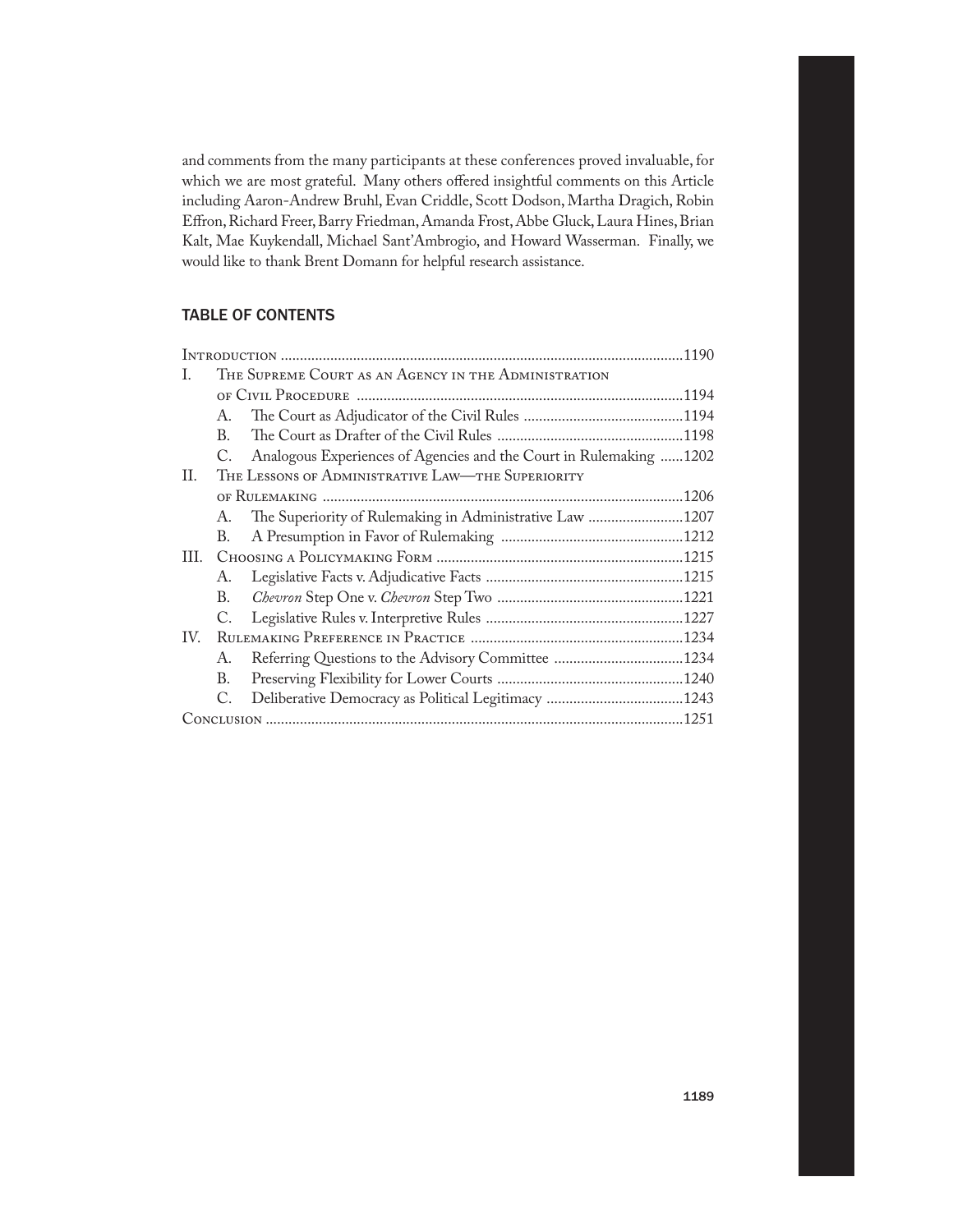and comments from the many participants at these conferences proved invaluable, for which we are most grateful. Many others offered insightful comments on this Article including Aaron-Andrew Bruhl, Evan Criddle, Scott Dodson, Martha Dragich, Robin Effron, Richard Freer, Barry Friedman, Amanda Frost, Abbe Gluck, Laura Hines, Brian Kalt, Mae Kuykendall, Michael Sant'Ambrogio, and Howard Wasserman. Finally, we would like to thank Brent Domann for helpful research assistance.

# TABLE OF CONTENTS

| L     | THE SUPREME COURT AS AN AGENCY IN THE ADMINISTRATION |                                                                    |  |
|-------|------------------------------------------------------|--------------------------------------------------------------------|--|
|       |                                                      |                                                                    |  |
|       | А.                                                   |                                                                    |  |
|       | В.                                                   |                                                                    |  |
|       | C.                                                   | Analogous Experiences of Agencies and the Court in Rulemaking 1202 |  |
| П.    | THE LESSONS OF ADMINISTRATIVE LAW—THE SUPERIORITY    |                                                                    |  |
|       |                                                      |                                                                    |  |
|       | A.                                                   | The Superiority of Rulemaking in Administrative Law 1207           |  |
|       | В.                                                   |                                                                    |  |
| Ш.    |                                                      |                                                                    |  |
|       | А.                                                   |                                                                    |  |
|       | В.                                                   |                                                                    |  |
|       | C.                                                   |                                                                    |  |
| IV.   |                                                      |                                                                    |  |
|       | А.                                                   |                                                                    |  |
|       | В.                                                   |                                                                    |  |
|       | C.                                                   |                                                                    |  |
| .1251 |                                                      |                                                                    |  |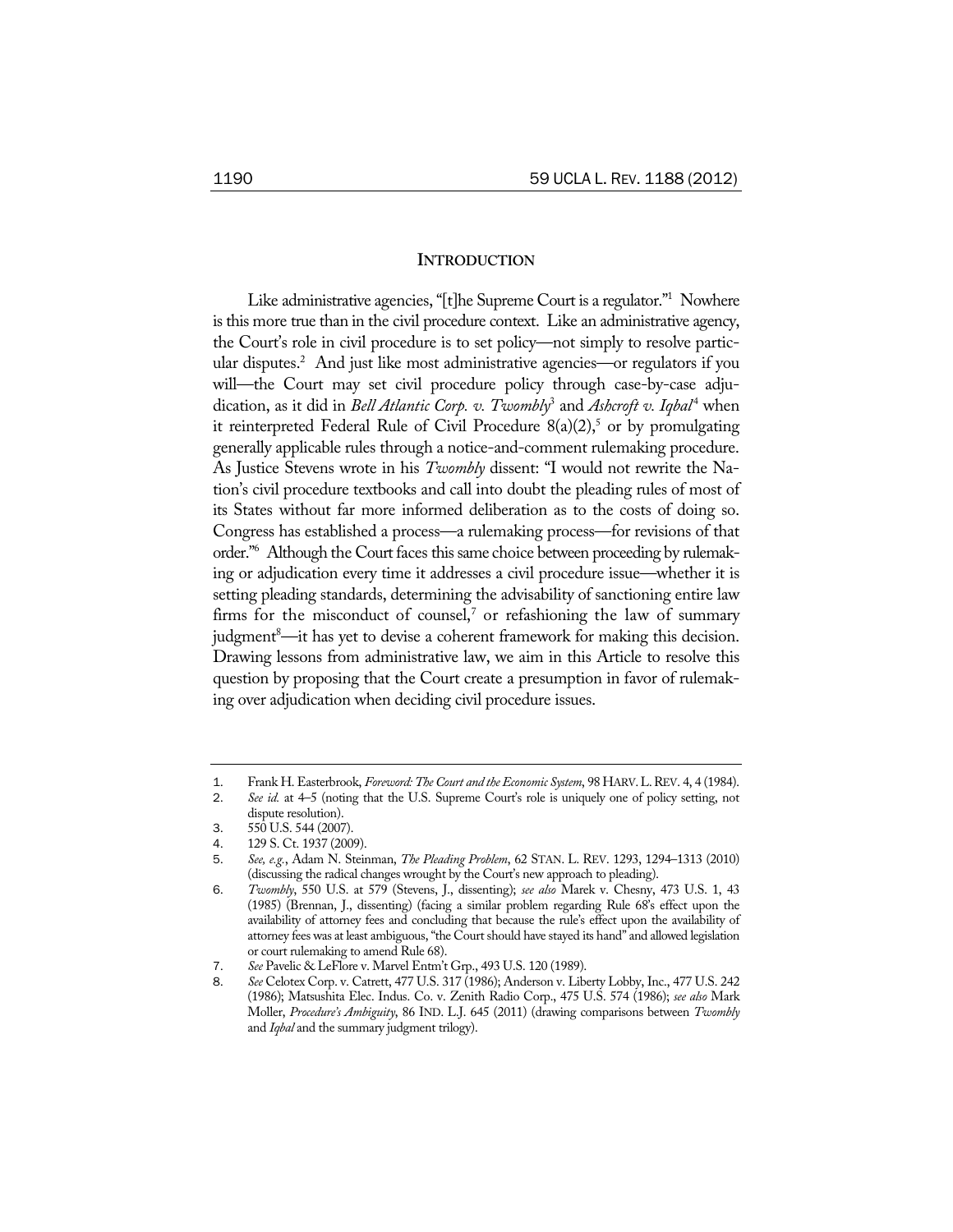## **INTRODUCTION**

Like administrative agencies, "[t]he Supreme Court is a regulator."<sup>1</sup> Nowhere is this more true than in the civil procedure context. Like an administrative agency, the Court's role in civil procedure is to set policy—not simply to resolve particular disputes.<sup>2</sup> And just like most administrative agencies—or regulators if you will—the Court may set civil procedure policy through case-by-case adjudication, as it did in *Bell Atlantic Corp. v. Twombly<sup>3</sup>* and *Ashcroft v. Iqbal<sup>4</sup> when* it reinterpreted Federal Rule of Civil Procedure  $8(a)(2)$ ,<sup>5</sup> or by promulgating generally applicable rules through a notice-and-comment rulemaking procedure. As Justice Stevens wrote in his *Twombly* dissent: "I would not rewrite the Nation's civil procedure textbooks and call into doubt the pleading rules of most of its States without far more informed deliberation as to the costs of doing so. Congress has established a process—a rulemaking process—for revisions of that order."6 Although the Court faces this same choice between proceeding by rulemaking or adjudication every time it addresses a civil procedure issue—whether it is setting pleading standards, determining the advisability of sanctioning entire law firms for the misconduct of counsel, $^7$  or refashioning the law of summary judgment<sup>8</sup>—it has yet to devise a coherent framework for making this decision. Drawing lessons from administrative law, we aim in this Article to resolve this question by proposing that the Court create a presumption in favor of rulemaking over adjudication when deciding civil procedure issues.

<sup>1.</sup> Frank H. Easterbrook, *Foreword: The Court and the Economic System*, 98 HARV. L. REV. 4, 4 (1984).<br>2. See id. at 4–5 (noting that the U.S. Supreme Court's role is uniquely one of policy setting, not

<sup>2</sup>. *See id.* at 4–5 (noting that the U.S. Supreme Court's role is uniquely one of policy setting, not dispute resolution).

<sup>3</sup>. 550 U.S. 544 (2007).

<sup>4</sup>. 129 S. Ct. 1937 (2009).

<sup>5</sup>. *See, e.g.*, Adam N. Steinman, *The Pleading Problem*, 62 STAN. L. REV. 1293, 1294–1313 (2010) (discussing the radical changes wrought by the Court's new approach to pleading).

<sup>6</sup>. *Twombly*, 550 U.S. at 579 (Stevens, J., dissenting); *see also* Marek v. Chesny, 473 U.S. 1, 43 (1985) (Brennan, J., dissenting) (facing a similar problem regarding Rule 68's effect upon the availability of attorney fees and concluding that because the rule's effect upon the availability of attorney fees was at least ambiguous, "the Court should have stayed its hand" and allowed legislation or court rulemaking to amend Rule 68).

<sup>7.</sup> *See* Pavelic & LeFlore v. Marvel Entm't Grp., 493 U.S. 120 (1989).<br>8. *See* Celotex Corp. v. Catrett. 477 U.S. 317 (1986): Anderson v. Libe

<sup>8</sup>. *See* Celotex Corp. v. Catrett, 477 U.S. 317 (1986); Anderson v. Liberty Lobby, Inc., 477 U.S. 242 (1986); Matsushita Elec. Indus. Co. v. Zenith Radio Corp., 475 U.S. 574 (1986); *see also* Mark Moller, *Procedure's Ambiguity*, 86 IND. L.J. 645 (2011) (drawing comparisons between *Twombly* and *Iqbal* and the summary judgment trilogy).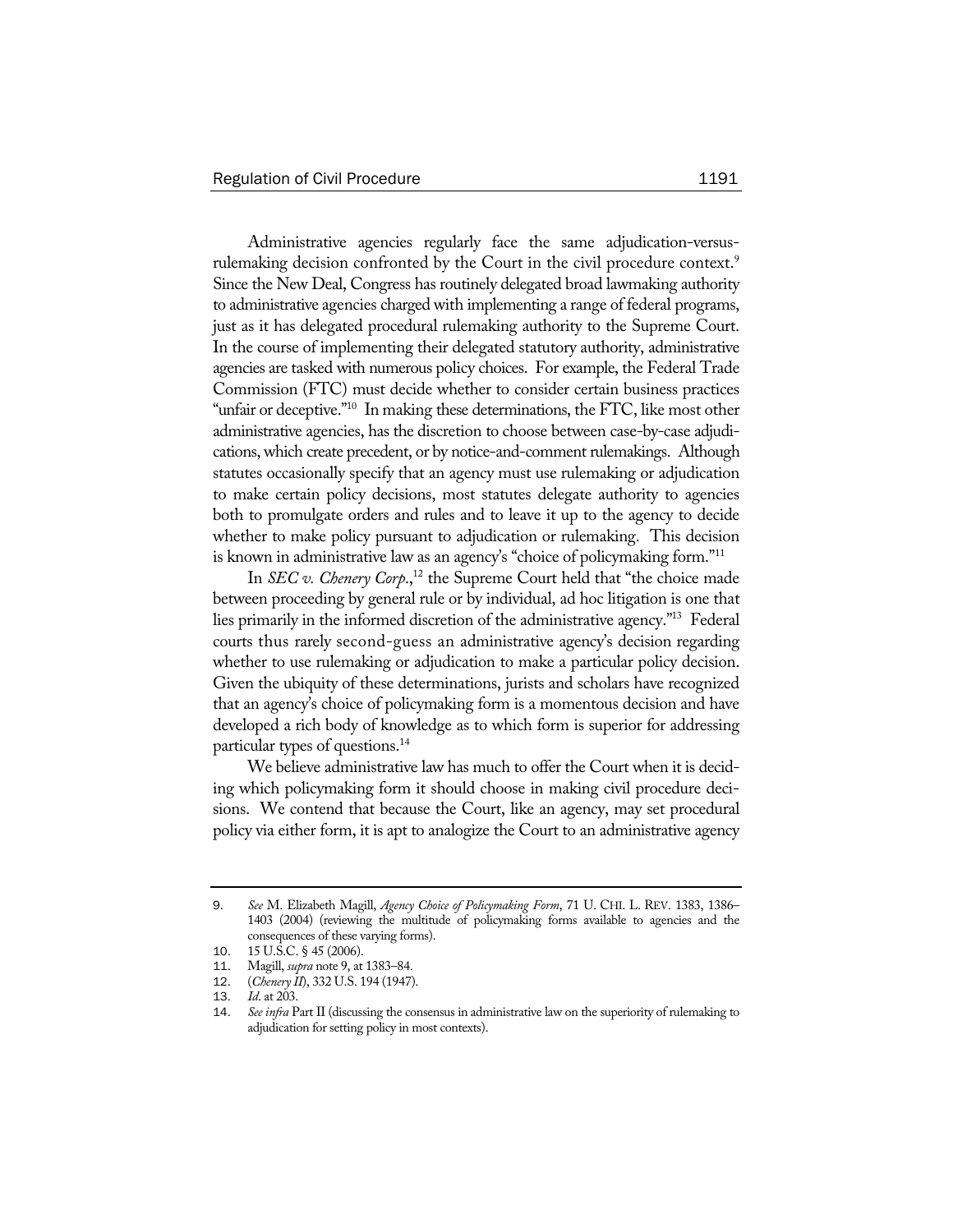Administrative agencies regularly face the same adjudication-versusrulemaking decision confronted by the Court in the civil procedure context.<sup>9</sup> Since the New Deal, Congress has routinely delegated broad lawmaking authority to administrative agencies charged with implementing a range of federal programs, just as it has delegated procedural rulemaking authority to the Supreme Court. In the course of implementing their delegated statutory authority, administrative agencies are tasked with numerous policy choices. For example, the Federal Trade Commission (FTC) must decide whether to consider certain business practices "unfair or deceptive."<sup>10</sup> In making these determinations, the FTC, like most other administrative agencies, has the discretion to choose between case-by-case adjudications, which create precedent, or by notice-and-comment rulemakings. Although statutes occasionally specify that an agency must use rulemaking or adjudication to make certain policy decisions, most statutes delegate authority to agencies both to promulgate orders and rules and to leave it up to the agency to decide whether to make policy pursuant to adjudication or rulemaking. This decision is known in administrative law as an agency's "choice of policymaking form."11

In *SEC v. Chenery Corp*.,<sup>12</sup> the Supreme Court held that "the choice made between proceeding by general rule or by individual, ad hoc litigation is one that lies primarily in the informed discretion of the administrative agency."13 Federal courts thus rarely second-guess an administrative agency's decision regarding whether to use rulemaking or adjudication to make a particular policy decision. Given the ubiquity of these determinations, jurists and scholars have recognized that an agency's choice of policymaking form is a momentous decision and have developed a rich body of knowledge as to which form is superior for addressing particular types of questions.14

We believe administrative law has much to offer the Court when it is deciding which policymaking form it should choose in making civil procedure decisions. We contend that because the Court, like an agency, may set procedural policy via either form, it is apt to analogize the Court to an administrative agency

<sup>9</sup>. *See* M. Elizabeth Magill, *Agency Choice of Policymaking Form*, 71 U. CHI. L. REV. 1383, 1386– 1403 (2004) (reviewing the multitude of policymaking forms available to agencies and the consequences of these varying forms).

<sup>10</sup>. 15 U.S.C. § 45 (2006).

<sup>11</sup>. Magill, *supra* note 9, at 1383–84.

<sup>12</sup>. (*Chenery II*), 332 U.S. 194 (1947).

<sup>13</sup>. *Id*. at 203.

<sup>14</sup>. *See infra* Part II (discussing the consensus in administrative law on the superiority of rulemaking to adjudication for setting policy in most contexts).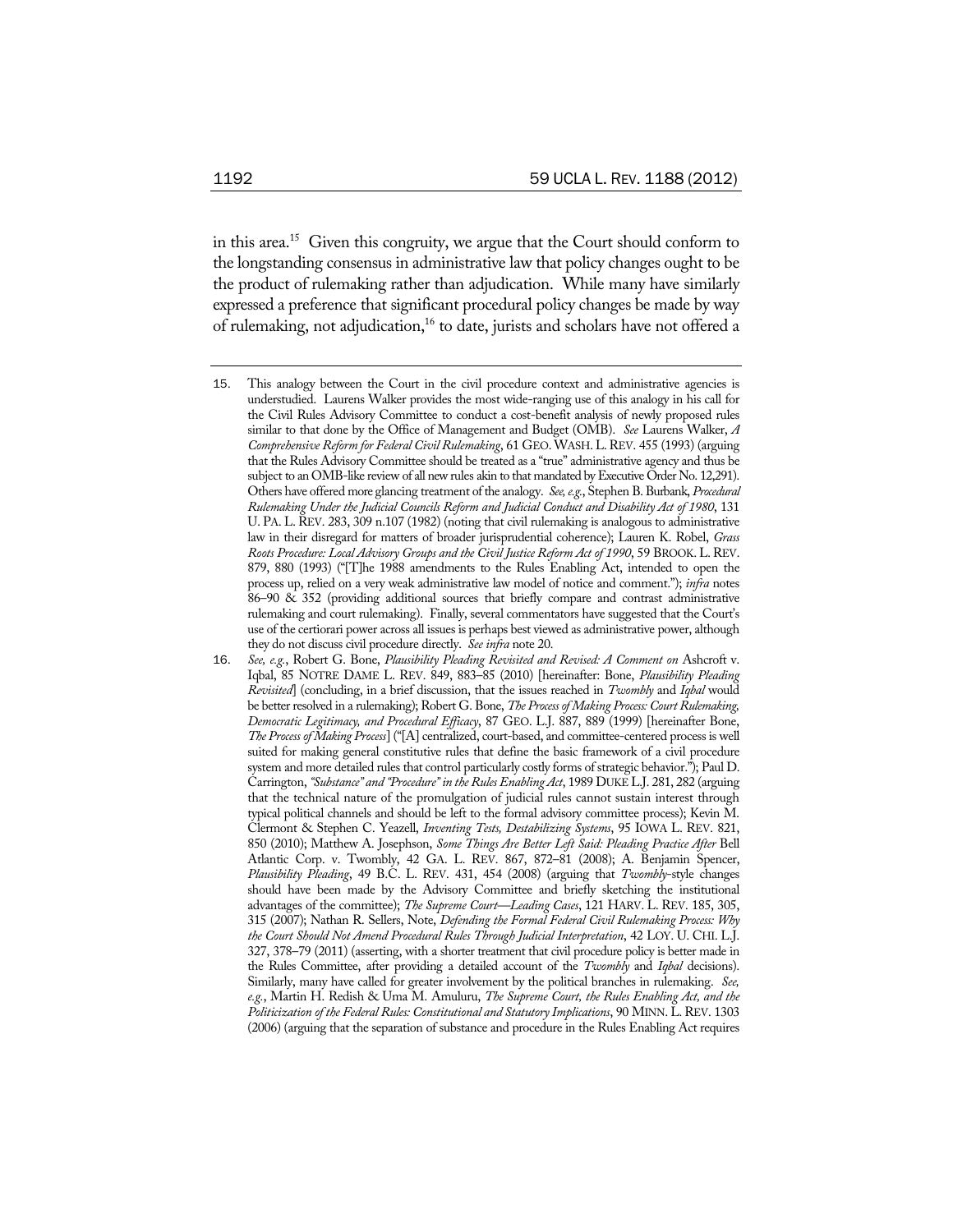in this area.<sup>15</sup> Given this congruity, we argue that the Court should conform to the longstanding consensus in administrative law that policy changes ought to be the product of rulemaking rather than adjudication. While many have similarly expressed a preference that significant procedural policy changes be made by way of rulemaking, not adjudication,<sup>16</sup> to date, jurists and scholars have not offered a

<sup>15</sup>. This analogy between the Court in the civil procedure context and administrative agencies is understudied. Laurens Walker provides the most wide-ranging use of this analogy in his call for the Civil Rules Advisory Committee to conduct a cost-benefit analysis of newly proposed rules similar to that done by the Office of Management and Budget (OMB). *See* Laurens Walker, *A Comprehensive Reform for Federal Civil Rulemaking*, 61 GEO.WASH.L.REV. 455 (1993) (arguing that the Rules Advisory Committee should be treated as a "true" administrative agency and thus be subject to an OMB-like review of all new rules akin to that mandated by Executive Order No. 12,291). Others have offered more glancing treatment of the analogy. *See, e.g.*, Stephen B. Burbank, *Procedural Rulemaking Under the Judicial Councils Reform and Judicial Conduct and Disability Act of 1980*, 131 U. PA. L. REV. 283, 309 n.107 (1982) (noting that civil rulemaking is analogous to administrative law in their disregard for matters of broader jurisprudential coherence); Lauren K. Robel, *Grass Roots Procedure: Local Advisory Groups and the Civil Justice Reform Act of 1990*, 59 BROOK.L.REV. 879, 880 (1993) ("[T]he 1988 amendments to the Rules Enabling Act, intended to open the process up, relied on a very weak administrative law model of notice and comment."); *infra* notes 86–90 & 352 (providing additional sources that briefly compare and contrast administrative rulemaking and court rulemaking). Finally, several commentators have suggested that the Court's use of the certiorari power across all issues is perhaps best viewed as administrative power, although they do not discuss civil procedure directly. *See infra* note 20.

<sup>16</sup>. *See, e.g.*, Robert G. Bone, *Plausibility Pleading Revisited and Revised: A Comment on* Ashcroft v. Iqbal, 85 NOTRE DAME L. REV. 849, 883–85 (2010) [hereinafter: Bone, *Plausibility Pleading Revisited*] (concluding, in a brief discussion, that the issues reached in *Twombly* and *Iqbal* would be better resolved in a rulemaking); Robert G. Bone, *The Process of Making Process: Court Rulemaking, Democratic Legitimacy, and Procedural Efficacy*, 87 GEO. L.J. 887, 889 (1999) [hereinafter Bone, *The Process of Making Process*] ("[A] centralized, court-based, and committee-centered process is well suited for making general constitutive rules that define the basic framework of a civil procedure system and more detailed rules that control particularly costly forms of strategic behavior."); Paul D. Carrington, *"Substance" and "Procedure" in the Rules Enabling Act*, 1989 DUKE L.J. 281, 282 (arguing that the technical nature of the promulgation of judicial rules cannot sustain interest through typical political channels and should be left to the formal advisory committee process); Kevin M. Clermont & Stephen C. Yeazell, *Inventing Tests, Destabilizing Systems*, 95 IOWA L. REV. 821, 850 (2010); Matthew A. Josephson, *Some Things Are Better Left Said: Pleading Practice After* Bell Atlantic Corp. v. Twombly, 42 GA. L. REV. 867, 872–81 (2008); A. Benjamin Spencer, *Plausibility Pleading*, 49 B.C. L. REV. 431, 454 (2008) (arguing that *Twombly*-style changes should have been made by the Advisory Committee and briefly sketching the institutional advantages of the committee); *The Supreme Court—Leading Cases*, 121 HARV. L. REV. 185, 305, 315 (2007); Nathan R. Sellers, Note, *Defending the Formal Federal Civil Rulemaking Process: Why the Court Should Not Amend Procedural Rules Through Judicial Interpretation*, 42 LOY. U. CHI. L.J. 327, 378–79 (2011) (asserting, with a shorter treatment that civil procedure policy is better made in the Rules Committee, after providing a detailed account of the *Twombly* and *Iqbal* decisions). Similarly, many have called for greater involvement by the political branches in rulemaking. *See, e.g.*, Martin H. Redish & Uma M. Amuluru, *The Supreme Court, the Rules Enabling Act, and the Politicization of the Federal Rules: Constitutional and Statutory Implications*, 90 MINN. L.REV. 1303 (2006) (arguing that the separation of substance and procedure in the Rules Enabling Act requires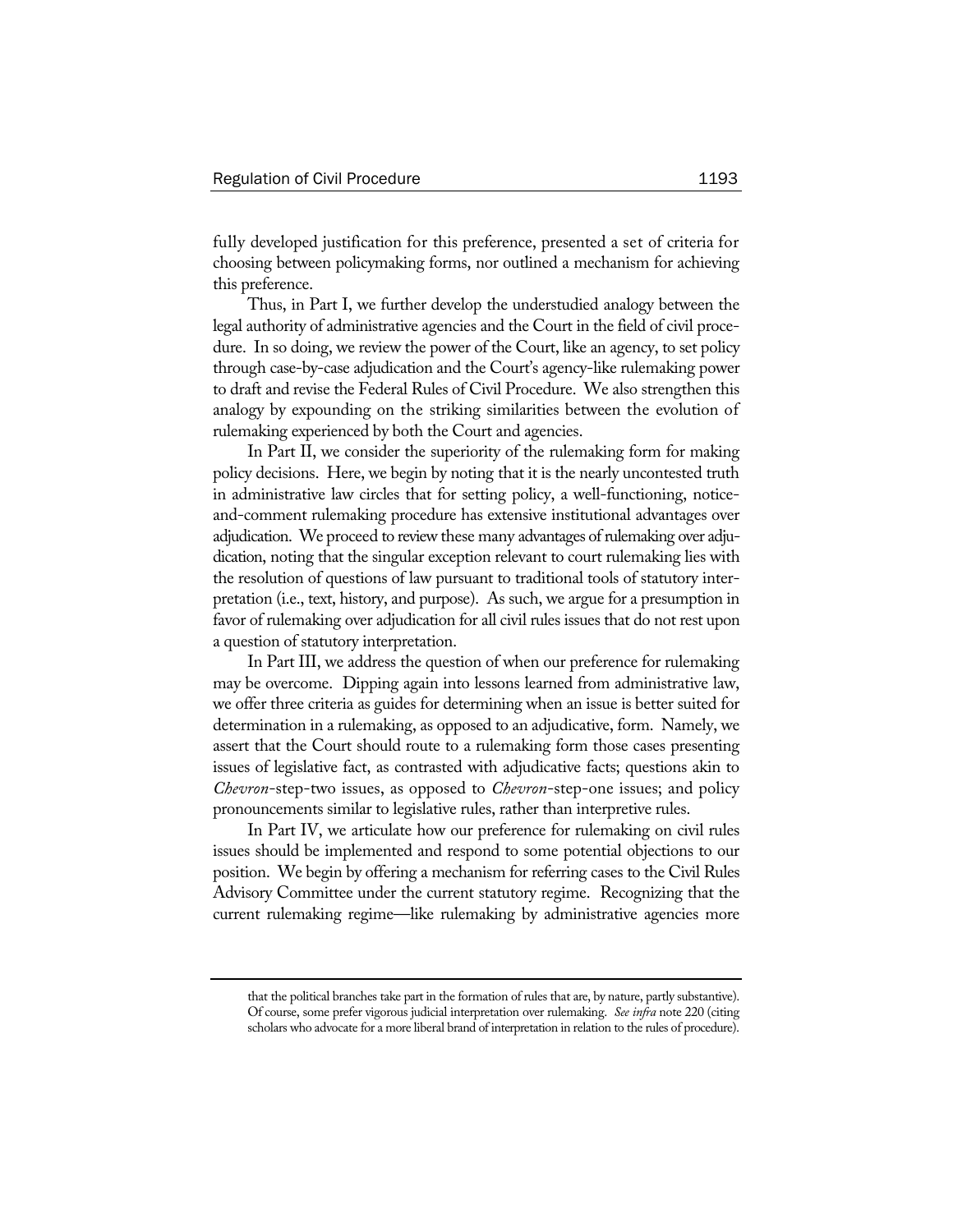fully developed justification for this preference, presented a set of criteria for choosing between policymaking forms, nor outlined a mechanism for achieving this preference.

Thus, in Part I, we further develop the understudied analogy between the legal authority of administrative agencies and the Court in the field of civil procedure. In so doing, we review the power of the Court, like an agency, to set policy through case-by-case adjudication and the Court's agency-like rulemaking power to draft and revise the Federal Rules of Civil Procedure. We also strengthen this analogy by expounding on the striking similarities between the evolution of rulemaking experienced by both the Court and agencies.

In Part II, we consider the superiority of the rulemaking form for making policy decisions. Here, we begin by noting that it is the nearly uncontested truth in administrative law circles that for setting policy, a well-functioning, noticeand-comment rulemaking procedure has extensive institutional advantages over adjudication. We proceed to review these many advantages of rulemaking over adjudication, noting that the singular exception relevant to court rulemaking lies with the resolution of questions of law pursuant to traditional tools of statutory interpretation (i.e., text, history, and purpose). As such, we argue for a presumption in favor of rulemaking over adjudication for all civil rules issues that do not rest upon a question of statutory interpretation.

In Part III, we address the question of when our preference for rulemaking may be overcome. Dipping again into lessons learned from administrative law, we offer three criteria as guides for determining when an issue is better suited for determination in a rulemaking, as opposed to an adjudicative, form. Namely, we assert that the Court should route to a rulemaking form those cases presenting issues of legislative fact, as contrasted with adjudicative facts; questions akin to *Chevron*-step-two issues, as opposed to *Chevron*-step-one issues; and policy pronouncements similar to legislative rules, rather than interpretive rules.

In Part IV, we articulate how our preference for rulemaking on civil rules issues should be implemented and respond to some potential objections to our position. We begin by offering a mechanism for referring cases to the Civil Rules Advisory Committee under the current statutory regime. Recognizing that the current rulemaking regime—like rulemaking by administrative agencies more

that the political branches take part in the formation of rules that are, by nature, partly substantive). Of course, some prefer vigorous judicial interpretation over rulemaking. *See infra* note 220 (citing scholars who advocate for a more liberal brand of interpretation in relation to the rules of procedure).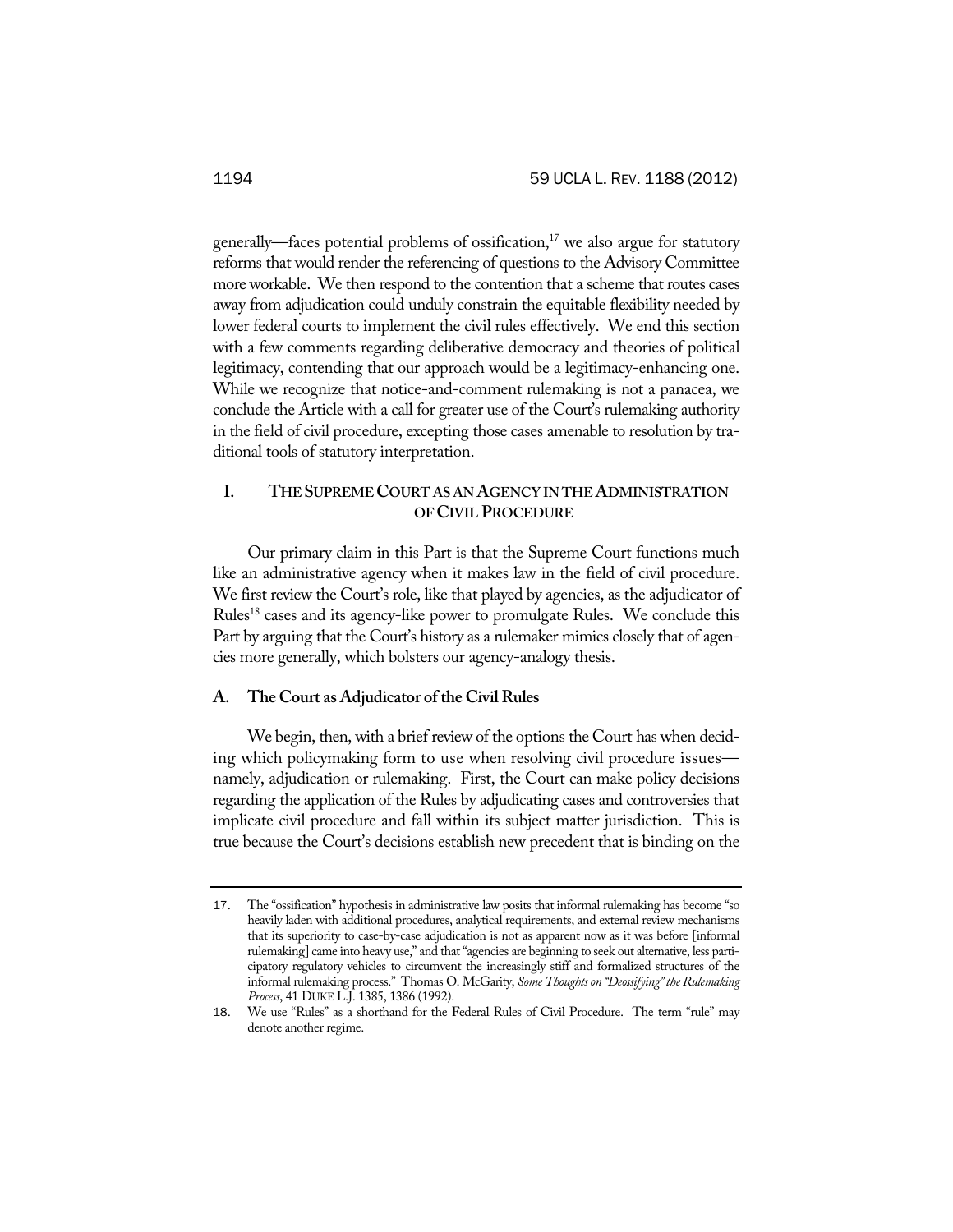generally—faces potential problems of ossification, $17$  we also argue for statutory reforms that would render the referencing of questions to the Advisory Committee more workable. We then respond to the contention that a scheme that routes cases away from adjudication could unduly constrain the equitable flexibility needed by lower federal courts to implement the civil rules effectively. We end this section with a few comments regarding deliberative democracy and theories of political legitimacy, contending that our approach would be a legitimacy-enhancing one. While we recognize that notice-and-comment rulemaking is not a panacea, we conclude the Article with a call for greater use of the Court's rulemaking authority in the field of civil procedure, excepting those cases amenable to resolution by traditional tools of statutory interpretation.

# **I. THE SUPREME COURT AS AN AGENCY IN THE ADMINISTRATION OF CIVIL PROCEDURE**

Our primary claim in this Part is that the Supreme Court functions much like an administrative agency when it makes law in the field of civil procedure. We first review the Court's role, like that played by agencies, as the adjudicator of Rules<sup>18</sup> cases and its agency-like power to promulgate Rules. We conclude this Part by arguing that the Court's history as a rulemaker mimics closely that of agencies more generally, which bolsters our agency-analogy thesis.

## **A. The Court as Adjudicator of the Civil Rules**

We begin, then, with a brief review of the options the Court has when deciding which policymaking form to use when resolving civil procedure issues namely, adjudication or rulemaking. First, the Court can make policy decisions regarding the application of the Rules by adjudicating cases and controversies that implicate civil procedure and fall within its subject matter jurisdiction. This is true because the Court's decisions establish new precedent that is binding on the

<sup>17</sup>. The "ossification" hypothesis in administrative law posits that informal rulemaking has become "so heavily laden with additional procedures, analytical requirements, and external review mechanisms that its superiority to case-by-case adjudication is not as apparent now as it was before [informal rulemaking] came into heavy use," and that "agencies are beginning to seek out alternative, less participatory regulatory vehicles to circumvent the increasingly stiff and formalized structures of the informal rulemaking process." Thomas O. McGarity, *Some Thoughts on "Deossifying" the Rulemaking Process*, 41 DUKE L.J. 1385, 1386 (1992).

<sup>18</sup>. We use "Rules" as a shorthand for the Federal Rules of Civil Procedure. The term "rule" may denote another regime.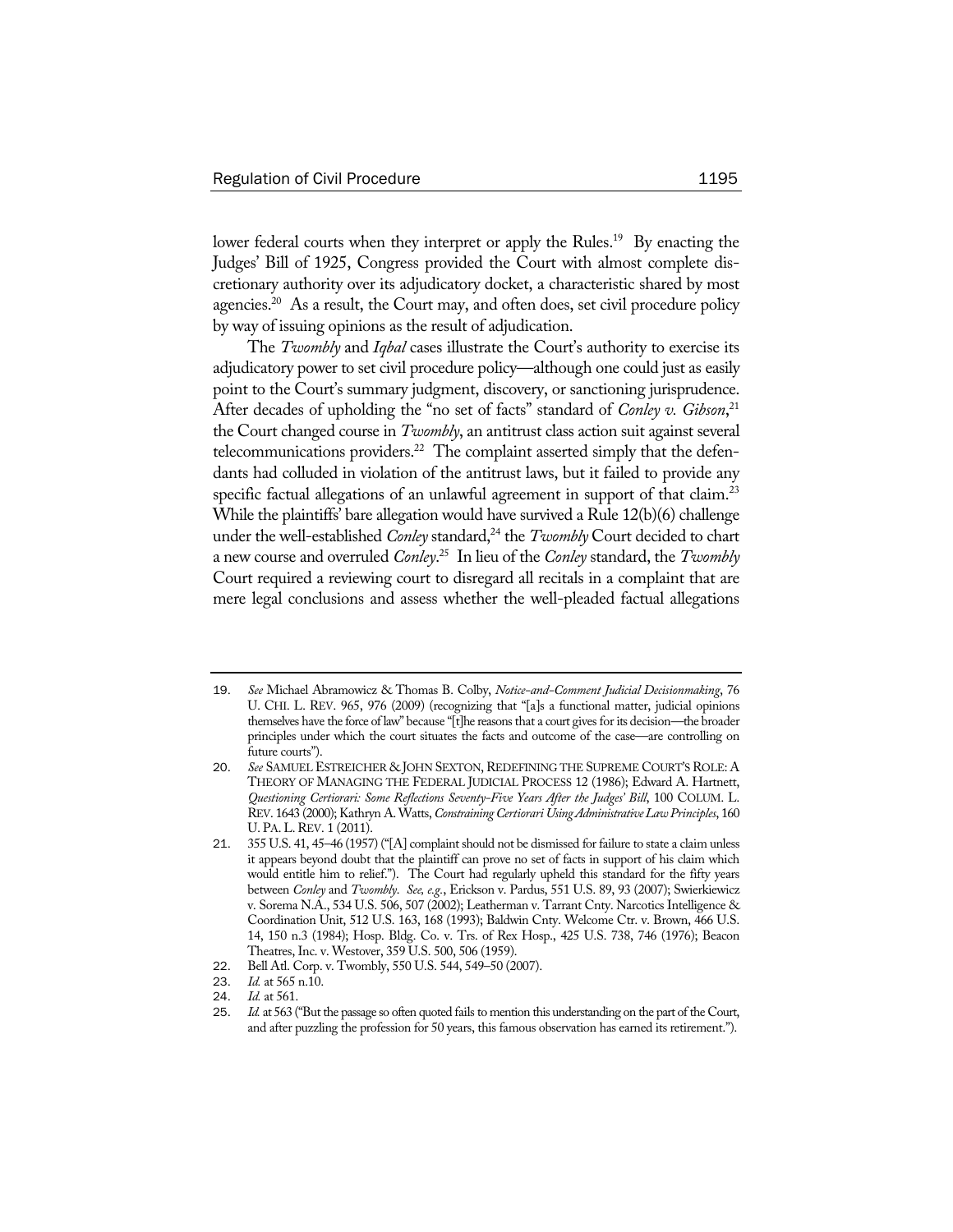lower federal courts when they interpret or apply the Rules.<sup>19</sup> By enacting the Judges' Bill of 1925, Congress provided the Court with almost complete discretionary authority over its adjudicatory docket, a characteristic shared by most agencies.<sup>20</sup> As a result, the Court may, and often does, set civil procedure policy by way of issuing opinions as the result of adjudication.

The *Twombly* and *Iqbal* cases illustrate the Court's authority to exercise its adjudicatory power to set civil procedure policy—although one could just as easily point to the Court's summary judgment, discovery, or sanctioning jurisprudence. After decades of upholding the "no set of facts" standard of *Conley v. Gibson*, 21 the Court changed course in *Twombly*, an antitrust class action suit against several telecommunications providers.<sup>22</sup> The complaint asserted simply that the defendants had colluded in violation of the antitrust laws, but it failed to provide any specific factual allegations of an unlawful agreement in support of that claim.<sup>23</sup> While the plaintiffs' bare allegation would have survived a Rule 12(b)(6) challenge under the well-established *Conley* standard,<sup>24</sup> the *Twombly* Court decided to chart a new course and overruled *Conley*. 25 In lieu of the *Conley* standard, the *Twombly* Court required a reviewing court to disregard all recitals in a complaint that are mere legal conclusions and assess whether the well-pleaded factual allegations

<sup>19</sup>. *See* Michael Abramowicz & Thomas B. Colby, *Notice-and-Comment Judicial Decisionmaking*, 76 U. CHI. L. REV. 965, 976 (2009) (recognizing that "[a]s a functional matter, judicial opinions themselves have the force of law" because "[t]he reasons that a court gives for its decision—the broader principles under which the court situates the facts and outcome of the case—are controlling on future courts").

<sup>20</sup>. *See* SAMUEL ESTREICHER & JOHN SEXTON,REDEFINING THE SUPREME COURT'S ROLE: A THEORY OF MANAGING THE FEDERAL JUDICIAL PROCESS 12 (1986); Edward A. Hartnett, *Questioning Certiorari: Some Reflections Seventy-Five Years After the Judges' Bill*, 100 COLUM. L. REV. 1643 (2000); Kathryn A. Watts, *Constraining Certiorari Using Administrative Law Principles*, 160 U. PA.L.REV. 1 (2011).

<sup>21</sup>. 355 U.S. 41, 45–46 (1957) ("[A] complaint should not be dismissed for failure to state a claim unless it appears beyond doubt that the plaintiff can prove no set of facts in support of his claim which would entitle him to relief."). The Court had regularly upheld this standard for the fifty years between *Conley* and *Twombly*. *See, e.g.*, Erickson v. Pardus, 551 U.S. 89, 93 (2007); Swierkiewicz v. Sorema N.A., 534 U.S. 506, 507 (2002); Leatherman v. Tarrant Cnty. Narcotics Intelligence & Coordination Unit, 512 U.S. 163, 168 (1993); Baldwin Cnty. Welcome Ctr. v. Brown, 466 U.S. 14, 150 n.3 (1984); Hosp. Bldg. Co. v. Trs. of Rex Hosp., 425 U.S. 738, 746 (1976); Beacon Theatres, Inc. v. Westover, 359 U.S. 500, 506 (1959).

<sup>22</sup>. Bell Atl. Corp. v. Twombly, 550 U.S. 544, 549–50 (2007).

<sup>23</sup>. *Id.* at 565 n.10.

<sup>24</sup>. *Id.* at 561.

<sup>25</sup>. *Id.* at 563 ("But the passage so often quoted fails to mention this understanding on the part of the Court, and after puzzling the profession for 50 years, this famous observation has earned its retirement.").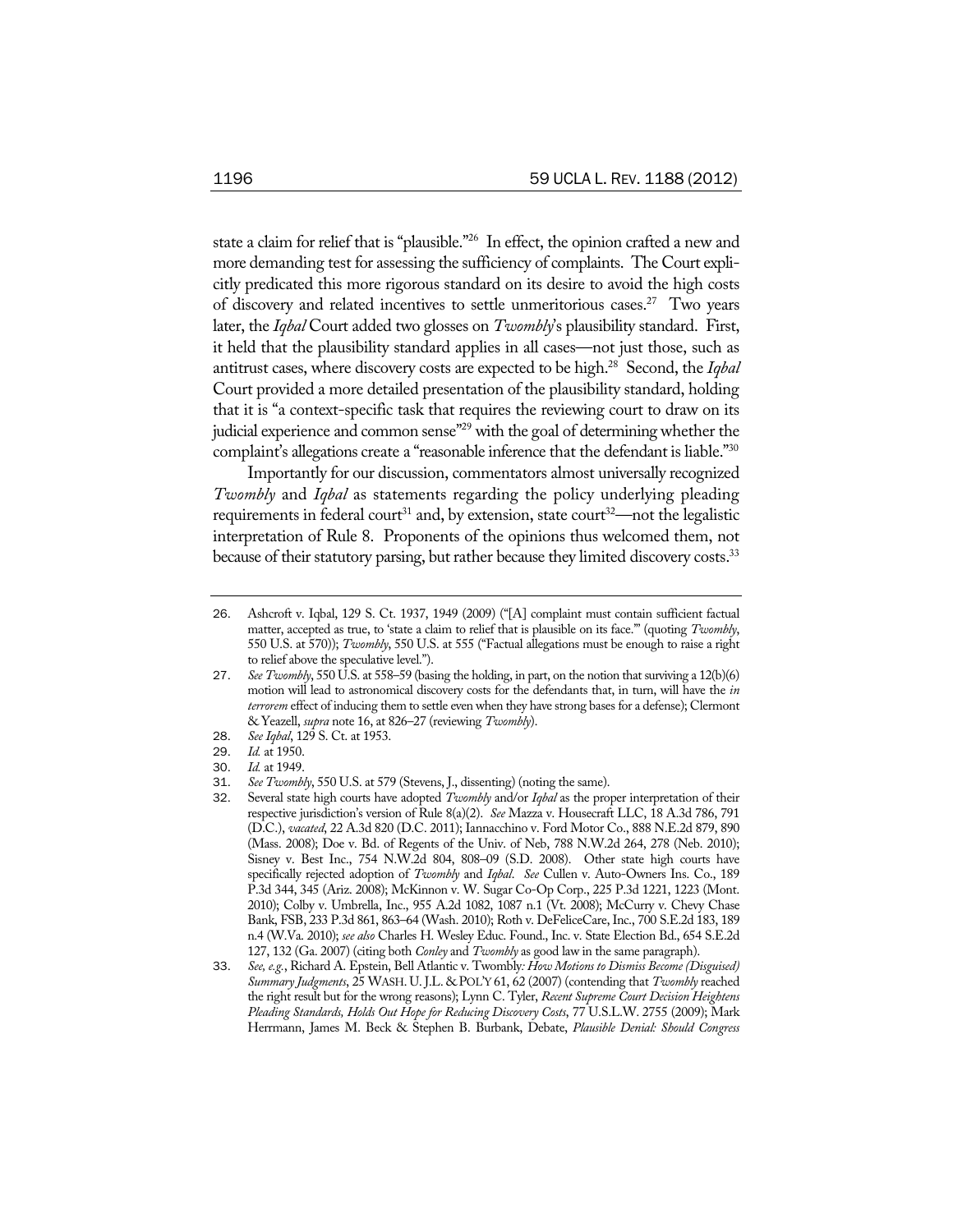state a claim for relief that is "plausible."<sup>26</sup> In effect, the opinion crafted a new and more demanding test for assessing the sufficiency of complaints. The Court explicitly predicated this more rigorous standard on its desire to avoid the high costs of discovery and related incentives to settle unmeritorious cases.<sup>27</sup> Two years later, the *Iqbal* Court added two glosses on *Twombly*'s plausibility standard. First, it held that the plausibility standard applies in all cases—not just those, such as antitrust cases, where discovery costs are expected to be high.28 Second, the *Iqbal* Court provided a more detailed presentation of the plausibility standard, holding that it is "a context-specific task that requires the reviewing court to draw on its judicial experience and common sense"<sup>29</sup> with the goal of determining whether the complaint's allegations create a "reasonable inference that the defendant is liable."<sup>30</sup>

Importantly for our discussion, commentators almost universally recognized *Twombly* and *Iqbal* as statements regarding the policy underlying pleading requirements in federal court<sup>31</sup> and, by extension, state court<sup>32</sup>—not the legalistic interpretation of Rule 8. Proponents of the opinions thus welcomed them, not because of their statutory parsing, but rather because they limited discovery costs.<sup>33</sup>

<sup>26</sup>. Ashcroft v. Iqbal, 129 S. Ct. 1937, 1949 (2009) ("[A] complaint must contain sufficient factual matter, accepted as true, to 'state a claim to relief that is plausible on its face.'" (quoting *Twombly*, 550 U.S. at 570)); *Twombly*, 550 U.S. at 555 ("Factual allegations must be enough to raise a right to relief above the speculative level.").

<sup>27</sup>. *See Twombly*, 550 U.S. at 558–59 (basing the holding, in part, on the notion that surviving a 12(b)(6) motion will lead to astronomical discovery costs for the defendants that, in turn, will have the *in terrorem* effect of inducing them to settle even when they have strong bases for a defense); Clermont & Yeazell, *supra* note 16, at 826–27 (reviewing *Twombly*).

<sup>28</sup>. *See Iqbal*, 129 S. Ct. at 1953.

<sup>29</sup>. *Id.* at 1950.

Id. at 1949.

<sup>31</sup>. *See Twombly*, 550 U.S. at 579 (Stevens, J., dissenting) (noting the same).

Several state high courts have adopted *Twombly* and/or *Iqbal* as the proper interpretation of their respective jurisdiction's version of Rule 8(a)(2). *See* Mazza v. Housecraft LLC, 18 A.3d 786, 791 (D.C.), *vacated*, 22 A.3d 820 (D.C. 2011); Iannacchino v. Ford Motor Co., 888 N.E.2d 879, 890 (Mass. 2008); Doe v. Bd. of Regents of the Univ. of Neb, 788 N.W.2d 264, 278 (Neb. 2010); Sisney v. Best Inc., 754 N.W.2d 804, 808–09 (S.D. 2008). Other state high courts have specifically rejected adoption of *Twombly* and *Iqbal*. *See* Cullen v. Auto-Owners Ins. Co., 189 P.3d 344, 345 (Ariz. 2008); McKinnon v. W. Sugar Co-Op Corp., 225 P.3d 1221, 1223 (Mont. 2010); Colby v. Umbrella, Inc., 955 A.2d 1082, 1087 n.1 (Vt. 2008); McCurry v. Chevy Chase Bank, FSB, 233 P.3d 861, 863–64 (Wash. 2010); Roth v. DeFeliceCare, Inc., 700 S.E.2d 183, 189 n.4 (W.Va. 2010); *see also* Charles H. Wesley Educ. Found., Inc. v. State Election Bd., 654 S.E.2d 127, 132 (Ga. 2007) (citing both *Conley* and *Twombly* as good law in the same paragraph).

<sup>33</sup>. *See, e.g.*, Richard A. Epstein, Bell Atlantic v. Twombly*: How Motions to Dismiss Become (Disguised) Summary Judgments*, 25 WASH. U. J.L. & POL'Y 61, 62 (2007) (contending that *Twombly* reached the right result but for the wrong reasons); Lynn C. Tyler, *Recent Supreme Court Decision Heightens Pleading Standards, Holds Out Hope for Reducing Discovery Costs*, 77 U.S.L.W. 2755 (2009); Mark Herrmann, James M. Beck & Stephen B. Burbank, Debate, *Plausible Denial: Should Congress*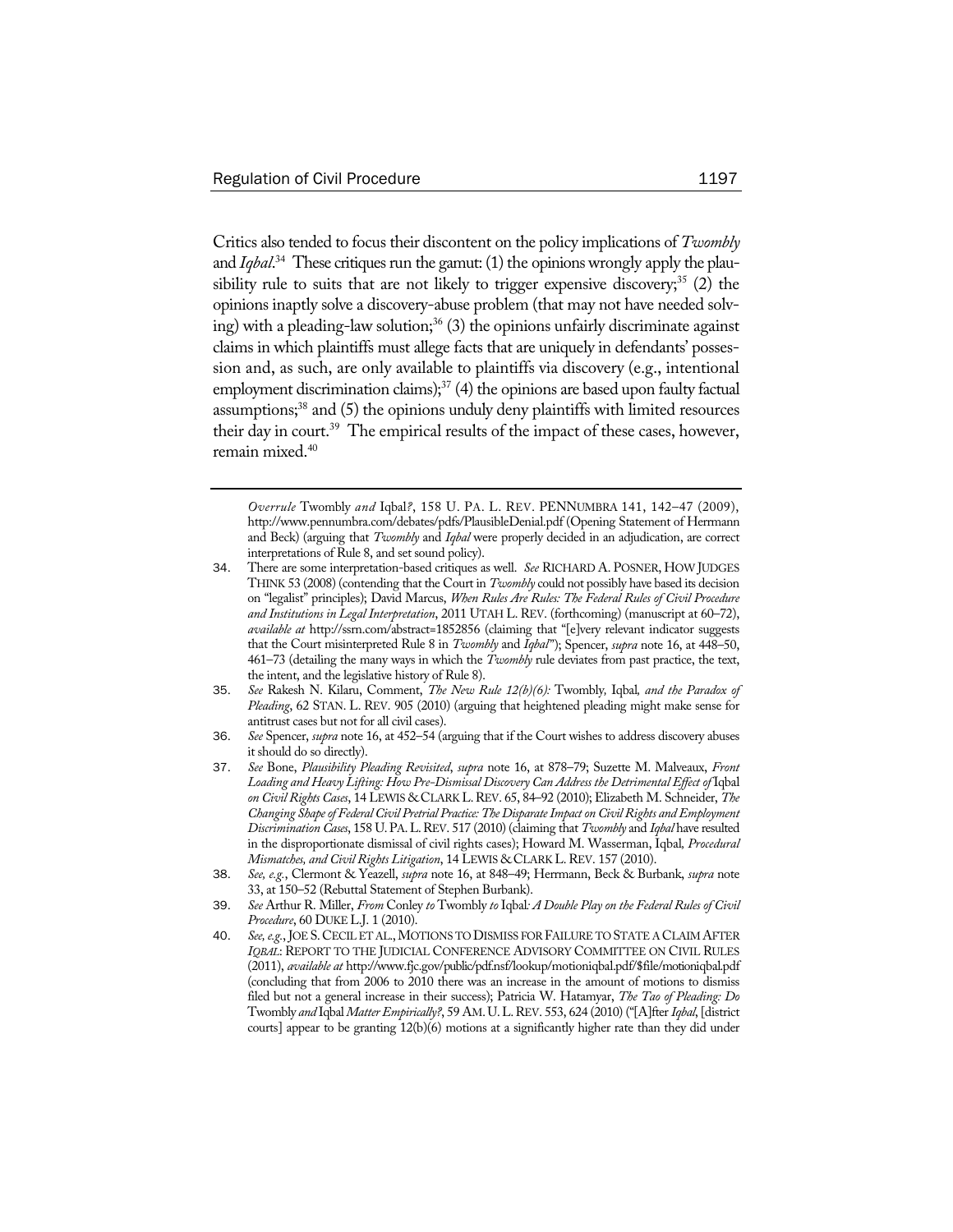Critics also tended to focus their discontent on the policy implications of *Twombly* and *Iqbal*. 34 These critiques run the gamut: (1) the opinions wrongly apply the plausibility rule to suits that are not likely to trigger expensive discovery;<sup>35</sup> (2) the opinions inaptly solve a discovery-abuse problem (that may not have needed solving) with a pleading-law solution;<sup>36</sup> (3) the opinions unfairly discriminate against claims in which plaintiffs must allege facts that are uniquely in defendants' possession and, as such, are only available to plaintiffs via discovery (e.g., intentional employment discrimination claims);<sup>37</sup> (4) the opinions are based upon faulty factual assumptions; $38$  and (5) the opinions unduly deny plaintiffs with limited resources their day in court.39 The empirical results of the impact of these cases, however, remain mixed.<sup>40</sup>

*Overrule* Twombly *and* Iqbal*?*, 158 U. PA. L. REV. PENNUMBRA 141, 142–47 (2009), http://www.pennumbra.com/debates/pdfs/PlausibleDenial.pdf (Opening Statement of Herrmann and Beck) (arguing that *Twombly* and *Iqbal* were properly decided in an adjudication, are correct interpretations of Rule 8, and set sound policy).

- 34. There are some interpretation-based critiques as well. *See* RICHARD A. POSNER, HOW JUDGES THINK 53 (2008) (contending that the Court in *Twombly* could not possibly have based its decision on "legalist" principles); David Marcus, *When Rules Are Rules: The Federal Rules of Civil Procedure and Institutions in Legal Interpretation*, 2011 UTAH L. REV. (forthcoming) (manuscript at 60–72), *available at* http://ssrn.com/abstract=1852856 (claiming that "[e]very relevant indicator suggests that the Court misinterpreted Rule 8 in *Twombly* and *Iqbal*"); Spencer, *supra* note 16, at 448–50, 461–73 (detailing the many ways in which the *Twombly* rule deviates from past practice, the text, the intent, and the legislative history of Rule 8).
- 35. *See* Rakesh N. Kilaru, Comment, *The New Rule 12(b)(6):* Twombly*,* Iqbal*, and the Paradox of Pleading*, 62 STAN. L. REV. 905 (2010) (arguing that heightened pleading might make sense for antitrust cases but not for all civil cases).
- 36. *See* Spencer, *supra* note 16, at 452–54 (arguing that if the Court wishes to address discovery abuses it should do so directly).
- 37. *See* Bone, *Plausibility Pleading Revisited*, *supra* note 16, at 878–79; Suzette M. Malveaux, *Front Loading and Heavy Lifting: How Pre-Dismissal Discovery Can Address the Detrimental Effect of* Iqbal *on Civil Rights Cases*, 14 LEWIS & CLARK L.REV. 65, 84–92 (2010); Elizabeth M. Schneider, *The Changing Shape of Federal Civil Pretrial Practice: The Disparate Impact on Civil Rights and Employment Discrimination Cases*, 158 U.PA.L.REV. 517 (2010) (claiming that *Twombly* and *Iqbal* have resulted in the disproportionate dismissal of civil rights cases); Howard M. Wasserman, Iqbal*, Procedural Mismatches, and Civil Rights Litigation, 14 LEWIS & CLARK L. REV. 157 (2010).*

<sup>38</sup>. *See, e.g.*, Clermont & Yeazell, *supra* note 16, at 848–49; Herrmann, Beck & Burbank, *supra* note 33, at 150–52 (Rebuttal Statement of Stephen Burbank).

<sup>39</sup>. *See* Arthur R. Miller, *From* Conley *to* Twombly *to* Iqbal*: A Double Play on the Federal Rules of Civil Procedure*, 60 DUKE L.J. 1 (2010).

<sup>40</sup>. *See, e.g.*, JOE S.CECIL ET AL.,MOTIONS TO DISMISS FOR FAILURE TO STATE A CLAIM AFTER *IQBAL*: REPORT TO THE JUDICIAL CONFERENCE ADVISORY COMMITTEE ON CIVIL RULES (2011), *available at* http://www.fjc.gov/public/pdf.nsf/lookup/motioniqbal.pdf/\$file/motioniqbal.pdf (concluding that from 2006 to 2010 there was an increase in the amount of motions to dismiss filed but not a general increase in their success); Patricia W. Hatamyar, *The Tao of Pleading: Do*  Twombly *and* Iqbal *Matter Empirically?*, 59 AM.U.L.REV. 553, 624 (2010) ("[A]fter *Iqbal*, [district courts] appear to be granting 12(b)(6) motions at a significantly higher rate than they did under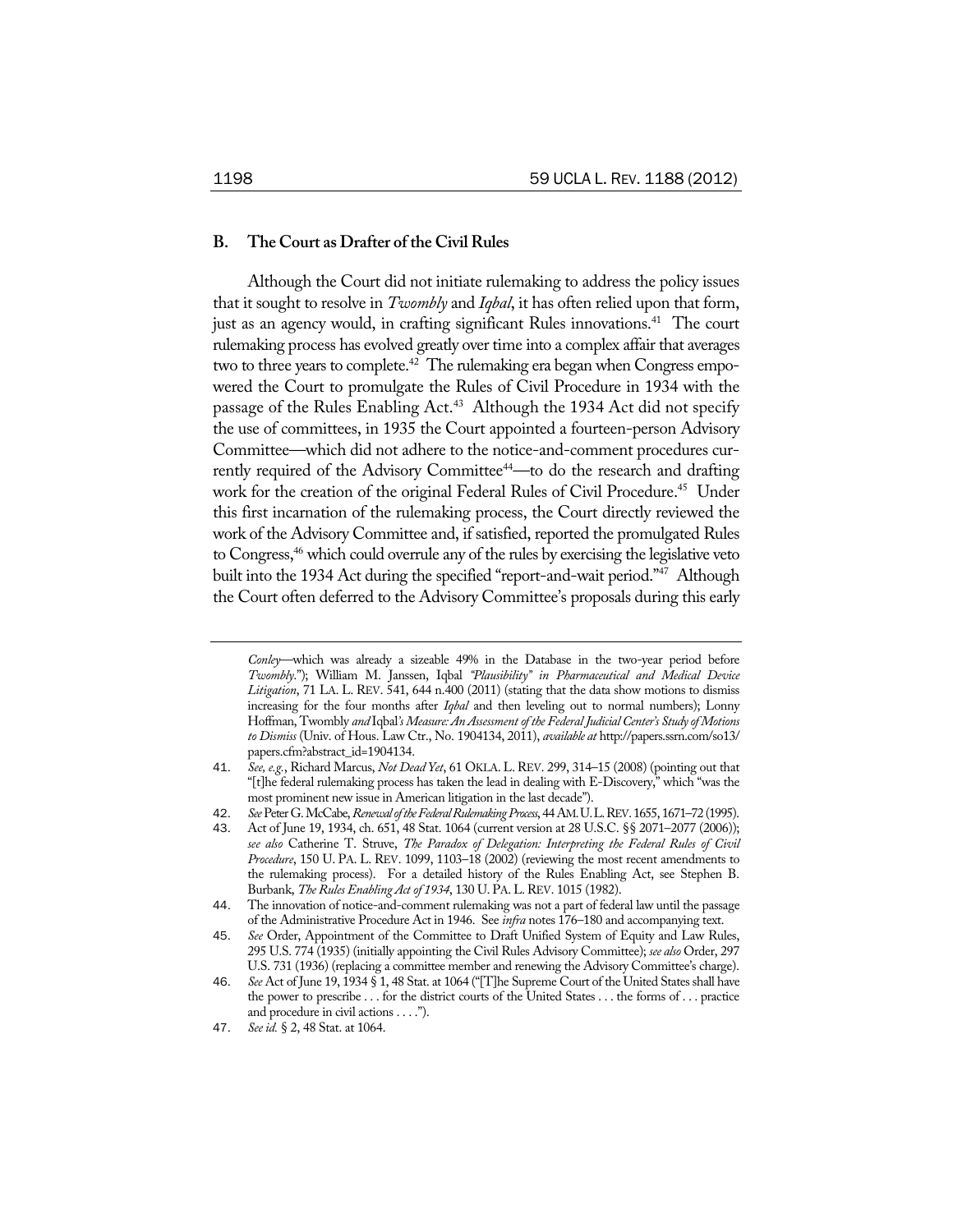### **B. The Court as Drafter of the Civil Rules**

Although the Court did not initiate rulemaking to address the policy issues that it sought to resolve in *Twombly* and *Iqbal*, it has often relied upon that form, just as an agency would, in crafting significant Rules innovations.<sup>41</sup> The court rulemaking process has evolved greatly over time into a complex affair that averages two to three years to complete.<sup>42</sup> The rulemaking era began when Congress empowered the Court to promulgate the Rules of Civil Procedure in 1934 with the passage of the Rules Enabling Act.<sup>43</sup> Although the 1934 Act did not specify the use of committees, in 1935 the Court appointed a fourteen-person Advisory Committee—which did not adhere to the notice-and-comment procedures currently required of the Advisory Committee<sup>44</sup>—to do the research and drafting work for the creation of the original Federal Rules of Civil Procedure.<sup>45</sup> Under this first incarnation of the rulemaking process, the Court directly reviewed the work of the Advisory Committee and, if satisfied, reported the promulgated Rules to Congress,<sup>46</sup> which could overrule any of the rules by exercising the legislative veto built into the 1934 Act during the specified "report-and-wait period."<sup>47</sup> Although the Court often deferred to the Advisory Committee's proposals during this early

*Conley*—which was already a sizeable 49% in the Database in the two-year period before *Twombly*."); William M. Janssen, Iqbal *"Plausibility" in Pharmaceutical and Medical Device Litigation*, 71 LA. L. REV. 541, 644 n.400 (2011) (stating that the data show motions to dismiss increasing for the four months after *Iqbal* and then leveling out to normal numbers); Lonny Hoffman, Twombly *and* Iqbal*'s Measure: An Assessment of the Federal Judicial Center's Study of Motions to Dismiss* (Univ. of Hous. Law Ctr., No. 1904134, 2011), *available at* http://papers.ssrn.com/so13/ papers.cfm?abstract\_id=1904134.

<sup>41</sup>. *See, e.g.*, Richard Marcus, *Not Dead Yet*, 61 OKLA. L.REV. 299, 314–15 (2008) (pointing out that "[t]he federal rulemaking process has taken the lead in dealing with E-Discovery," which "was the most prominent new issue in American litigation in the last decade").

<sup>42</sup>. *See* Peter G. McCabe, *Renewal of the Federal Rulemaking Process*, 44 AM.U.L.REV. 1655, 1671–72 (1995).

Act of June 19, 1934, ch. 651, 48 Stat. 1064 (current version at 28 U.S.C. §§ 2071-2077 (2006)); *see also* Catherine T. Struve, *The Paradox of Delegation: Interpreting the Federal Rules of Civil Procedure*, 150 U. PA. L. REV. 1099, 1103–18 (2002) (reviewing the most recent amendments to the rulemaking process). For a detailed history of the Rules Enabling Act, see Stephen B. Burbank, *The Rules Enabling Act of 1934*, 130 U. PA.L.REV. 1015 (1982).

<sup>44</sup>. The innovation of notice-and-comment rulemaking was not a part of federal law until the passage of the Administrative Procedure Act in 1946. See *infra* notes 176–180 and accompanying text.

<sup>45</sup>. *See* Order, Appointment of the Committee to Draft Unified System of Equity and Law Rules, 295 U.S. 774 (1935) (initially appointing the Civil Rules Advisory Committee); *see also* Order, 297 U.S. 731 (1936) (replacing a committee member and renewing the Advisory Committee's charge).

<sup>46</sup>. *See* Act of June 19, 1934 § 1, 48 Stat. at 1064 ("[T]he Supreme Court of the United States shall have the power to prescribe . . . for the district courts of the United States . . . the forms of . . . practice and procedure in civil actions . . . .").

<sup>47</sup>. *See id.* § 2, 48 Stat. at 1064.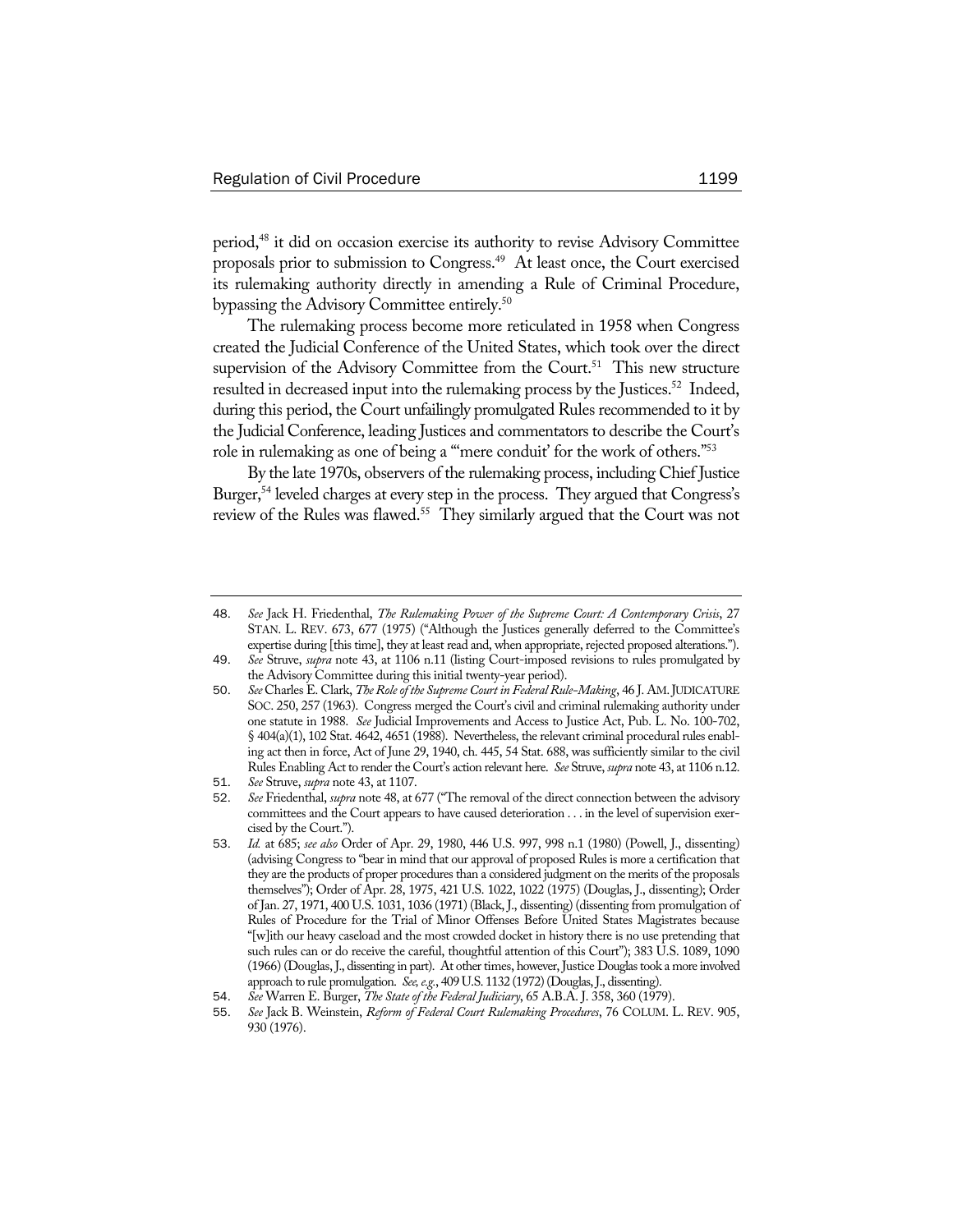period,48 it did on occasion exercise its authority to revise Advisory Committee proposals prior to submission to Congress.<sup>49</sup> At least once, the Court exercised its rulemaking authority directly in amending a Rule of Criminal Procedure, bypassing the Advisory Committee entirely.<sup>50</sup>

The rulemaking process become more reticulated in 1958 when Congress created the Judicial Conference of the United States, which took over the direct supervision of the Advisory Committee from the Court.<sup>51</sup> This new structure resulted in decreased input into the rulemaking process by the Justices.<sup>52</sup> Indeed, during this period, the Court unfailingly promulgated Rules recommended to it by the Judicial Conference, leading Justices and commentators to describe the Court's role in rulemaking as one of being a "'mere conduit' for the work of others."53

By the late 1970s, observers of the rulemaking process, including Chief Justice Burger,<sup>54</sup> leveled charges at every step in the process. They argued that Congress's review of the Rules was flawed.<sup>55</sup> They similarly argued that the Court was not

<sup>48</sup>. *See* Jack H. Friedenthal, *The Rulemaking Power of the Supreme Court: A Contemporary Crisis*, 27 STAN. L. REV. 673, 677 (1975) ("Although the Justices generally deferred to the Committee's expertise during [this time], they at least read and, when appropriate, rejected proposed alterations.").

<sup>49</sup>. *See* Struve, *supra* note 43, at 1106 n.11 (listing Court-imposed revisions to rules promulgated by the Advisory Committee during this initial twenty-year period).

<sup>50</sup>. *See* Charles E. Clark, *The Role of the Supreme Court in Federal Rule-Making*, 46 J. AM.JUDICATURE SOC. 250, 257 (1963). Congress merged the Court's civil and criminal rulemaking authority under one statute in 1988. *See* Judicial Improvements and Access to Justice Act, Pub. L. No. 100-702, § 404(a)(1), 102 Stat. 4642, 4651 (1988). Nevertheless, the relevant criminal procedural rules enabling act then in force, Act of June 29, 1940, ch. 445, 54 Stat. 688, was sufficiently similar to the civil Rules Enabling Act to render the Court's action relevant here. *See* Struve, *supra* note 43, at 1106 n.12.

<sup>51</sup>. *See* Struve, *supra* note 43, at 1107.

<sup>52</sup>. *See* Friedenthal, *supra* note 48, at 677 ("The removal of the direct connection between the advisory committees and the Court appears to have caused deterioration . . . in the level of supervision exercised by the Court.").

<sup>53</sup>. *Id.* at 685; *see also* Order of Apr. 29, 1980, 446 U.S. 997, 998 n.1 (1980) (Powell, J., dissenting) (advising Congress to "bear in mind that our approval of proposed Rules is more a certification that they are the products of proper procedures than a considered judgment on the merits of the proposals themselves"); Order of Apr. 28, 1975, 421 U.S. 1022, 1022 (1975) (Douglas, J., dissenting); Order of Jan. 27, 1971, 400 U.S. 1031, 1036 (1971) (Black, J., dissenting) (dissenting from promulgation of Rules of Procedure for the Trial of Minor Offenses Before United States Magistrates because "[w]ith our heavy caseload and the most crowded docket in history there is no use pretending that such rules can or do receive the careful, thoughtful attention of this Court"); 383 U.S. 1089, 1090 (1966) (Douglas, J., dissenting in part). At other times, however, Justice Douglas took a more involved approach to rule promulgation. *See, e.g.*, 409 U.S. 1132 (1972) (Douglas, J., dissenting).

<sup>54</sup>. *See* Warren E. Burger, *The State of the Federal Judiciary*, 65 A.B.A. J. 358, 360 (1979).

<sup>55</sup>. *See* Jack B. Weinstein, *Reform of Federal Court Rulemaking Procedures*, 76 COLUM. L. REV. 905, 930 (1976).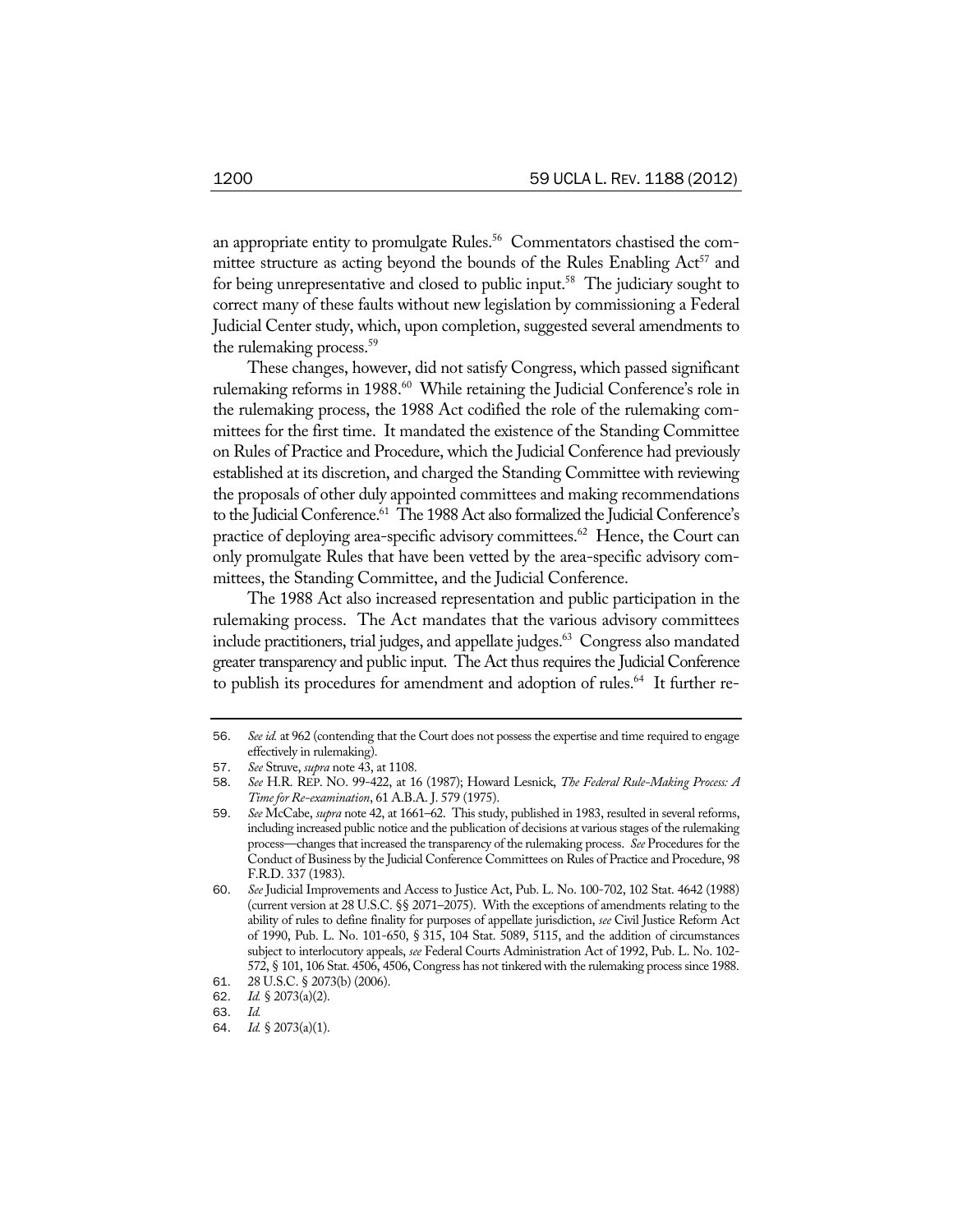an appropriate entity to promulgate Rules.<sup>56</sup> Commentators chastised the committee structure as acting beyond the bounds of the Rules Enabling  $Act^{57}$  and for being unrepresentative and closed to public input.<sup>58</sup> The judiciary sought to correct many of these faults without new legislation by commissioning a Federal Judicial Center study, which, upon completion, suggested several amendments to the rulemaking process.59

These changes, however, did not satisfy Congress, which passed significant rulemaking reforms in 1988.<sup>60</sup> While retaining the Judicial Conference's role in the rulemaking process, the 1988 Act codified the role of the rulemaking committees for the first time. It mandated the existence of the Standing Committee on Rules of Practice and Procedure, which the Judicial Conference had previously established at its discretion, and charged the Standing Committee with reviewing the proposals of other duly appointed committees and making recommendations to the Judicial Conference.<sup>61</sup> The 1988 Act also formalized the Judicial Conference's practice of deploying area-specific advisory committees.<sup>62</sup> Hence, the Court can only promulgate Rules that have been vetted by the area-specific advisory committees, the Standing Committee, and the Judicial Conference.

The 1988 Act also increased representation and public participation in the rulemaking process. The Act mandates that the various advisory committees include practitioners, trial judges, and appellate judges.<sup>63</sup> Congress also mandated greater transparency and public input. The Act thus requires the Judicial Conference to publish its procedures for amendment and adoption of rules.<sup>64</sup> It further re-

<sup>56</sup>. *See id.* at 962 (contending that the Court does not possess the expertise and time required to engage effectively in rulemaking).

<sup>57</sup>. *See* Struve, *supra* note 43, at 1108.

<sup>58</sup>. *See* H.R. REP. NO. 99-422, at 16 (1987); Howard Lesnick, *The Federal Rule-Making Process: A Time for Re-examination*, 61 A.B.A. J. 579 (1975).

<sup>59</sup>. *See* McCabe, *supra* note 42, at 1661–62. This study, published in 1983, resulted in several reforms, including increased public notice and the publication of decisions at various stages of the rulemaking process—changes that increased the transparency of the rulemaking process. *See* Procedures for the Conduct of Business by the Judicial Conference Committees on Rules of Practice and Procedure, 98 F.R.D. 337 (1983).

<sup>60</sup>. *See* Judicial Improvements and Access to Justice Act, Pub. L. No. 100-702, 102 Stat. 4642 (1988) (current version at 28 U.S.C. §§ 2071–2075). With the exceptions of amendments relating to the ability of rules to define finality for purposes of appellate jurisdiction, *see* Civil Justice Reform Act of 1990, Pub. L. No. 101-650, § 315, 104 Stat. 5089, 5115, and the addition of circumstances subject to interlocutory appeals, *see* Federal Courts Administration Act of 1992, Pub. L. No. 102- 572, § 101, 106 Stat. 4506, 4506, Congress has not tinkered with the rulemaking process since 1988.

<sup>61</sup>. 28 U.S.C. § 2073(b) (2006).

<sup>62</sup>. *Id.* § 2073(a)(2).

<sup>63</sup>. *Id.*

<sup>64</sup>. *Id.* § 2073(a)(1).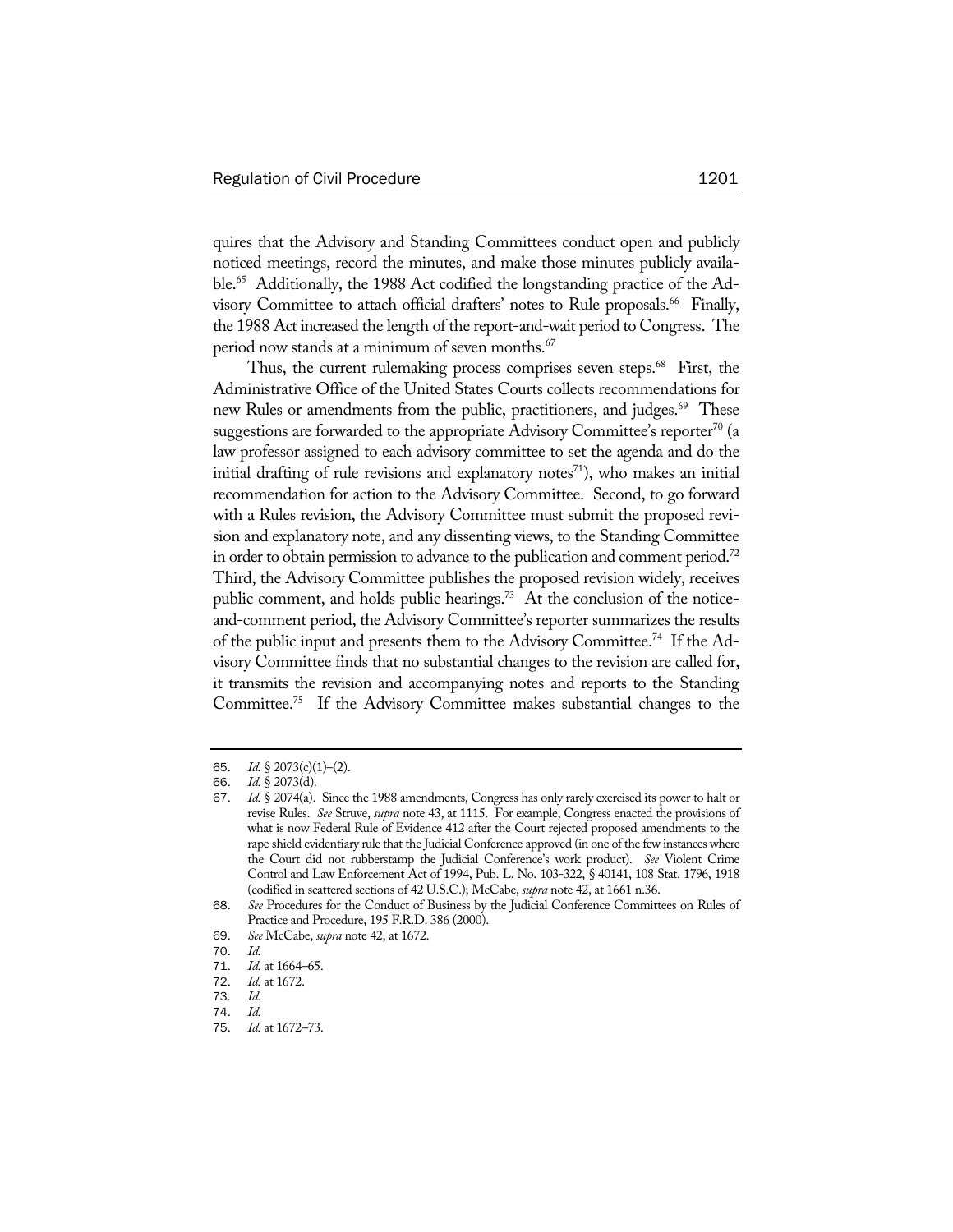quires that the Advisory and Standing Committees conduct open and publicly noticed meetings, record the minutes, and make those minutes publicly available.<sup>65</sup> Additionally, the 1988 Act codified the longstanding practice of the Advisory Committee to attach official drafters' notes to Rule proposals.<sup>66</sup> Finally, the 1988 Act increased the length of the report-and-wait period to Congress. The period now stands at a minimum of seven months.<sup>67</sup>

Thus, the current rulemaking process comprises seven steps.<sup>68</sup> First, the Administrative Office of the United States Courts collects recommendations for new Rules or amendments from the public, practitioners, and judges.<sup>69</sup> These suggestions are forwarded to the appropriate Advisory Committee's reporter<sup>70</sup> (a law professor assigned to each advisory committee to set the agenda and do the initial drafting of rule revisions and explanatory notes<sup>71</sup>), who makes an initial recommendation for action to the Advisory Committee. Second, to go forward with a Rules revision, the Advisory Committee must submit the proposed revision and explanatory note, and any dissenting views, to the Standing Committee in order to obtain permission to advance to the publication and comment period.<sup>72</sup> Third, the Advisory Committee publishes the proposed revision widely, receives public comment, and holds public hearings.<sup>73</sup> At the conclusion of the noticeand-comment period, the Advisory Committee's reporter summarizes the results of the public input and presents them to the Advisory Committee.74 If the Advisory Committee finds that no substantial changes to the revision are called for, it transmits the revision and accompanying notes and reports to the Standing Committee.75 If the Advisory Committee makes substantial changes to the

<sup>65</sup>. *Id.* § 2073(c)(1)–(2).

<sup>66</sup>. *Id.* § 2073(d).

<sup>67</sup>. *Id.* § 2074(a). Since the 1988 amendments, Congress has only rarely exercised its power to halt or revise Rules. *See* Struve, *supra* note 43, at 1115. For example, Congress enacted the provisions of what is now Federal Rule of Evidence 412 after the Court rejected proposed amendments to the rape shield evidentiary rule that the Judicial Conference approved (in one of the few instances where the Court did not rubberstamp the Judicial Conference's work product). *See* Violent Crime Control and Law Enforcement Act of 1994, Pub. L. No. 103-322, § 40141, 108 Stat. 1796, 1918 (codified in scattered sections of 42 U.S.C.); McCabe, *supra* note 42, at 1661 n.36.

<sup>68</sup>. *See* Procedures for the Conduct of Business by the Judicial Conference Committees on Rules of Practice and Procedure, 195 F.R.D. 386 (2000).

<sup>69</sup>. *See* McCabe, *supra* note 42, at 1672.

<sup>70</sup>. *Id.*

<sup>71</sup>. *Id.* at 1664–65.

*Id.* at 1672. 73. *Id.*

<sup>74</sup>. *Id.* Id. at 1672-73.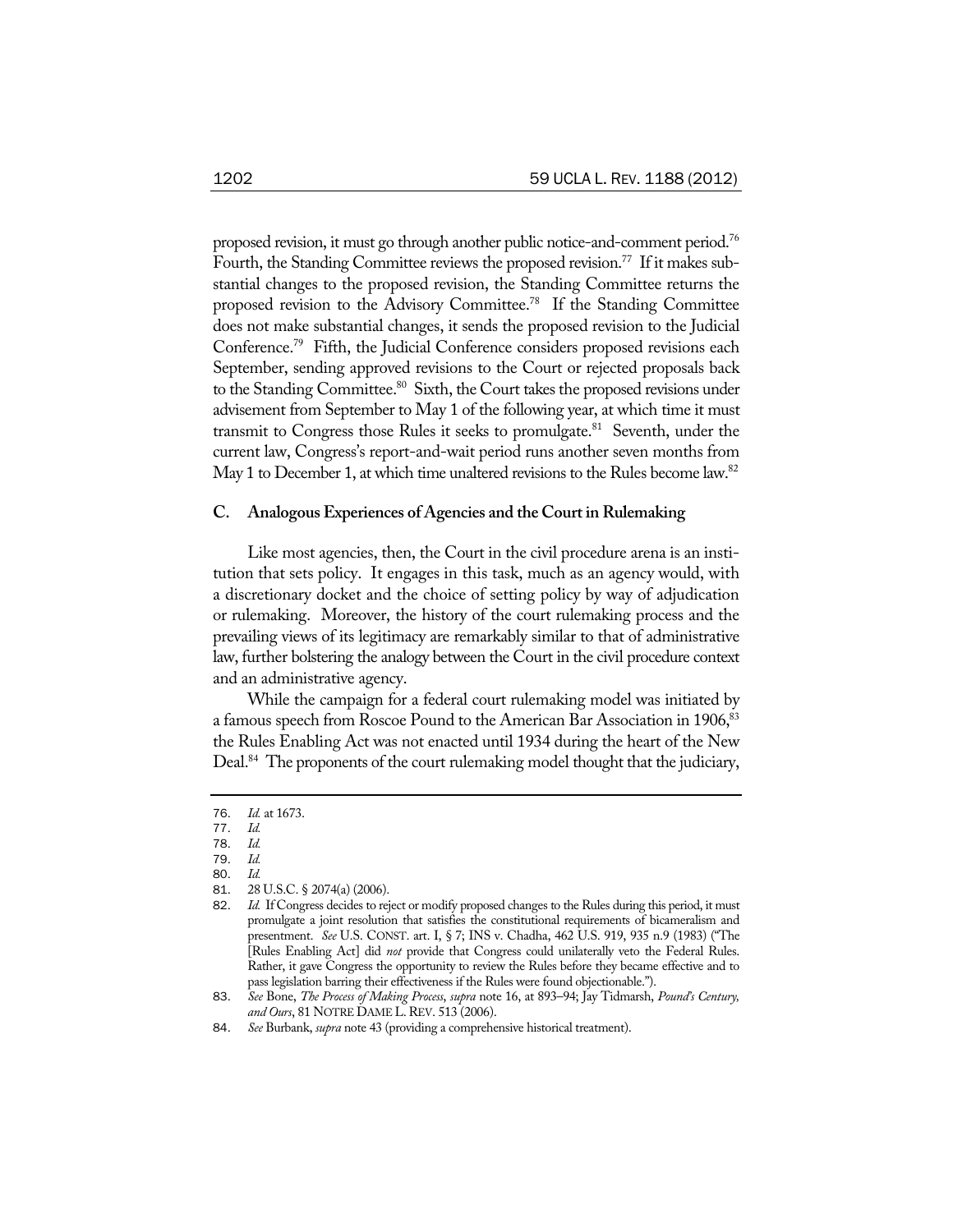proposed revision, it must go through another public notice-and-comment period.76 Fourth, the Standing Committee reviews the proposed revision.<sup>77</sup> If it makes substantial changes to the proposed revision, the Standing Committee returns the proposed revision to the Advisory Committee.78 If the Standing Committee does not make substantial changes, it sends the proposed revision to the Judicial Conference.79 Fifth, the Judicial Conference considers proposed revisions each September, sending approved revisions to the Court or rejected proposals back to the Standing Committee.<sup>80</sup> Sixth, the Court takes the proposed revisions under advisement from September to May 1 of the following year, at which time it must transmit to Congress those Rules it seeks to promulgate.<sup>81</sup> Seventh, under the current law, Congress's report-and-wait period runs another seven months from May 1 to December 1, at which time unaltered revisions to the Rules become law.<sup>82</sup>

#### **C. Analogous Experiences of Agencies and the Court in Rulemaking**

Like most agencies, then, the Court in the civil procedure arena is an institution that sets policy. It engages in this task, much as an agency would, with a discretionary docket and the choice of setting policy by way of adjudication or rulemaking. Moreover, the history of the court rulemaking process and the prevailing views of its legitimacy are remarkably similar to that of administrative law, further bolstering the analogy between the Court in the civil procedure context and an administrative agency.

While the campaign for a federal court rulemaking model was initiated by a famous speech from Roscoe Pound to the American Bar Association in 1906,<sup>83</sup> the Rules Enabling Act was not enacted until 1934 during the heart of the New Deal.<sup>84</sup> The proponents of the court rulemaking model thought that the judiciary,

<sup>76</sup>. *Id.* at 1673.

<sup>77</sup>. *Id.*

<sup>78</sup>. *Id.* 79. *Id.*

<sup>80</sup>. *Id.*

<sup>81. 28</sup> U.S.C. § 2074(a) (2006).<br>82 *Id* If Congress decides to rei

Id. If Congress decides to reject or modify proposed changes to the Rules during this period, it must promulgate a joint resolution that satisfies the constitutional requirements of bicameralism and presentment. *See* U.S. CONST. art. I, § 7; INS v. Chadha, 462 U.S. 919, 935 n.9 (1983) ("The [Rules Enabling Act] did *not* provide that Congress could unilaterally veto the Federal Rules. Rather, it gave Congress the opportunity to review the Rules before they became effective and to pass legislation barring their effectiveness if the Rules were found objectionable.").

<sup>83</sup>. *See* Bone, *The Process of Making Process*, *supra* note 16, at 893–94; Jay Tidmarsh, *Pound's Century,*  and Ours, 81 NOTRE DAME L. REV. 513 (2006).

<sup>84</sup>. *See* Burbank, *supra* note 43 (providing a comprehensive historical treatment).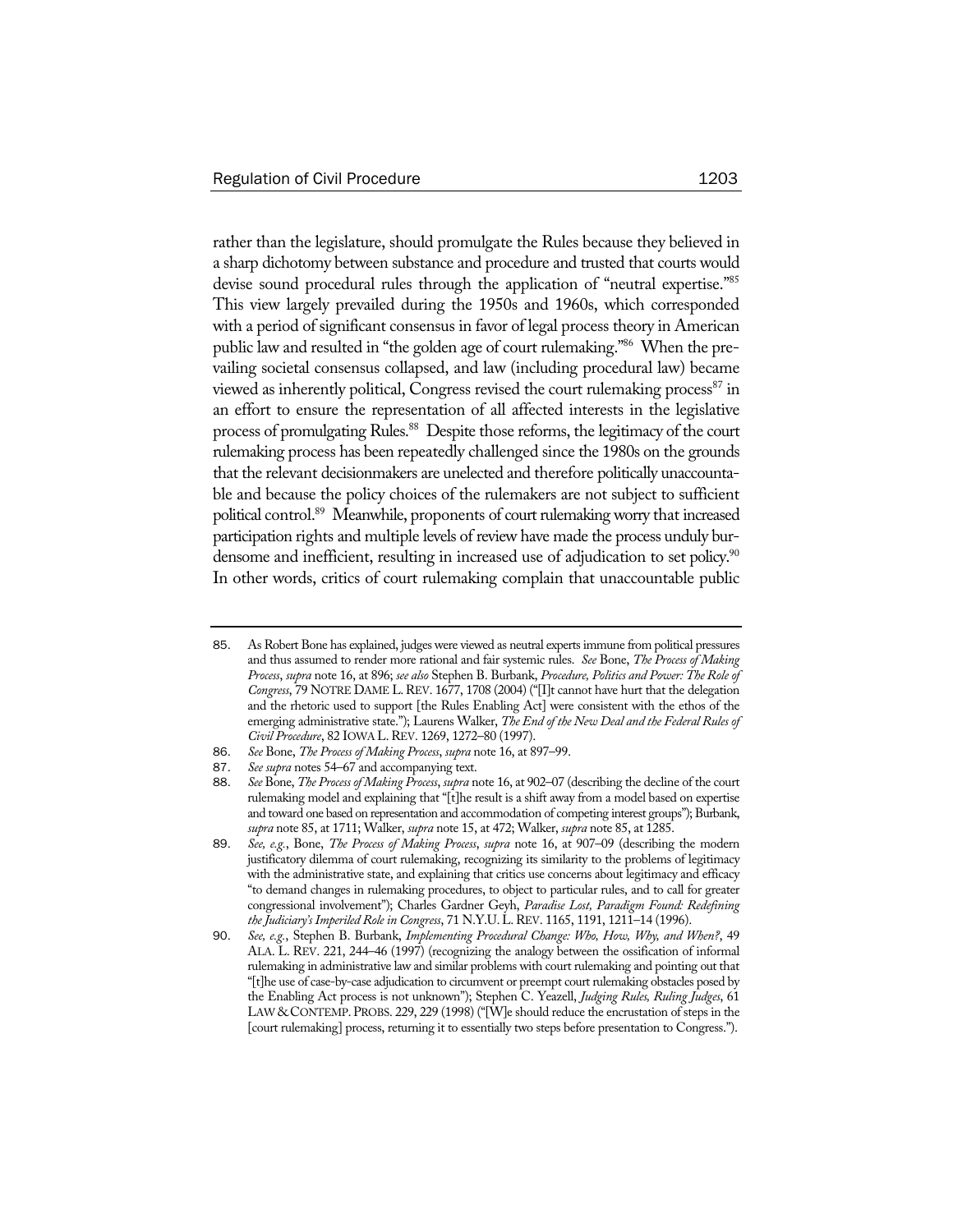rather than the legislature, should promulgate the Rules because they believed in a sharp dichotomy between substance and procedure and trusted that courts would devise sound procedural rules through the application of "neutral expertise."85 This view largely prevailed during the 1950s and 1960s, which corresponded with a period of significant consensus in favor of legal process theory in American public law and resulted in "the golden age of court rulemaking."86 When the prevailing societal consensus collapsed, and law (including procedural law) became viewed as inherently political, Congress revised the court rulemaking process<sup>87</sup> in an effort to ensure the representation of all affected interests in the legislative process of promulgating Rules.<sup>88</sup> Despite those reforms, the legitimacy of the court rulemaking process has been repeatedly challenged since the 1980s on the grounds that the relevant decisionmakers are unelected and therefore politically unaccountable and because the policy choices of the rulemakers are not subject to sufficient political control.89 Meanwhile, proponents of court rulemaking worry that increased participation rights and multiple levels of review have made the process unduly burdensome and inefficient, resulting in increased use of adjudication to set policy.<sup>90</sup> In other words, critics of court rulemaking complain that unaccountable public

<sup>85</sup>. As Robert Bone has explained, judges were viewed as neutral experts immune from political pressures and thus assumed to render more rational and fair systemic rules. *See* Bone, *The Process of Making Process*, *supra* note 16, at 896; *see also* Stephen B. Burbank, *Procedure, Politics and Power: The Role of Congress*, 79 NOTRE DAME L.REV. 1677, 1708 (2004) ("[I]t cannot have hurt that the delegation and the rhetoric used to support [the Rules Enabling Act] were consistent with the ethos of the emerging administrative state."); Laurens Walker, *The End of the New Deal and the Federal Rules of Civil Procedure*, 82 IOWA L.REV. 1269, 1272–80 (1997).

<sup>86</sup>. *See* Bone, *The Process of Making Process*, *supra* note 16, at 897–99.

<sup>87</sup>. *See supra* notes 54–67 and accompanying text.

<sup>88</sup>. *See* Bone, *The Process of Making Process*, *supra* note 16, at 902–07 (describing the decline of the court rulemaking model and explaining that "[t]he result is a shift away from a model based on expertise and toward one based on representation and accommodation of competing interest groups"); Burbank, *supra* note 85, at 1711; Walker, *supra* note 15, at 472; Walker, *supra* note 85, at 1285.

<sup>89</sup>. *See, e.g.*, Bone, *The Process of Making Process*, *supra* note 16, at 907–09 (describing the modern justificatory dilemma of court rulemaking, recognizing its similarity to the problems of legitimacy with the administrative state, and explaining that critics use concerns about legitimacy and efficacy "to demand changes in rulemaking procedures, to object to particular rules, and to call for greater congressional involvement"); Charles Gardner Geyh, *Paradise Lost, Paradigm Found: Redefining the Judiciary's Imperiled Role in Congress*, 71 N.Y.U.L.REV. 1165, 1191, 1211–14 (1996).

<sup>90</sup>. *See, e.g.*, Stephen B. Burbank, *Implementing Procedural Change: Who, How, Why, and When?*, 49 ALA. L. REV. 221, 244–46 (1997) (recognizing the analogy between the ossification of informal rulemaking in administrative law and similar problems with court rulemaking and pointing out that "[t]he use of case-by-case adjudication to circumvent or preempt court rulemaking obstacles posed by the Enabling Act process is not unknown"); Stephen C. Yeazell, *Judging Rules, Ruling Judges*, 61 LAW & CONTEMP. PROBS. 229, 229 (1998) ("[W]e should reduce the encrustation of steps in the [court rulemaking] process, returning it to essentially two steps before presentation to Congress.").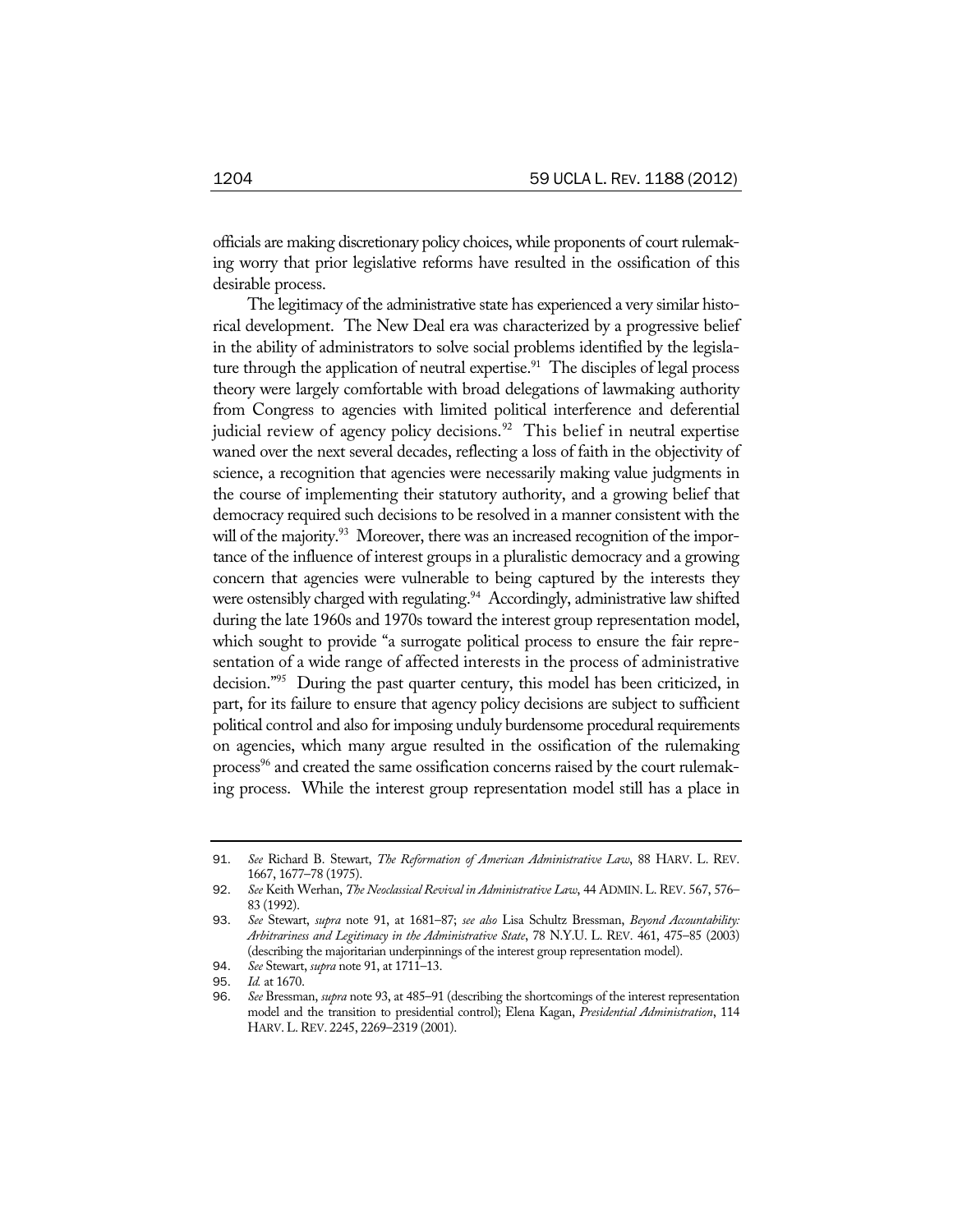officials are making discretionary policy choices, while proponents of court rulemaking worry that prior legislative reforms have resulted in the ossification of this desirable process.

The legitimacy of the administrative state has experienced a very similar historical development. The New Deal era was characterized by a progressive belief in the ability of administrators to solve social problems identified by the legislature through the application of neutral expertise. $91$  The disciples of legal process theory were largely comfortable with broad delegations of lawmaking authority from Congress to agencies with limited political interference and deferential judicial review of agency policy decisions.<sup>92</sup> This belief in neutral expertise waned over the next several decades, reflecting a loss of faith in the objectivity of science, a recognition that agencies were necessarily making value judgments in the course of implementing their statutory authority, and a growing belief that democracy required such decisions to be resolved in a manner consistent with the will of the majority.<sup>93</sup> Moreover, there was an increased recognition of the importance of the influence of interest groups in a pluralistic democracy and a growing concern that agencies were vulnerable to being captured by the interests they were ostensibly charged with regulating.<sup>94</sup> Accordingly, administrative law shifted during the late 1960s and 1970s toward the interest group representation model, which sought to provide "a surrogate political process to ensure the fair representation of a wide range of affected interests in the process of administrative decision."95 During the past quarter century, this model has been criticized, in part, for its failure to ensure that agency policy decisions are subject to sufficient political control and also for imposing unduly burdensome procedural requirements on agencies, which many argue resulted in the ossification of the rulemaking process<sup>96</sup> and created the same ossification concerns raised by the court rulemaking process. While the interest group representation model still has a place in

<sup>91</sup>. *See* Richard B. Stewart, *The Reformation of American Administrative Law*, 88 HARV. L. REV. 1667, 1677–78 (1975).

<sup>92</sup>. *See* Keith Werhan, *The Neoclassical Revival in Administrative Law*, 44 ADMIN. L.REV. 567, 576– 83 (1992).

<sup>93</sup>. *See* Stewart, *supra* note 91, at 1681–87; *see also* Lisa Schultz Bressman, *Beyond Accountability: Arbitrariness and Legitimacy in the Administrative State*, 78 N.Y.U. L. REV. 461, 475–85 (2003) (describing the majoritarian underpinnings of the interest group representation model).

<sup>94</sup>. *See* Stewart, *supra* note 91, at 1711–13.

*Id.* at 1670.

<sup>96</sup>. *See* Bressman, *supra* note 93, at 485–91 (describing the shortcomings of the interest representation model and the transition to presidential control); Elena Kagan, *Presidential Administration*, 114 HARV. L. REV. 2245, 2269-2319 (2001).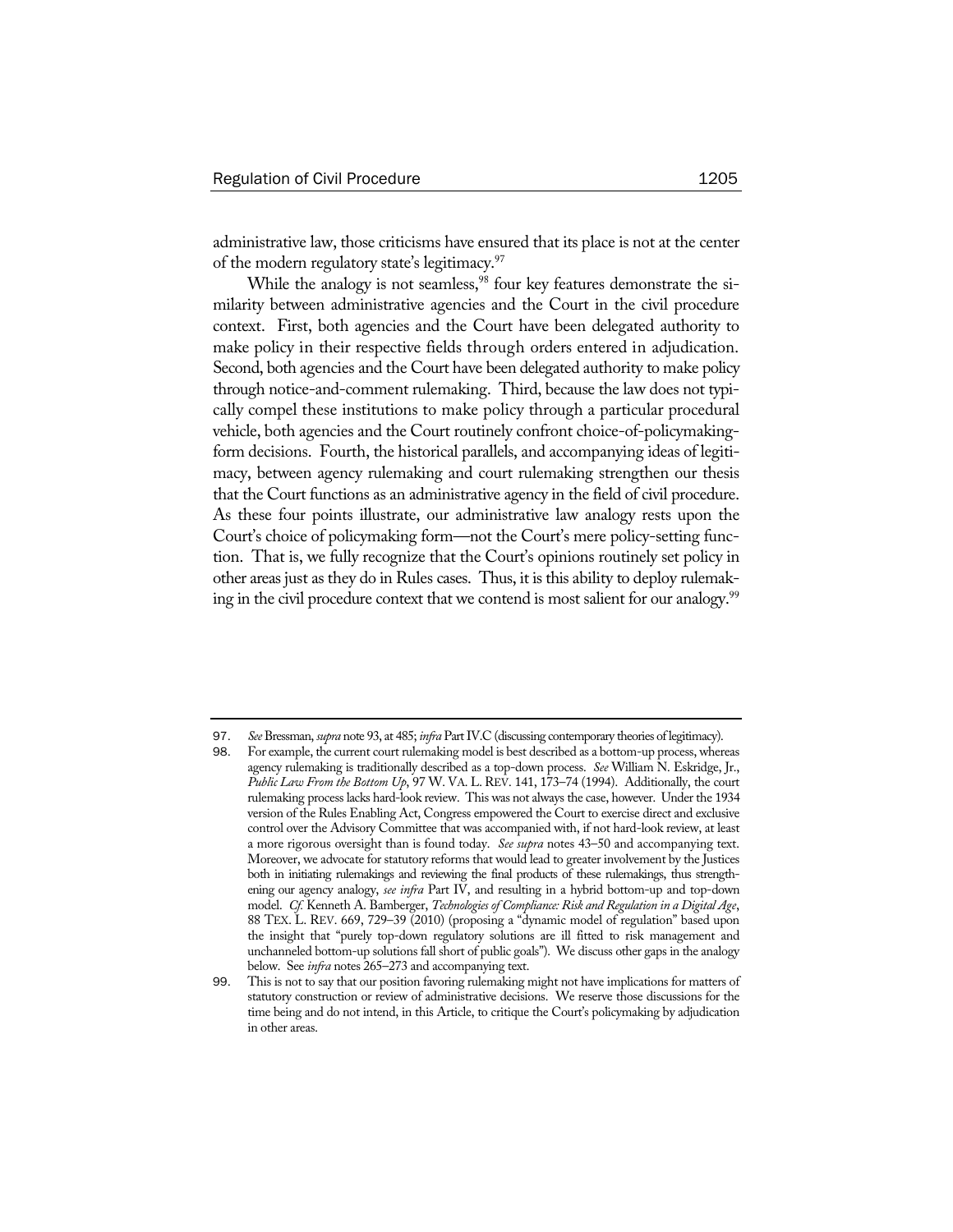administrative law, those criticisms have ensured that its place is not at the center of the modern regulatory state's legitimacy.<sup>97</sup>

While the analogy is not seamless,<sup>98</sup> four key features demonstrate the similarity between administrative agencies and the Court in the civil procedure context. First, both agencies and the Court have been delegated authority to make policy in their respective fields through orders entered in adjudication. Second, both agencies and the Court have been delegated authority to make policy through notice-and-comment rulemaking. Third, because the law does not typically compel these institutions to make policy through a particular procedural vehicle, both agencies and the Court routinely confront choice-of-policymakingform decisions. Fourth, the historical parallels, and accompanying ideas of legitimacy, between agency rulemaking and court rulemaking strengthen our thesis that the Court functions as an administrative agency in the field of civil procedure. As these four points illustrate, our administrative law analogy rests upon the Court's choice of policymaking form—not the Court's mere policy-setting function. That is, we fully recognize that the Court's opinions routinely set policy in other areas just as they do in Rules cases. Thus, it is this ability to deploy rulemaking in the civil procedure context that we contend is most salient for our analogy.<sup>99</sup>

<sup>97</sup>. *See* Bressman, *supra* note 93, at 485; *infra* Part IV.C (discussing contemporary theories of legitimacy).

<sup>98</sup>. For example, the current court rulemaking model is best described as a bottom-up process, whereas agency rulemaking is traditionally described as a top-down process. *See* William N. Eskridge, Jr., *Public Law From the Bottom Up*, 97 W. VA. L. REV. 141, 173–74 (1994). Additionally, the court rulemaking process lacks hard-look review. This was not always the case, however. Under the 1934 version of the Rules Enabling Act, Congress empowered the Court to exercise direct and exclusive control over the Advisory Committee that was accompanied with, if not hard-look review, at least a more rigorous oversight than is found today. *See supra* notes 43–50 and accompanying text. Moreover, we advocate for statutory reforms that would lead to greater involvement by the Justices both in initiating rulemakings and reviewing the final products of these rulemakings, thus strengthening our agency analogy, *see infra* Part IV, and resulting in a hybrid bottom-up and top-down model. *Cf.* Kenneth A. Bamberger, *Technologies of Compliance: Risk and Regulation in a Digital Age*, 88 TEX. L. REV. 669, 729–39 (2010) (proposing a "dynamic model of regulation" based upon the insight that "purely top-down regulatory solutions are ill fitted to risk management and unchanneled bottom-up solutions fall short of public goals"). We discuss other gaps in the analogy below. See *infra* notes 265–273 and accompanying text.

<sup>99</sup>. This is not to say that our position favoring rulemaking might not have implications for matters of statutory construction or review of administrative decisions. We reserve those discussions for the time being and do not intend, in this Article, to critique the Court's policymaking by adjudication in other areas.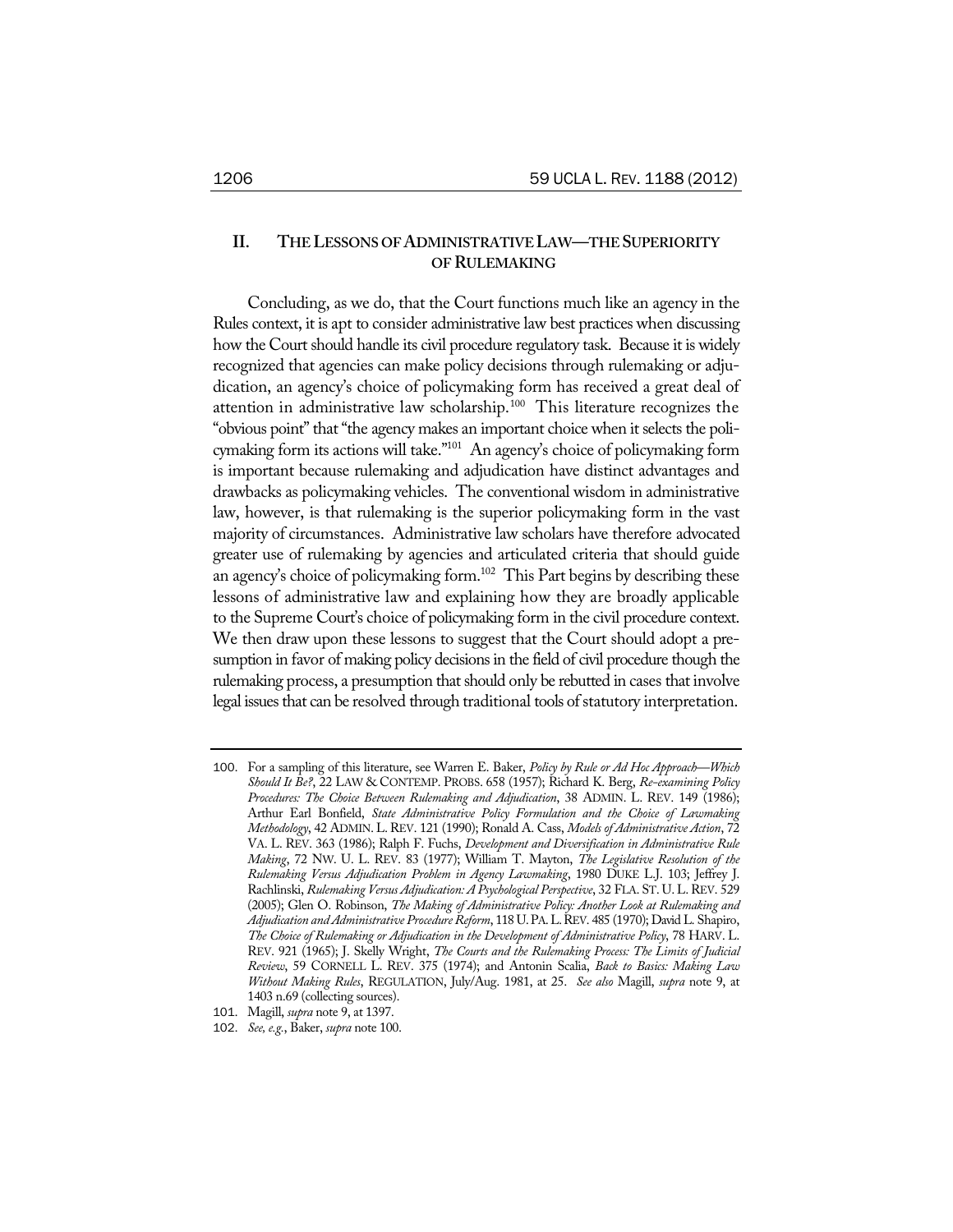# **II. THE LESSONS OF ADMINISTRATIVE LAW—THE SUPERIORITY OF RULEMAKING**

Concluding, as we do, that the Court functions much like an agency in the Rules context, it is apt to consider administrative law best practices when discussing how the Court should handle its civil procedure regulatory task. Because it is widely recognized that agencies can make policy decisions through rulemaking or adjudication, an agency's choice of policymaking form has received a great deal of attention in administrative law scholarship.100 This literature recognizes the "obvious point" that "the agency makes an important choice when it selects the policymaking form its actions will take."101 An agency's choice of policymaking form is important because rulemaking and adjudication have distinct advantages and drawbacks as policymaking vehicles. The conventional wisdom in administrative law, however, is that rulemaking is the superior policymaking form in the vast majority of circumstances. Administrative law scholars have therefore advocated greater use of rulemaking by agencies and articulated criteria that should guide an agency's choice of policymaking form.<sup>102</sup> This Part begins by describing these lessons of administrative law and explaining how they are broadly applicable to the Supreme Court's choice of policymaking form in the civil procedure context. We then draw upon these lessons to suggest that the Court should adopt a presumption in favor of making policy decisions in the field of civil procedure though the rulemaking process, a presumption that should only be rebutted in cases that involve legal issues that can be resolved through traditional tools of statutory interpretation.

101. Magill, *supra* note 9, at 1397.

<sup>100</sup>. For a sampling of this literature, see Warren E. Baker, *Policy by Rule or Ad Hoc Approach—Which Should It Be?*, 22 LAW & CONTEMP. PROBS. 658 (1957); Richard K. Berg, *Re-examining Policy Procedures: The Choice Between Rulemaking and Adjudication*, 38 ADMIN. L. REV. 149 (1986); Arthur Earl Bonfield, *State Administrative Policy Formulation and the Choice of Lawmaking Methodology*, 42 ADMIN. L.REV. 121 (1990); Ronald A. Cass, *Models of Administrative Action*, 72 VA. L. REV. 363 (1986); Ralph F. Fuchs, *Development and Diversification in Administrative Rule Making*, 72 NW. U. L. REV. 83 (1977); William T. Mayton, *The Legislative Resolution of the Rulemaking Versus Adjudication Problem in Agency Lawmaking*, 1980 DUKE L.J. 103; Jeffrey J. Rachlinski, *Rulemaking Versus Adjudication: A Psychological Perspective*, 32 FLA. ST. U.L.REV. 529 (2005); Glen O. Robinson, *The Making of Administrative Policy: Another Look at Rulemaking and Adjudication and Administrative Procedure Reform*, 118 U.PA.L.REV. 485 (1970); David L. Shapiro, *The Choice of Rulemaking or Adjudication in the Development of Administrative Policy*, 78 HARV. L. REV. 921 (1965); J. Skelly Wright, *The Courts and the Rulemaking Process: The Limits of Judicial Review*, 59 CORNELL L. REV. 375 (1974); and Antonin Scalia, *Back to Basics: Making Law Without Making Rules*, REGULATION, July/Aug. 1981, at 25. *See also* Magill, *supra* note 9, at 1403 n.69 (collecting sources).

<sup>102</sup>. *See, e.g.*, Baker, *supra* note 100.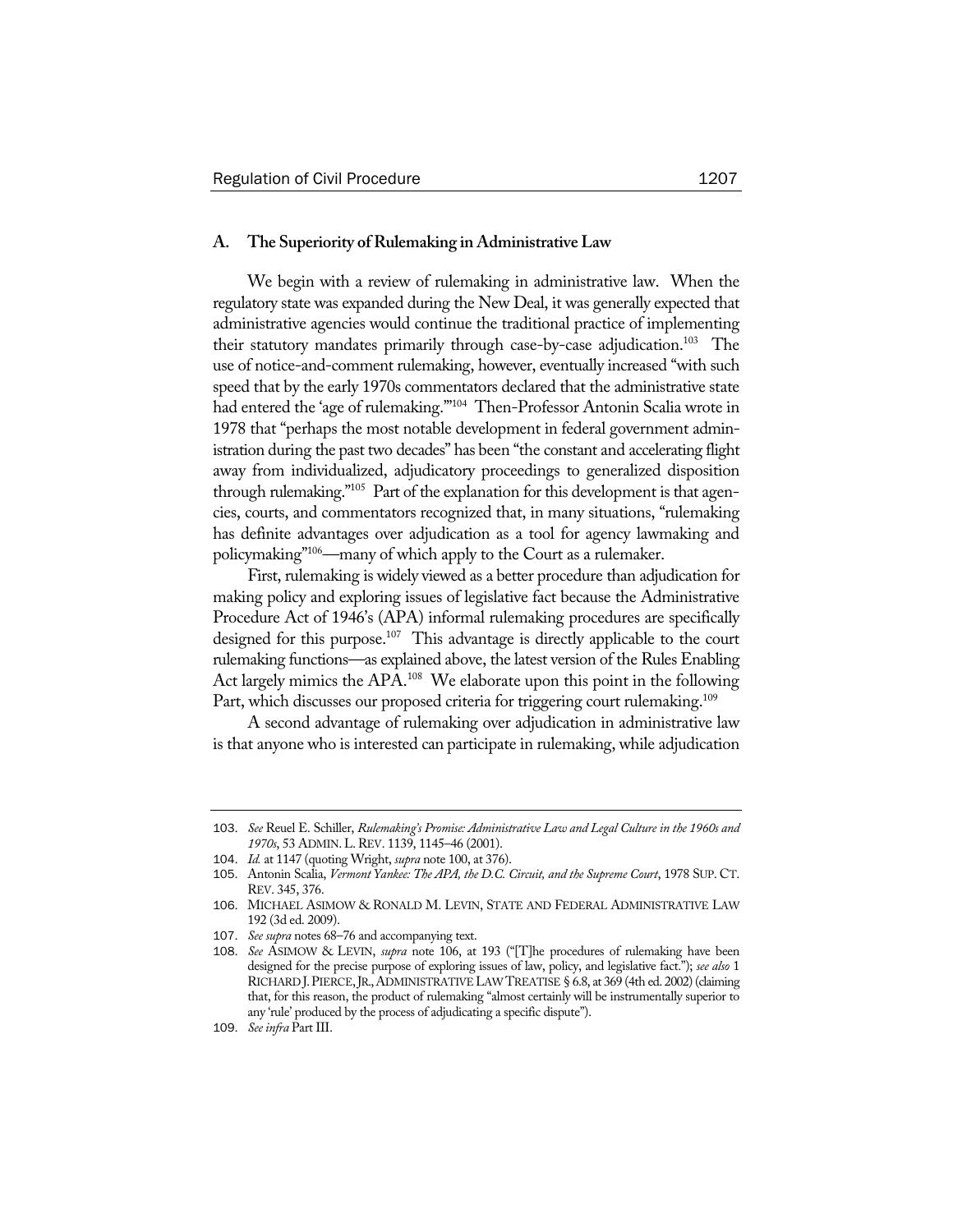#### **A. The Superiority of Rulemaking in Administrative Law**

We begin with a review of rulemaking in administrative law. When the regulatory state was expanded during the New Deal, it was generally expected that administrative agencies would continue the traditional practice of implementing their statutory mandates primarily through case-by-case adjudication.<sup>103</sup> The use of notice-and-comment rulemaking, however, eventually increased "with such speed that by the early 1970s commentators declared that the administrative state had entered the 'age of rulemaking."<sup>104</sup> Then-Professor Antonin Scalia wrote in 1978 that "perhaps the most notable development in federal government administration during the past two decades" has been "the constant and accelerating flight away from individualized, adjudicatory proceedings to generalized disposition through rulemaking."105 Part of the explanation for this development is that agencies, courts, and commentators recognized that, in many situations, "rulemaking has definite advantages over adjudication as a tool for agency lawmaking and policymaking"106—many of which apply to the Court as a rulemaker.

First, rulemaking is widely viewed as a better procedure than adjudication for making policy and exploring issues of legislative fact because the Administrative Procedure Act of 1946's (APA) informal rulemaking procedures are specifically designed for this purpose.<sup>107</sup> This advantage is directly applicable to the court rulemaking functions—as explained above, the latest version of the Rules Enabling Act largely mimics the APA.<sup>108</sup> We elaborate upon this point in the following Part, which discusses our proposed criteria for triggering court rulemaking.<sup>109</sup>

A second advantage of rulemaking over adjudication in administrative law is that anyone who is interested can participate in rulemaking, while adjudication

<sup>103</sup>. *See* Reuel E. Schiller, *Rulemaking's Promise: Administrative Law and Legal Culture in the 1960s and 1970s*, 53 ADMIN.L.REV. 1139, 1145–46 (2001).

<sup>104</sup>. *Id.* at 1147 (quoting Wright, *supra* note 100, at 376).

<sup>105</sup>. Antonin Scalia, *Vermont Yankee: The APA, the D.C. Circuit, and the Supreme Court*, 1978 SUP. CT. REV. 345, 376.

<sup>106</sup>. MICHAEL ASIMOW & RONALD M. LEVIN, STATE AND FEDERAL ADMINISTRATIVE LAW 192 (3d ed. 2009).

<sup>107</sup>. *See supra* notes 68–76 and accompanying text.

<sup>108</sup>. *See* ASIMOW & LEVIN, *supra* note 106, at 193 ("[T]he procedures of rulemaking have been designed for the precise purpose of exploring issues of law, policy, and legislative fact."); *see also* 1 RICHARD J.PIERCE,JR.,ADMINISTRATIVE LAW TREATISE § 6.8, at 369 (4th ed. 2002) (claiming that, for this reason, the product of rulemaking "almost certainly will be instrumentally superior to any 'rule' produced by the process of adjudicating a specific dispute").

<sup>109</sup>. *See infra* Part III.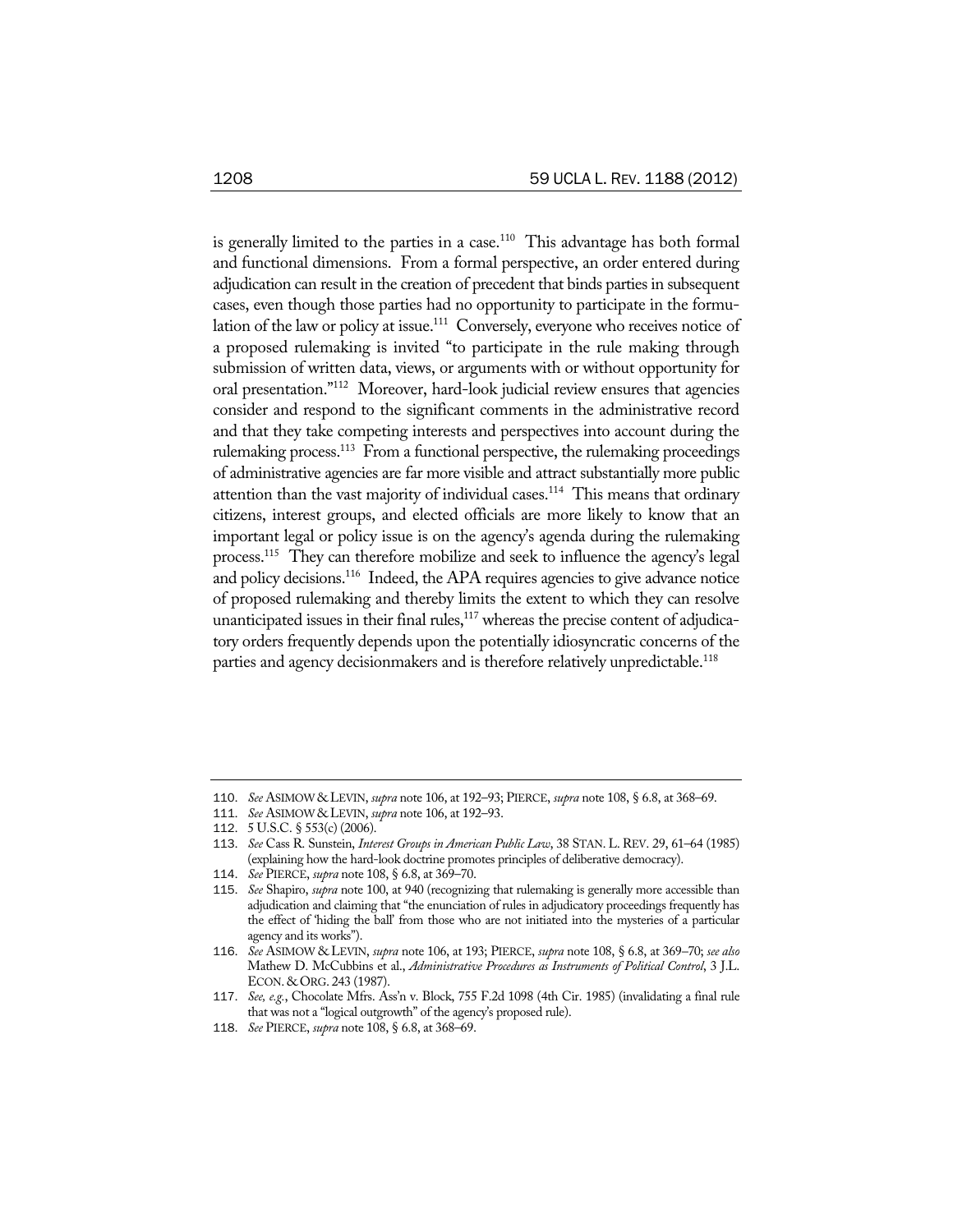is generally limited to the parties in a case.<sup>110</sup> This advantage has both formal and functional dimensions. From a formal perspective, an order entered during adjudication can result in the creation of precedent that binds parties in subsequent cases, even though those parties had no opportunity to participate in the formulation of the law or policy at issue.<sup>111</sup> Conversely, everyone who receives notice of a proposed rulemaking is invited "to participate in the rule making through submission of written data, views, or arguments with or without opportunity for oral presentation."112 Moreover, hard-look judicial review ensures that agencies consider and respond to the significant comments in the administrative record and that they take competing interests and perspectives into account during the rulemaking process.<sup>113</sup> From a functional perspective, the rulemaking proceedings of administrative agencies are far more visible and attract substantially more public attention than the vast majority of individual cases.<sup>114</sup> This means that ordinary citizens, interest groups, and elected officials are more likely to know that an important legal or policy issue is on the agency's agenda during the rulemaking process.115 They can therefore mobilize and seek to influence the agency's legal and policy decisions.<sup>116</sup> Indeed, the APA requires agencies to give advance notice of proposed rulemaking and thereby limits the extent to which they can resolve unanticipated issues in their final rules, $117$  whereas the precise content of adjudicatory orders frequently depends upon the potentially idiosyncratic concerns of the parties and agency decisionmakers and is therefore relatively unpredictable.<sup>118</sup>

<sup>110</sup>. *See* ASIMOW & LEVIN, *supra* note 106, at 192–93; PIERCE, *supra* note 108, § 6.8, at 368–69.

<sup>111</sup>. *See* ASIMOW & LEVIN, *supra* note 106, at 192–93.

<sup>112</sup>. 5 U.S.C. § 553(c) (2006).

<sup>113</sup>. *See* Cass R. Sunstein, *Interest Groups in American Public Law*, 38 STAN. L. REV. 29, 61–64 (1985) (explaining how the hard-look doctrine promotes principles of deliberative democracy).

<sup>114</sup>. *See* PIERCE, *supra* note 108, § 6.8, at 369–70.

<sup>115</sup>. *See* Shapiro, *supra* note 100, at 940 (recognizing that rulemaking is generally more accessible than adjudication and claiming that "the enunciation of rules in adjudicatory proceedings frequently has the effect of 'hiding the ball' from those who are not initiated into the mysteries of a particular agency and its works").

<sup>116</sup>. *See* ASIMOW & LEVIN, *supra* note 106, at 193; PIERCE, *supra* note 108, § 6.8, at 369*–*70; *see also* Mathew D. McCubbins et al., *Administrative Procedures as Instruments of Political Control*, 3 J.L. ECON. & ORG. 243 (1987).

<sup>117</sup>. *See, e.g.*, Chocolate Mfrs. Ass'n v. Block, 755 F.2d 1098 (4th Cir. 1985) (invalidating a final rule that was not a "logical outgrowth" of the agency's proposed rule).

<sup>118</sup>. *See* PIERCE, *supra* note 108, § 6.8, at 368–69.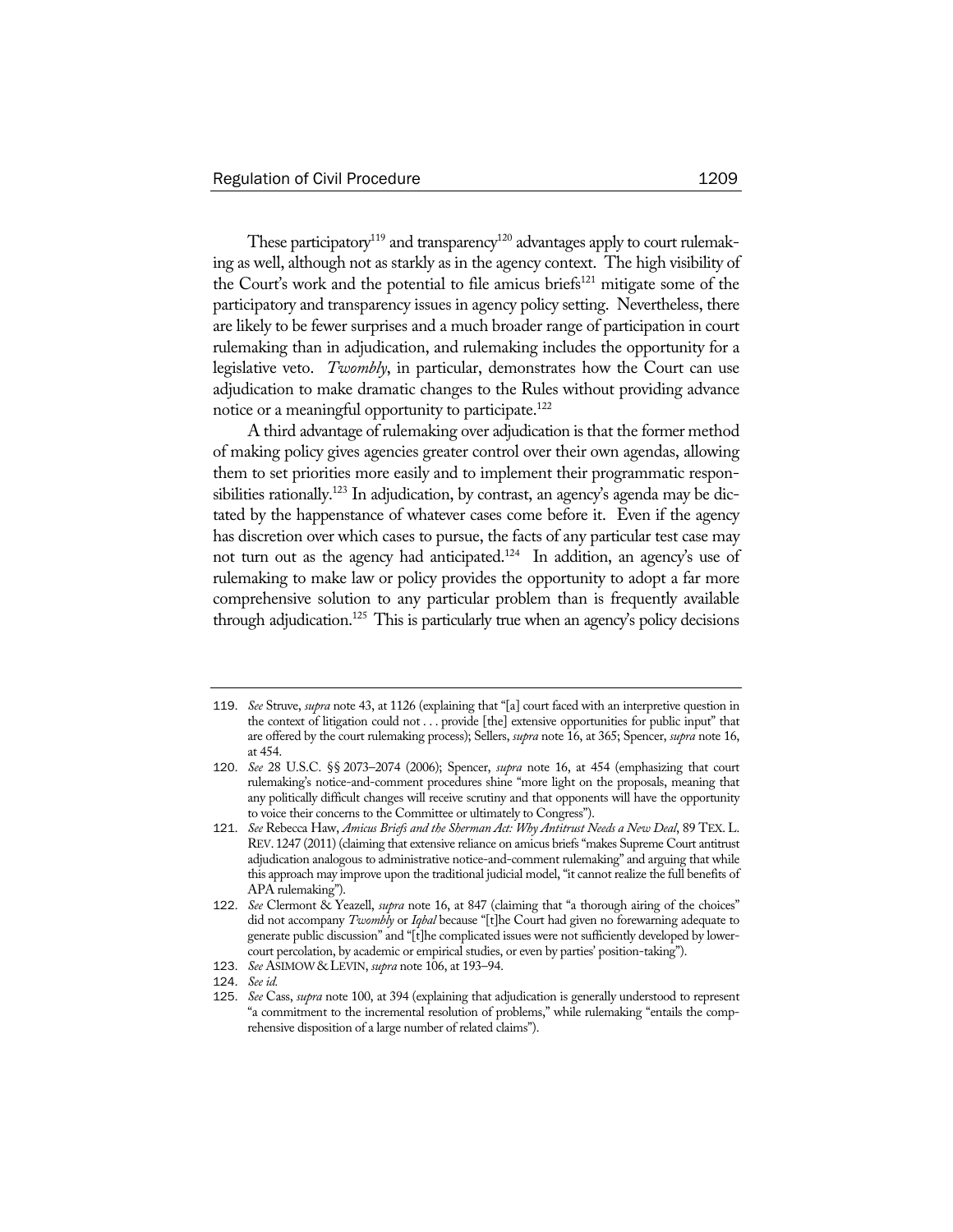These participatory<sup>119</sup> and transparency<sup>120</sup> advantages apply to court rulemaking as well, although not as starkly as in the agency context. The high visibility of the Court's work and the potential to file amicus briefs<sup>121</sup> mitigate some of the participatory and transparency issues in agency policy setting. Nevertheless, there are likely to be fewer surprises and a much broader range of participation in court rulemaking than in adjudication, and rulemaking includes the opportunity for a legislative veto. *Twombly*, in particular, demonstrates how the Court can use adjudication to make dramatic changes to the Rules without providing advance notice or a meaningful opportunity to participate.<sup>122</sup>

A third advantage of rulemaking over adjudication is that the former method of making policy gives agencies greater control over their own agendas, allowing them to set priorities more easily and to implement their programmatic responsibilities rationally.<sup>123</sup> In adjudication, by contrast, an agency's agenda may be dictated by the happenstance of whatever cases come before it. Even if the agency has discretion over which cases to pursue, the facts of any particular test case may not turn out as the agency had anticipated.<sup>124</sup> In addition, an agency's use of rulemaking to make law or policy provides the opportunity to adopt a far more comprehensive solution to any particular problem than is frequently available through adjudication.125 This is particularly true when an agency's policy decisions

<sup>119</sup>. *See* Struve, *supra* note 43, at 1126 (explaining that "[a] court faced with an interpretive question in the context of litigation could not . . . provide [the] extensive opportunities for public input" that are offered by the court rulemaking process); Sellers, *supra* note 16, at 365; Spencer, *supra* note 16, at 454.

<sup>120</sup>. *See* 28 U.S.C. §§ 2073–2074 (2006); Spencer, *supra* note 16, at 454 (emphasizing that court rulemaking's notice-and-comment procedures shine "more light on the proposals, meaning that any politically difficult changes will receive scrutiny and that opponents will have the opportunity to voice their concerns to the Committee or ultimately to Congress").

<sup>121</sup>. *See* Rebecca Haw, *Amicus Briefs and the Sherman Act: Why Antitrust Needs a New Deal*, 89 TEX. L. REV. 1247 (2011) (claiming that extensive reliance on amicus briefs "makes Supreme Court antitrust adjudication analogous to administrative notice-and-comment rulemaking" and arguing that while this approach may improve upon the traditional judicial model, "it cannot realize the full benefits of APA rulemaking").

<sup>122</sup>. *See* Clermont & Yeazell, *supra* note 16, at 847 (claiming that "a thorough airing of the choices" did not accompany *Twombly* or *Iqbal* because "[t]he Court had given no forewarning adequate to generate public discussion" and "[t]he complicated issues were not sufficiently developed by lowercourt percolation, by academic or empirical studies, or even by parties' position-taking").

<sup>123</sup>. *See* ASIMOW & LEVIN, *supra* note 106, at 193–94.

<sup>124</sup>. *See id.*

<sup>125</sup>. *See* Cass, *supra* note 100, at 394 (explaining that adjudication is generally understood to represent "a commitment to the incremental resolution of problems," while rulemaking "entails the comprehensive disposition of a large number of related claims").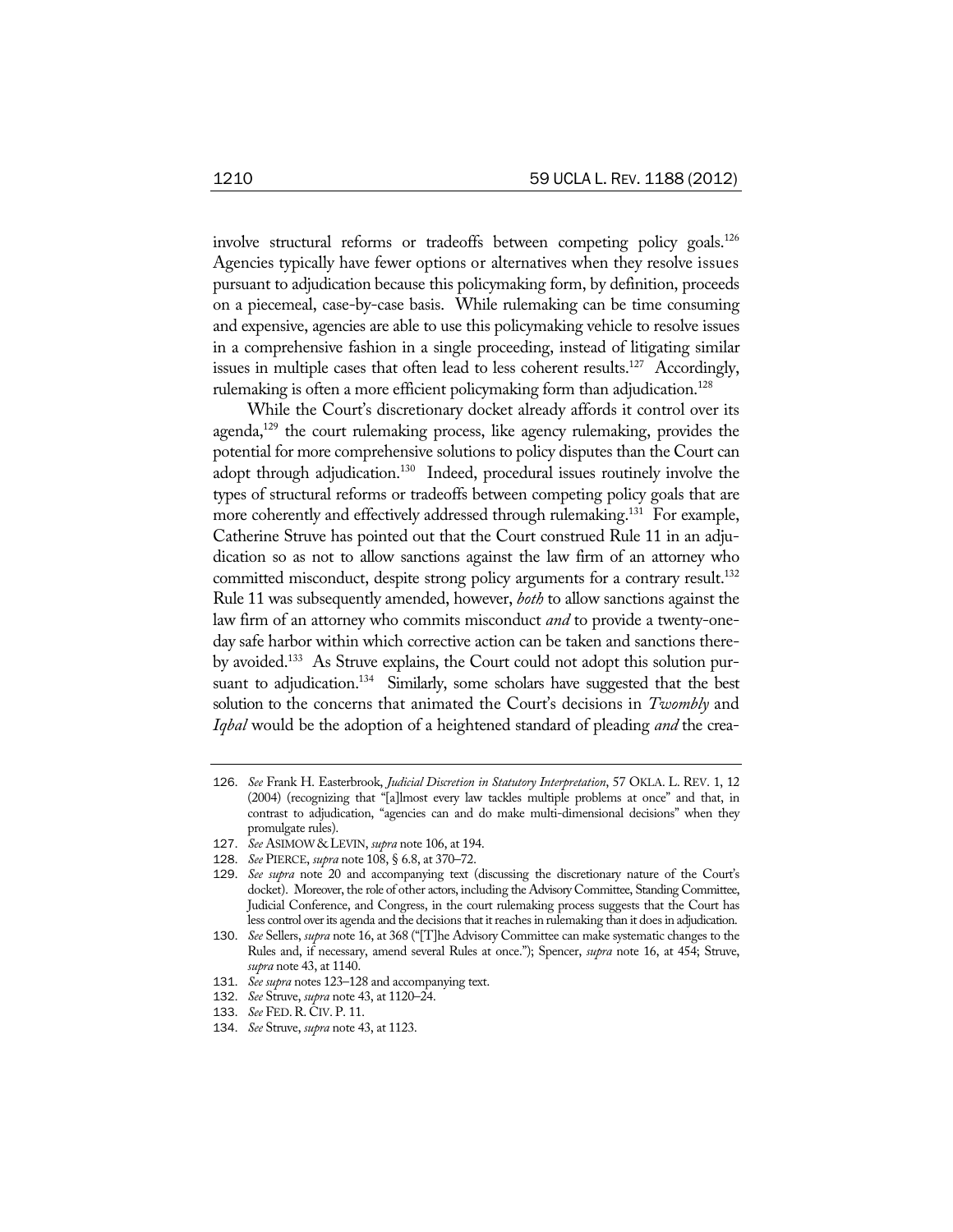involve structural reforms or tradeoffs between competing policy goals.<sup>126</sup> Agencies typically have fewer options or alternatives when they resolve issues pursuant to adjudication because this policymaking form, by definition, proceeds on a piecemeal, case-by-case basis. While rulemaking can be time consuming and expensive, agencies are able to use this policymaking vehicle to resolve issues in a comprehensive fashion in a single proceeding, instead of litigating similar issues in multiple cases that often lead to less coherent results.<sup>127</sup> Accordingly, rulemaking is often a more efficient policymaking form than adjudication.<sup>128</sup>

While the Court's discretionary docket already affords it control over its agenda,<sup>129</sup> the court rulemaking process, like agency rulemaking, provides the potential for more comprehensive solutions to policy disputes than the Court can adopt through adjudication.<sup>130</sup> Indeed, procedural issues routinely involve the types of structural reforms or tradeoffs between competing policy goals that are more coherently and effectively addressed through rulemaking.<sup>131</sup> For example, Catherine Struve has pointed out that the Court construed Rule 11 in an adjudication so as not to allow sanctions against the law firm of an attorney who committed misconduct, despite strong policy arguments for a contrary result.<sup>132</sup> Rule 11 was subsequently amended, however, *both* to allow sanctions against the law firm of an attorney who commits misconduct *and* to provide a twenty-oneday safe harbor within which corrective action can be taken and sanctions thereby avoided.133 As Struve explains, the Court could not adopt this solution pursuant to adjudication.<sup>134</sup> Similarly, some scholars have suggested that the best solution to the concerns that animated the Court's decisions in *Twombly* and *Iqbal* would be the adoption of a heightened standard of pleading *and* the crea-

<sup>126</sup>. *See* Frank H. Easterbrook, *Judicial Discretion in Statutory Interpretation*, 57 OKLA. L. REV. 1, 12 (2004) (recognizing that "[a]lmost every law tackles multiple problems at once" and that, in contrast to adjudication, "agencies can and do make multi-dimensional decisions" when they promulgate rules).

<sup>127</sup>. *See* ASIMOW & LEVIN, *supra* note 106, at 194.

<sup>128</sup>. *See* PIERCE, *supra* note 108, § 6.8, at 370–72.

<sup>129</sup>. *See supra* note 20 and accompanying text (discussing the discretionary nature of the Court's docket). Moreover, the role of other actors, including the Advisory Committee, Standing Committee, Judicial Conference, and Congress, in the court rulemaking process suggests that the Court has less control over its agenda and the decisions that it reaches in rulemaking than it does in adjudication.

<sup>130</sup>. *See* Sellers, *supra* note 16, at 368 ("[T]he Advisory Committee can make systematic changes to the Rules and, if necessary, amend several Rules at once."); Spencer, *supra* note 16, at 454; Struve, *supra* note 43, at 1140.

<sup>131</sup>. *See supra* notes 123–128 and accompanying text.

<sup>132</sup>. *See* Struve, *supra* note 43, at 1120–24.

<sup>133</sup>. *See* FED.R. CIV. P. 11.

<sup>134</sup>. *See* Struve, *supra* note 43, at 1123.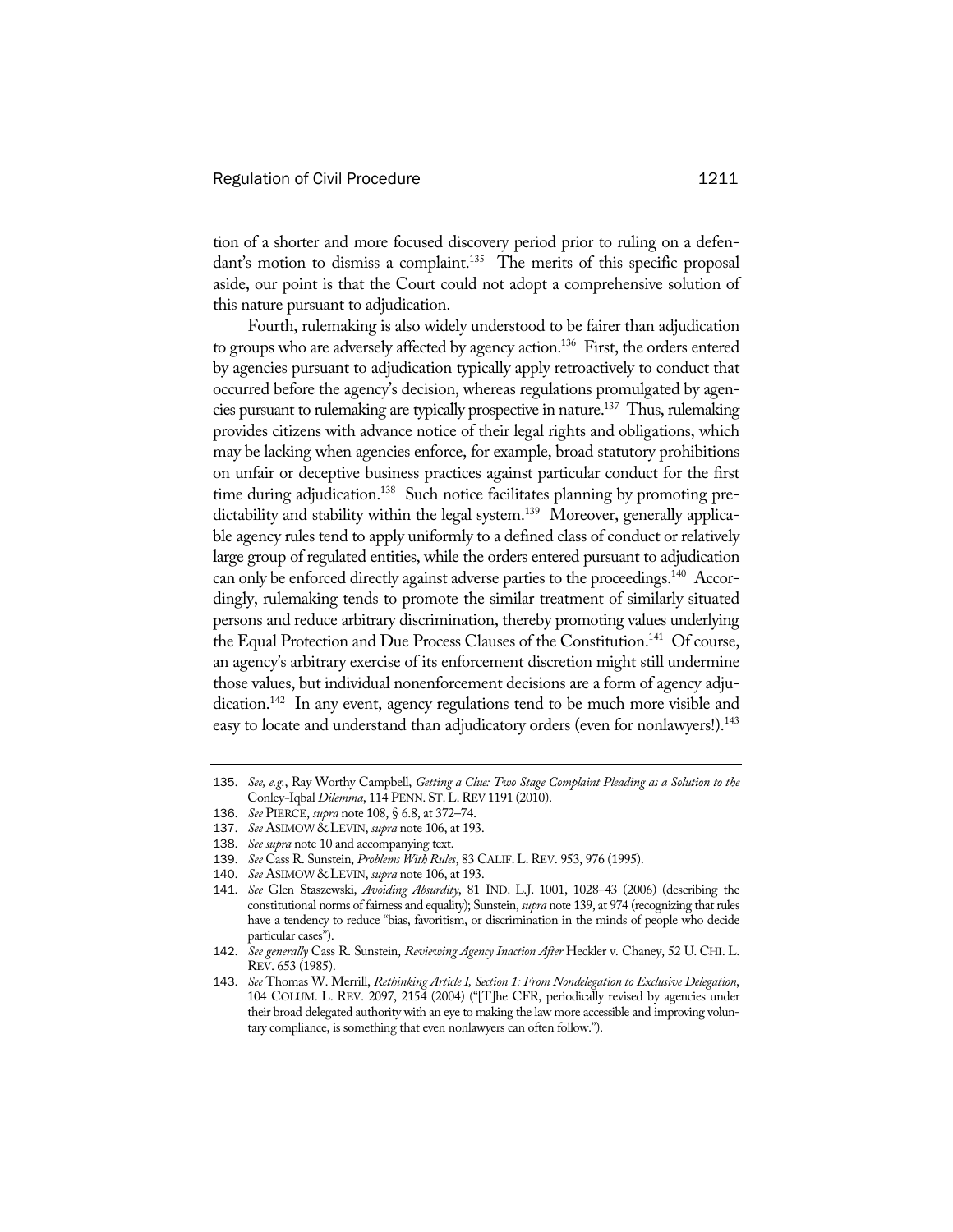tion of a shorter and more focused discovery period prior to ruling on a defendant's motion to dismiss a complaint.<sup>135</sup> The merits of this specific proposal aside, our point is that the Court could not adopt a comprehensive solution of this nature pursuant to adjudication.

Fourth, rulemaking is also widely understood to be fairer than adjudication to groups who are adversely affected by agency action.<sup>136</sup> First, the orders entered by agencies pursuant to adjudication typically apply retroactively to conduct that occurred before the agency's decision, whereas regulations promulgated by agencies pursuant to rulemaking are typically prospective in nature.137 Thus, rulemaking provides citizens with advance notice of their legal rights and obligations, which may be lacking when agencies enforce, for example, broad statutory prohibitions on unfair or deceptive business practices against particular conduct for the first time during adjudication.<sup>138</sup> Such notice facilitates planning by promoting predictability and stability within the legal system.<sup>139</sup> Moreover, generally applicable agency rules tend to apply uniformly to a defined class of conduct or relatively large group of regulated entities, while the orders entered pursuant to adjudication can only be enforced directly against adverse parties to the proceedings.<sup>140</sup> Accordingly, rulemaking tends to promote the similar treatment of similarly situated persons and reduce arbitrary discrimination, thereby promoting values underlying the Equal Protection and Due Process Clauses of the Constitution.<sup>141</sup> Of course, an agency's arbitrary exercise of its enforcement discretion might still undermine those values, but individual nonenforcement decisions are a form of agency adjudication.<sup>142</sup> In any event, agency regulations tend to be much more visible and easy to locate and understand than adjudicatory orders (even for nonlawyers!).<sup>143</sup>

<sup>135</sup>. *See, e.g.*, Ray Worthy Campbell, *Getting a Clue: Two Stage Complaint Pleading as a Solution to the*  Conley*-*Iqbal *Dilemma*, 114 PENN. ST.L.REV 1191 (2010).

<sup>136</sup>. *See* PIERCE, *supra* note 108, § 6.8, at 372–74.

<sup>137</sup>. *See* ASIMOW & LEVIN, *supra* note 106, at 193.

<sup>138</sup>. *See supra* note 10 and accompanying text.

<sup>139</sup>. *See* Cass R. Sunstein, *Problems With Rules*, 83 CALIF.L.REV. 953, 976 (1995).

<sup>140</sup>. *See* ASIMOW & LEVIN, *supra* note 106, at 193.

<sup>141</sup>. *See* Glen Staszewski, *Avoiding Absurdity*, 81 IND. L.J. 1001, 1028–43 (2006) (describing the constitutional norms of fairness and equality); Sunstein, *supra* note 139, at 974 (recognizing that rules have a tendency to reduce "bias, favoritism, or discrimination in the minds of people who decide particular cases").

<sup>142</sup>. *See generally* Cass R. Sunstein, *Reviewing Agency Inaction After* Heckler v. Chaney, 52 U. CHI. L. REV. 653 (1985).

<sup>143</sup>. *See* Thomas W. Merrill, *Rethinking Article I, Section 1: From Nondelegation to Exclusive Delegation*, 104 COLUM. L. REV. 2097, 2154 (2004) ("[T]he CFR, periodically revised by agencies under their broad delegated authority with an eye to making the law more accessible and improving voluntary compliance, is something that even nonlawyers can often follow.").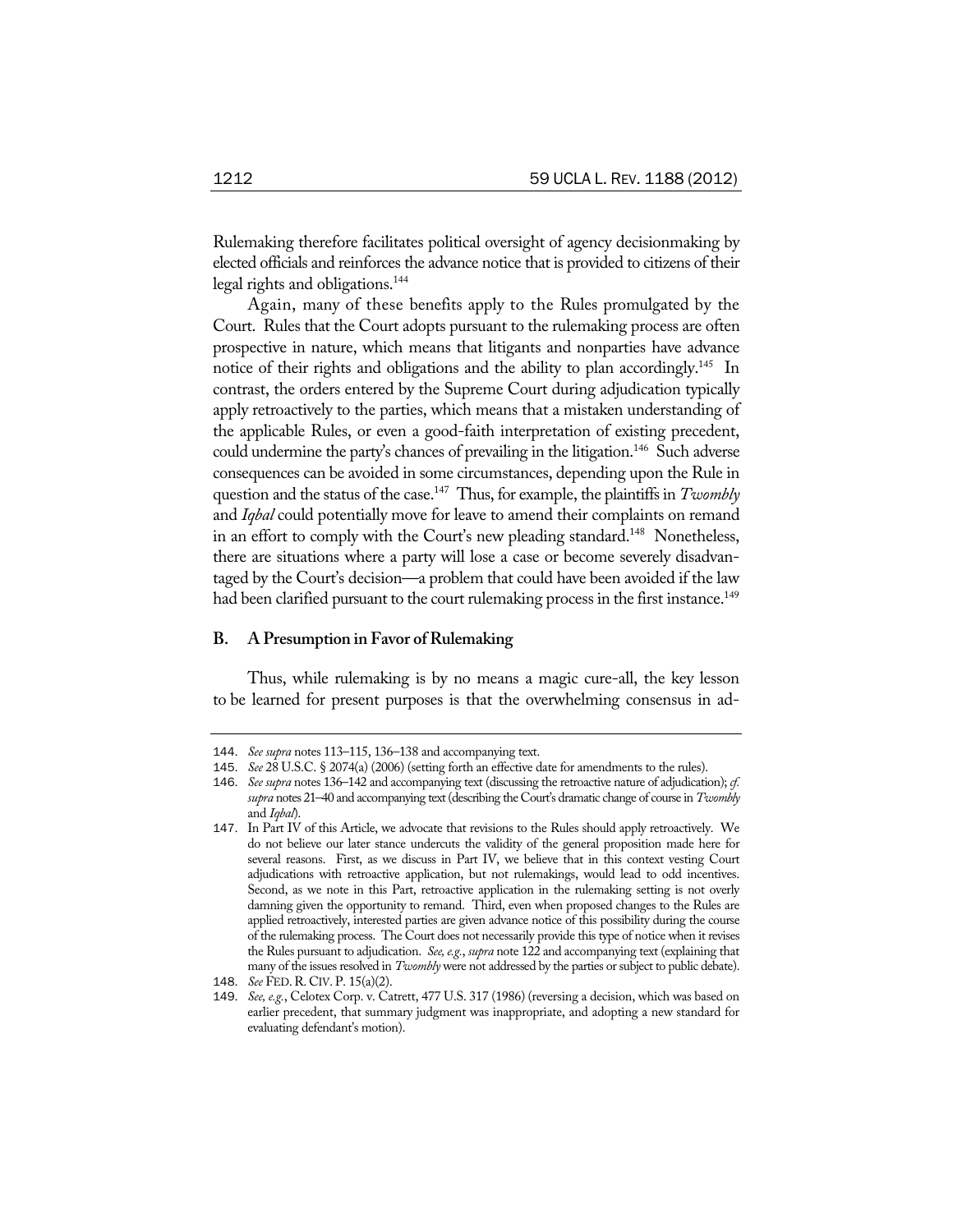Rulemaking therefore facilitates political oversight of agency decisionmaking by elected officials and reinforces the advance notice that is provided to citizens of their legal rights and obligations.144

Again, many of these benefits apply to the Rules promulgated by the Court. Rules that the Court adopts pursuant to the rulemaking process are often prospective in nature, which means that litigants and nonparties have advance notice of their rights and obligations and the ability to plan accordingly.<sup>145</sup> In contrast, the orders entered by the Supreme Court during adjudication typically apply retroactively to the parties, which means that a mistaken understanding of the applicable Rules, or even a good-faith interpretation of existing precedent, could undermine the party's chances of prevailing in the litigation.<sup>146</sup> Such adverse consequences can be avoided in some circumstances, depending upon the Rule in question and the status of the case.<sup>147</sup> Thus, for example, the plaintiffs in *Twombly* and *Iqbal* could potentially move for leave to amend their complaints on remand in an effort to comply with the Court's new pleading standard.<sup>148</sup> Nonetheless, there are situations where a party will lose a case or become severely disadvantaged by the Court's decision—a problem that could have been avoided if the law had been clarified pursuant to the court rulemaking process in the first instance.<sup>149</sup>

#### **B. A Presumption in Favor of Rulemaking**

Thus, while rulemaking is by no means a magic cure-all, the key lesson to be learned for present purposes is that the overwhelming consensus in ad-

<sup>144</sup>. *See supra* notes 113–115, 136–138 and accompanying text.

<sup>145</sup>. *See* 28 U.S.C. § 2074(a) (2006) (setting forth an effective date for amendments to the rules).

<sup>146</sup>. *See supra* notes 136–142 and accompanying text (discussing the retroactive nature of adjudication); *cf. supra* notes 21–40 and accompanying text (describing the Court's dramatic change of course in *Twombly* and *Iqbal*).

<sup>147</sup>. In Part IV of this Article, we advocate that revisions to the Rules should apply retroactively. We do not believe our later stance undercuts the validity of the general proposition made here for several reasons. First, as we discuss in Part IV, we believe that in this context vesting Court adjudications with retroactive application, but not rulemakings, would lead to odd incentives. Second, as we note in this Part, retroactive application in the rulemaking setting is not overly damning given the opportunity to remand. Third, even when proposed changes to the Rules are applied retroactively, interested parties are given advance notice of this possibility during the course of the rulemaking process. The Court does not necessarily provide this type of notice when it revises the Rules pursuant to adjudication. *See, e.g.*, *supra* note 122 and accompanying text (explaining that many of the issues resolved in *Twombly* were not addressed by the parties or subject to public debate).

<sup>148</sup>. *See* FED.R. CIV. P. 15(a)(2).

<sup>149</sup>. *See, e.g.*, Celotex Corp. v. Catrett, 477 U.S. 317 (1986) (reversing a decision, which was based on earlier precedent, that summary judgment was inappropriate, and adopting a new standard for evaluating defendant's motion).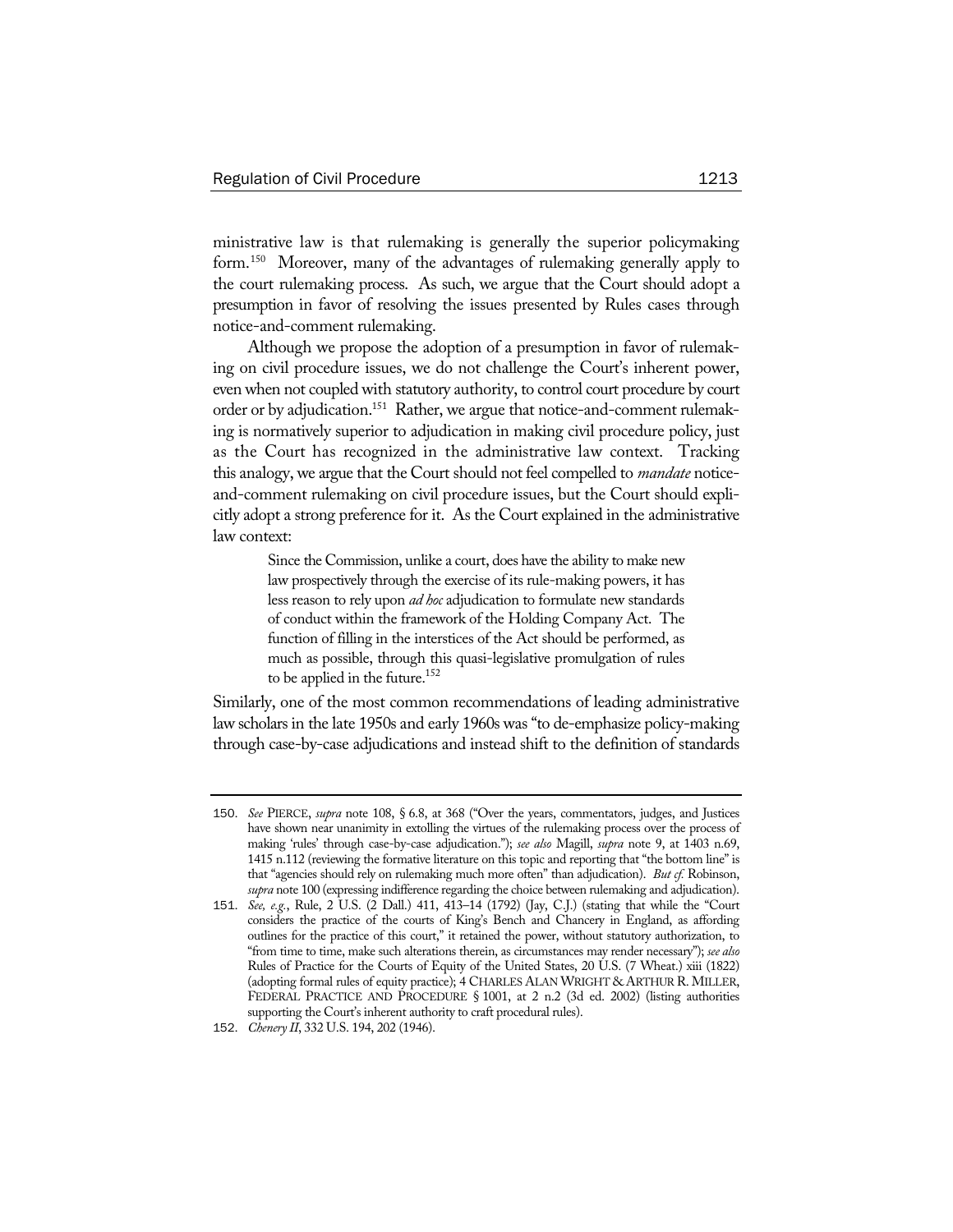ministrative law is that rulemaking is generally the superior policymaking form.150 Moreover, many of the advantages of rulemaking generally apply to the court rulemaking process. As such, we argue that the Court should adopt a presumption in favor of resolving the issues presented by Rules cases through notice-and-comment rulemaking.

Although we propose the adoption of a presumption in favor of rulemaking on civil procedure issues, we do not challenge the Court's inherent power, even when not coupled with statutory authority, to control court procedure by court order or by adjudication.<sup>151</sup> Rather, we argue that notice-and-comment rulemaking is normatively superior to adjudication in making civil procedure policy, just as the Court has recognized in the administrative law context. Tracking this analogy, we argue that the Court should not feel compelled to *mandate* noticeand-comment rulemaking on civil procedure issues, but the Court should explicitly adopt a strong preference for it. As the Court explained in the administrative law context:

> Since the Commission, unlike a court, does have the ability to make new law prospectively through the exercise of its rule-making powers, it has less reason to rely upon *ad hoc* adjudication to formulate new standards of conduct within the framework of the Holding Company Act. The function of filling in the interstices of the Act should be performed, as much as possible, through this quasi-legislative promulgation of rules to be applied in the future.<sup>152</sup>

Similarly, one of the most common recommendations of leading administrative law scholars in the late 1950s and early 1960s was "to de-emphasize policy-making through case-by-case adjudications and instead shift to the definition of standards

<sup>150</sup>. *See* PIERCE, *supra* note 108, § 6.8, at 368 ("Over the years, commentators, judges, and Justices have shown near unanimity in extolling the virtues of the rulemaking process over the process of making 'rules' through case-by-case adjudication."); *see also* Magill, *supra* note 9, at 1403 n.69, 1415 n.112 (reviewing the formative literature on this topic and reporting that "the bottom line" is that "agencies should rely on rulemaking much more often" than adjudication). *But cf.* Robinson, *supra* note 100 (expressing indifference regarding the choice between rulemaking and adjudication).

<sup>151</sup>. *See, e.g.*, Rule, 2 U.S. (2 Dall.) 411, 413–14 (1792) (Jay, C.J.) (stating that while the "Court considers the practice of the courts of King's Bench and Chancery in England, as affording outlines for the practice of this court," it retained the power, without statutory authorization, to "from time to time, make such alterations therein, as circumstances may render necessary"); *see also* Rules of Practice for the Courts of Equity of the United States, 20 U.S. (7 Wheat.) xiii (1822) (adopting formal rules of equity practice); 4 CHARLES ALAN WRIGHT & ARTHUR R. MILLER, FEDERAL PRACTICE AND PROCEDURE § 1001, at 2 n.2 (3d ed. 2002) (listing authorities supporting the Court's inherent authority to craft procedural rules).

<sup>152</sup>. *Chenery II*, 332 U.S. 194, 202 (1946).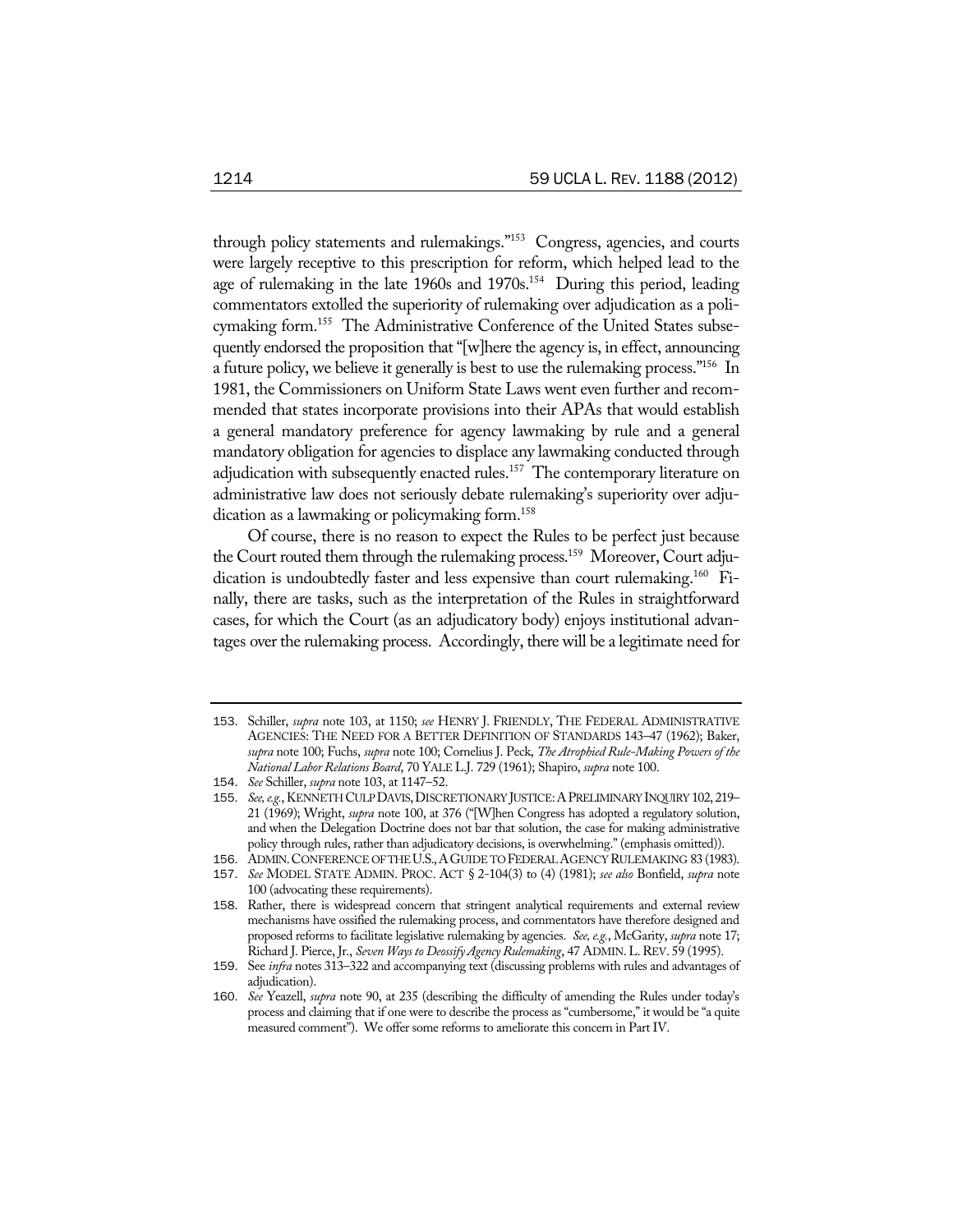through policy statements and rulemakings."153 Congress, agencies, and courts were largely receptive to this prescription for reform, which helped lead to the age of rulemaking in the late 1960s and 1970s.<sup>154</sup> During this period, leading commentators extolled the superiority of rulemaking over adjudication as a policymaking form.<sup>155</sup> The Administrative Conference of the United States subsequently endorsed the proposition that "[w]here the agency is, in effect, announcing a future policy, we believe it generally is best to use the rulemaking process."<sup>156</sup> In 1981, the Commissioners on Uniform State Laws went even further and recommended that states incorporate provisions into their APAs that would establish a general mandatory preference for agency lawmaking by rule and a general mandatory obligation for agencies to displace any lawmaking conducted through adjudication with subsequently enacted rules.<sup>157</sup> The contemporary literature on administrative law does not seriously debate rulemaking's superiority over adjudication as a lawmaking or policymaking form.<sup>158</sup>

Of course, there is no reason to expect the Rules to be perfect just because the Court routed them through the rulemaking process.<sup>159</sup> Moreover, Court adjudication is undoubtedly faster and less expensive than court rulemaking.<sup>160</sup> Finally, there are tasks, such as the interpretation of the Rules in straightforward cases, for which the Court (as an adjudicatory body) enjoys institutional advantages over the rulemaking process. Accordingly, there will be a legitimate need for

<sup>153</sup>. Schiller, *supra* note 103, at 1150; *see* HENRY J. FRIENDLY, THE FEDERAL ADMINISTRATIVE AGENCIES: THE NEED FOR A BETTER DEFINITION OF STANDARDS 143–47 (1962); Baker, *supra* note 100; Fuchs, *supra* note 100; Cornelius J. Peck, *The Atrophied Rule-Making Powers of the National Labor Relations Board*, 70 YALE L.J. 729 (1961); Shapiro, *supra* note 100.

<sup>154</sup>. *See* Schiller, *supra* note 103, at 1147–52.

<sup>155</sup>. *See, e.g.*, KENNETH CULP DAVIS,DISCRETIONARY JUSTICE:APRELIMINARY INQUIRY 102, 219– 21 (1969); Wright, *supra* note 100, at 376 ("[W]hen Congress has adopted a regulatory solution, and when the Delegation Doctrine does not bar that solution, the case for making administrative policy through rules, rather than adjudicatory decisions, is overwhelming." (emphasis omitted)).

<sup>156</sup>. ADMIN.CONFERENCE OF THE U.S.,AGUIDE TO FEDERAL AGENCY RULEMAKING 83 (1983).

<sup>157</sup>. *See* MODEL STATE ADMIN. PROC. ACT § 2-104(3) to (4) (1981); *see also* Bonfield, *supra* note 100 (advocating these requirements).

<sup>158</sup>. Rather, there is widespread concern that stringent analytical requirements and external review mechanisms have ossified the rulemaking process, and commentators have therefore designed and proposed reforms to facilitate legislative rulemaking by agencies. *See, e.g.*, McGarity, *supra* note 17; Richard J. Pierce, Jr., *Seven Ways to Deossify Agency Rulemaking*, 47 ADMIN.L.REV. 59 (1995).

<sup>159</sup>. See *infra* notes 313–322 and accompanying text (discussing problems with rules and advantages of adjudication).

<sup>160</sup>. *See* Yeazell, *supra* note 90, at 235 (describing the difficulty of amending the Rules under today's process and claiming that if one were to describe the process as "cumbersome," it would be "a quite measured comment"). We offer some reforms to ameliorate this concern in Part IV.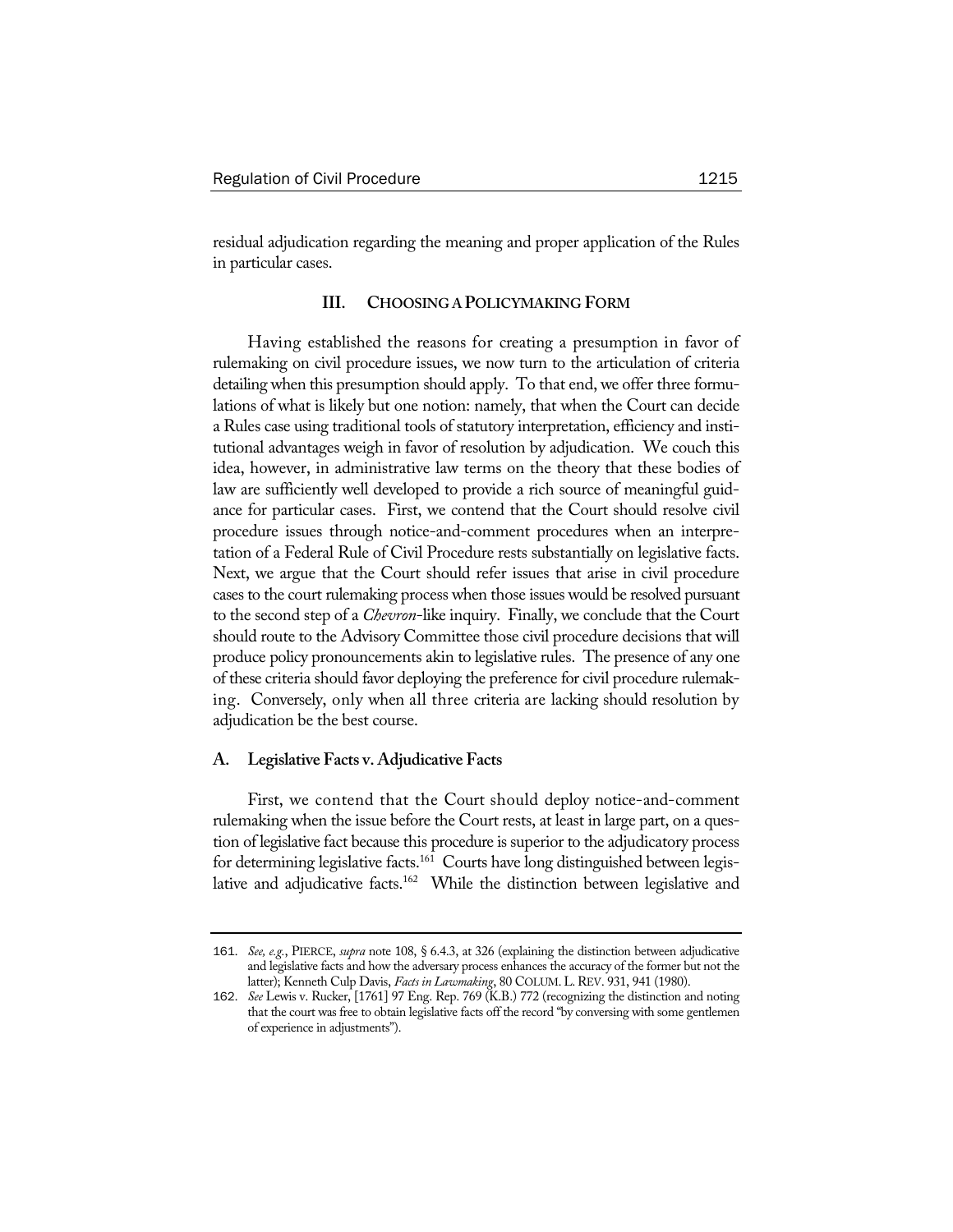residual adjudication regarding the meaning and proper application of the Rules in particular cases.

#### **III. CHOOSING A POLICYMAKING FORM**

Having established the reasons for creating a presumption in favor of rulemaking on civil procedure issues, we now turn to the articulation of criteria detailing when this presumption should apply. To that end, we offer three formulations of what is likely but one notion: namely, that when the Court can decide a Rules case using traditional tools of statutory interpretation, efficiency and institutional advantages weigh in favor of resolution by adjudication. We couch this idea, however, in administrative law terms on the theory that these bodies of law are sufficiently well developed to provide a rich source of meaningful guidance for particular cases. First, we contend that the Court should resolve civil procedure issues through notice-and-comment procedures when an interpretation of a Federal Rule of Civil Procedure rests substantially on legislative facts. Next, we argue that the Court should refer issues that arise in civil procedure cases to the court rulemaking process when those issues would be resolved pursuant to the second step of a *Chevron*-like inquiry. Finally, we conclude that the Court should route to the Advisory Committee those civil procedure decisions that will produce policy pronouncements akin to legislative rules. The presence of any one of these criteria should favor deploying the preference for civil procedure rulemaking. Conversely, only when all three criteria are lacking should resolution by adjudication be the best course.

#### **A. Legislative Facts v. Adjudicative Facts**

First, we contend that the Court should deploy notice-and-comment rulemaking when the issue before the Court rests, at least in large part, on a question of legislative fact because this procedure is superior to the adjudicatory process for determining legislative facts.<sup>161</sup> Courts have long distinguished between legislative and adjudicative facts.<sup>162</sup> While the distinction between legislative and

<sup>161</sup>. *See, e.g.*, PIERCE, *supra* note 108, § 6.4.3, at 326 (explaining the distinction between adjudicative and legislative facts and how the adversary process enhances the accuracy of the former but not the latter); Kenneth Culp Davis, *Facts in Lawmaking*, 80 COLUM. L. REV. 931, 941 (1980).

<sup>162</sup>. *See* Lewis v. Rucker, [1761] 97 Eng. Rep. 769 (K.B.) 772 (recognizing the distinction and noting that the court was free to obtain legislative facts off the record "by conversing with some gentlemen of experience in adjustments").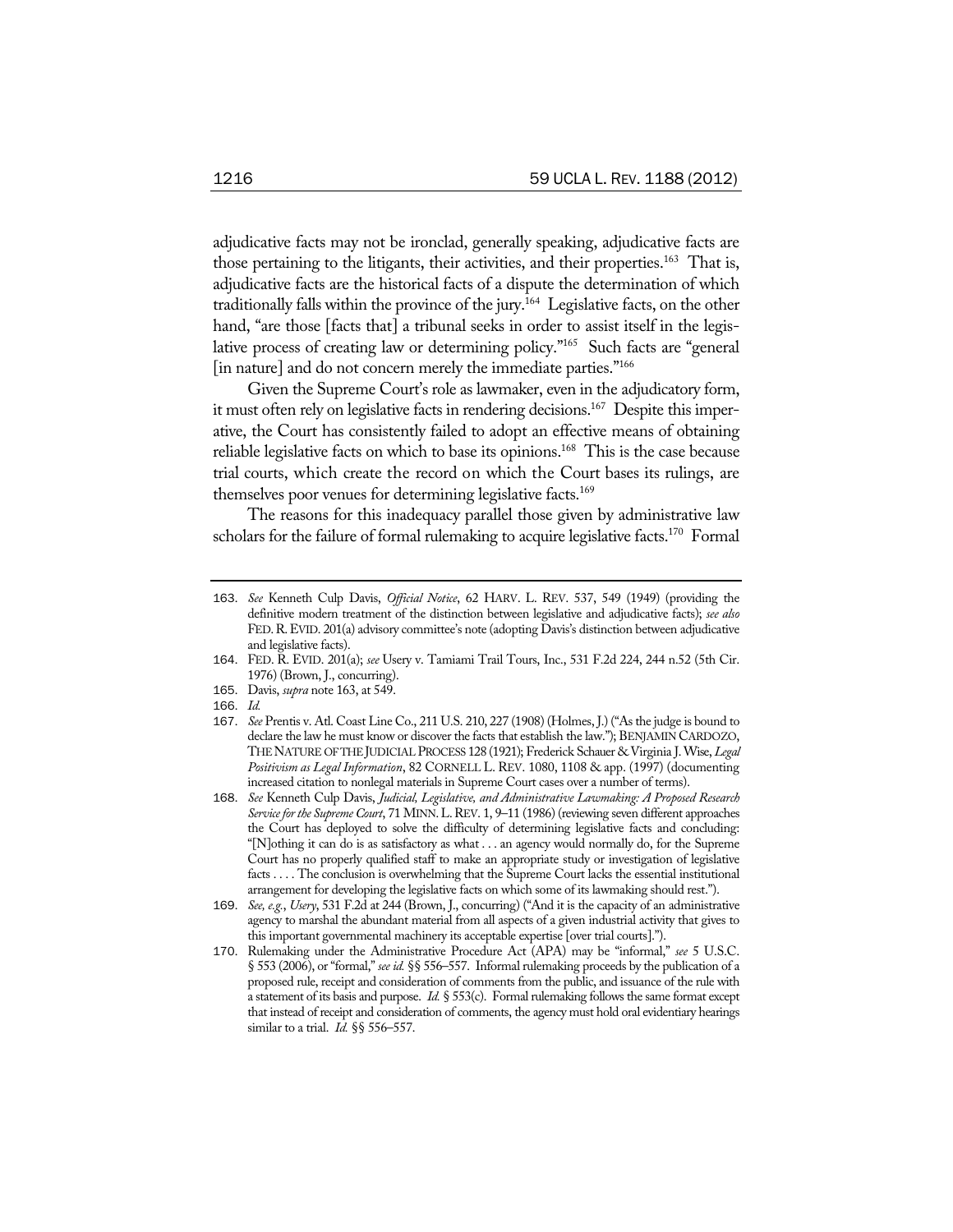adjudicative facts may not be ironclad, generally speaking, adjudicative facts are those pertaining to the litigants, their activities, and their properties.<sup>163</sup> That is, adjudicative facts are the historical facts of a dispute the determination of which traditionally falls within the province of the jury.164 Legislative facts, on the other hand, "are those [facts that] a tribunal seeks in order to assist itself in the legislative process of creating law or determining policy."<sup>165</sup> Such facts are "general [in nature] and do not concern merely the immediate parties."<sup>166</sup>

Given the Supreme Court's role as lawmaker, even in the adjudicatory form, it must often rely on legislative facts in rendering decisions.<sup>167</sup> Despite this imperative, the Court has consistently failed to adopt an effective means of obtaining reliable legislative facts on which to base its opinions.<sup>168</sup> This is the case because trial courts, which create the record on which the Court bases its rulings, are themselves poor venues for determining legislative facts.<sup>169</sup>

The reasons for this inadequacy parallel those given by administrative law scholars for the failure of formal rulemaking to acquire legislative facts.<sup>170</sup> Formal

- 164. FED. R. EVID. 201(a); *see* Usery v. Tamiami Trail Tours, Inc., 531 F.2d 224, 244 n.52 (5th Cir. 1976) (Brown, J., concurring).
- 165. Davis, *supra* note 163, at 549.
- 166. *Id.*
- 167. *See* Prentis v. Atl. Coast Line Co., 211 U.S. 210, 227 (1908) (Holmes, J.) ("As the judge is bound to declare the law he must know or discover the facts that establish the law."); BENJAMIN CARDOZO, THE NATURE OF THE JUDICIAL PROCESS 128 (1921); Frederick Schauer & Virginia J. Wise, *Legal Positivism as Legal Information*, 82 CORNELL L. REV. 1080, 1108 & app. (1997) (documenting increased citation to nonlegal materials in Supreme Court cases over a number of terms).
- 168. *See* Kenneth Culp Davis, *Judicial, Legislative, and Administrative Lawmaking: A Proposed Research Service for the Supreme Court*, 71 MINN.L.REV. 1, 9–11 (1986) (reviewing seven different approaches the Court has deployed to solve the difficulty of determining legislative facts and concluding: "[N]othing it can do is as satisfactory as what . . . an agency would normally do, for the Supreme Court has no properly qualified staff to make an appropriate study or investigation of legislative facts . . . . The conclusion is overwhelming that the Supreme Court lacks the essential institutional arrangement for developing the legislative facts on which some of its lawmaking should rest.").
- 169. *See, e.g.*, *Usery*, 531 F.2d at 244 (Brown, J., concurring) ("And it is the capacity of an administrative agency to marshal the abundant material from all aspects of a given industrial activity that gives to this important governmental machinery its acceptable expertise [over trial courts].").
- 170. Rulemaking under the Administrative Procedure Act (APA) may be "informal," *see* 5 U.S.C. § 553 (2006), or "formal," *see id.* §§ 556–557. Informal rulemaking proceeds by the publication of a proposed rule, receipt and consideration of comments from the public, and issuance of the rule with a statement of its basis and purpose. *Id.* § 553(c). Formal rulemaking follows the same format except that instead of receipt and consideration of comments, the agency must hold oral evidentiary hearings similar to a trial. *Id.* §§ 556–557.

<sup>163</sup>. *See* Kenneth Culp Davis, *Official Notice*, 62 HARV. L. REV. 537, 549 (1949) (providing the definitive modern treatment of the distinction between legislative and adjudicative facts); *see also* FED.R.EVID. 201(a) advisory committee's note (adopting Davis's distinction between adjudicative and legislative facts).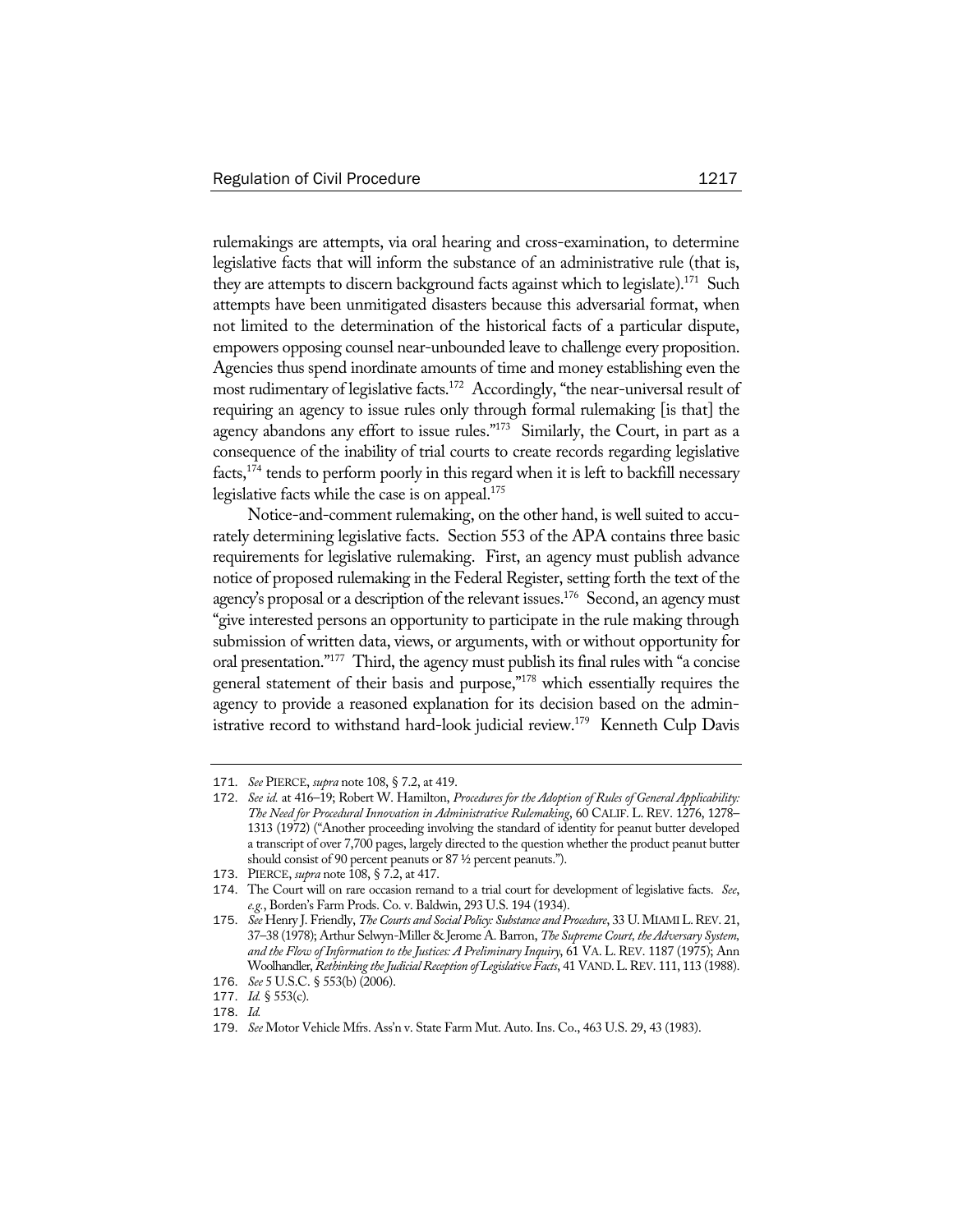rulemakings are attempts, via oral hearing and cross-examination, to determine legislative facts that will inform the substance of an administrative rule (that is, they are attempts to discern background facts against which to legislate).<sup>171</sup> Such attempts have been unmitigated disasters because this adversarial format, when not limited to the determination of the historical facts of a particular dispute, empowers opposing counsel near-unbounded leave to challenge every proposition. Agencies thus spend inordinate amounts of time and money establishing even the most rudimentary of legislative facts.172 Accordingly, "the near-universal result of requiring an agency to issue rules only through formal rulemaking [is that] the agency abandons any effort to issue rules."173 Similarly, the Court, in part as a consequence of the inability of trial courts to create records regarding legislative facts, $174$  tends to perform poorly in this regard when it is left to backfill necessary legislative facts while the case is on appeal.<sup>175</sup>

Notice-and-comment rulemaking, on the other hand, is well suited to accurately determining legislative facts. Section 553 of the APA contains three basic requirements for legislative rulemaking. First, an agency must publish advance notice of proposed rulemaking in the Federal Register, setting forth the text of the agency's proposal or a description of the relevant issues.<sup>176</sup> Second, an agency must "give interested persons an opportunity to participate in the rule making through submission of written data, views, or arguments, with or without opportunity for oral presentation."177 Third, the agency must publish its final rules with "a concise general statement of their basis and purpose,"178 which essentially requires the agency to provide a reasoned explanation for its decision based on the administrative record to withstand hard-look judicial review.<sup>179</sup> Kenneth Culp Davis

<sup>171</sup>. *See* PIERCE, *supra* note 108, § 7.2, at 419.

<sup>172</sup>. *See id.* at 416–19; Robert W. Hamilton, *Procedures for the Adoption of Rules of General Applicability: The Need for Procedural Innovation in Administrative Rulemaking*, 60 CALIF. L. REV. 1276, 1278– 1313 (1972) ("Another proceeding involving the standard of identity for peanut butter developed a transcript of over 7,700 pages, largely directed to the question whether the product peanut butter should consist of 90 percent peanuts or 87 ½ percent peanuts.").

<sup>173</sup>. PIERCE, *supra* note 108, § 7.2, at 417.

<sup>174</sup>. The Court will on rare occasion remand to a trial court for development of legislative facts. *See*, *e.g.*, Borden's Farm Prods. Co. v. Baldwin, 293 U.S. 194 (1934).

<sup>175</sup>. *See* Henry J. Friendly, *The Courts and Social Policy: Substance and Procedure*, 33 U.MIAMI L.REV. 21, 37–38 (1978); Arthur Selwyn-Miller & Jerome A. Barron, *The Supreme Court, the Adversary System, and the Flow of Information to the Justices: A Preliminary Inquiry*, 61 VA. L. REV. 1187 (1975); Ann Woolhandler, *Rethinking the Judicial Reception of Legislative Facts*, 41 VAND.L.REV. 111, 113 (1988).

<sup>176</sup>. *See* 5 U.S.C. § 553(b) (2006).

<sup>177</sup>. *Id.* § 553(c).

<sup>178</sup>. *Id.*

<sup>179</sup>. *See* Motor Vehicle Mfrs. Ass'n v. State Farm Mut. Auto. Ins. Co., 463 U.S. 29, 43 (1983).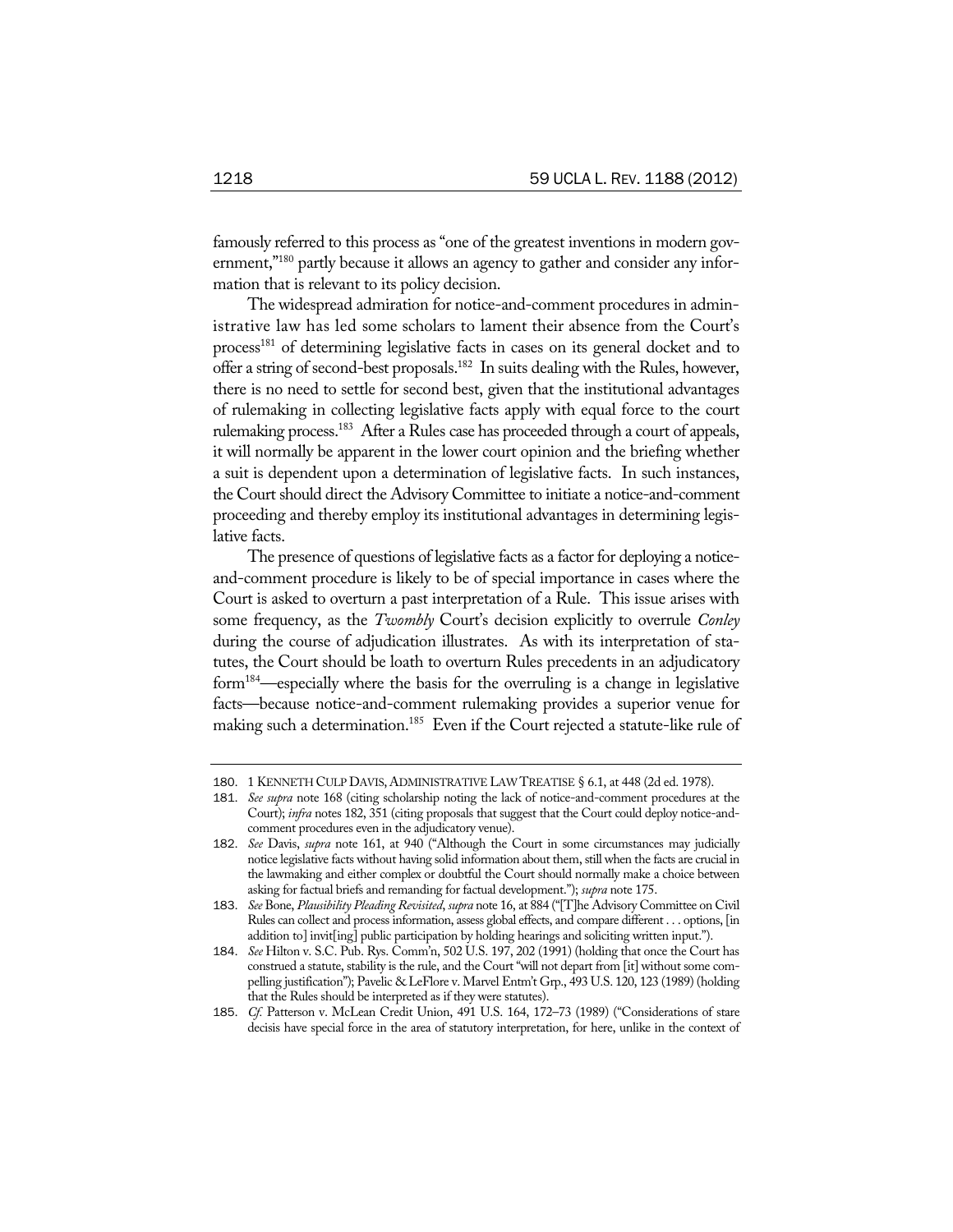famously referred to this process as "one of the greatest inventions in modern government,"<sup>180</sup> partly because it allows an agency to gather and consider any information that is relevant to its policy decision.

The widespread admiration for notice-and-comment procedures in administrative law has led some scholars to lament their absence from the Court's process<sup>181</sup> of determining legislative facts in cases on its general docket and to offer a string of second-best proposals.182 In suits dealing with the Rules, however, there is no need to settle for second best, given that the institutional advantages of rulemaking in collecting legislative facts apply with equal force to the court rulemaking process.<sup>183</sup> After a Rules case has proceeded through a court of appeals, it will normally be apparent in the lower court opinion and the briefing whether a suit is dependent upon a determination of legislative facts. In such instances, the Court should direct the Advisory Committee to initiate a notice-and-comment proceeding and thereby employ its institutional advantages in determining legislative facts.

The presence of questions of legislative facts as a factor for deploying a noticeand-comment procedure is likely to be of special importance in cases where the Court is asked to overturn a past interpretation of a Rule. This issue arises with some frequency, as the *Twombly* Court's decision explicitly to overrule *Conley*  during the course of adjudication illustrates. As with its interpretation of statutes, the Court should be loath to overturn Rules precedents in an adjudicatory form184—especially where the basis for the overruling is a change in legislative facts—because notice-and-comment rulemaking provides a superior venue for making such a determination.<sup>185</sup> Even if the Court rejected a statute-like rule of

<sup>180</sup>. 1 KENNETH CULP DAVIS, ADMINISTRATIVE LAW TREATISE § 6.1, at 448 (2d ed. 1978).

<sup>181</sup>. *See supra* note 168 (citing scholarship noting the lack of notice-and-comment procedures at the Court); *infra* notes 182, 351 (citing proposals that suggest that the Court could deploy notice-andcomment procedures even in the adjudicatory venue).

<sup>182</sup>. *See* Davis, *supra* note 161, at 940 ("Although the Court in some circumstances may judicially notice legislative facts without having solid information about them, still when the facts are crucial in the lawmaking and either complex or doubtful the Court should normally make a choice between asking for factual briefs and remanding for factual development."); *supra* note 175.

<sup>183</sup>. *See* Bone, *Plausibility Pleading Revisited*, *supra* note 16, at 884 ("[T]he Advisory Committee on Civil Rules can collect and process information, assess global effects, and compare different . . . options, [in addition to] invit[ing] public participation by holding hearings and soliciting written input.").

<sup>184</sup>. *See* Hilton v. S.C. Pub. Rys. Comm'n, 502 U.S. 197, 202 (1991) (holding that once the Court has construed a statute, stability is the rule, and the Court "will not depart from [it] without some compelling justification"); Pavelic & LeFlore v. Marvel Entm't Grp., 493 U.S. 120, 123 (1989) (holding that the Rules should be interpreted as if they were statutes).

<sup>185</sup>. *Cf.* Patterson v. McLean Credit Union, 491 U.S. 164, 172–73 (1989) ("Considerations of stare decisis have special force in the area of statutory interpretation, for here, unlike in the context of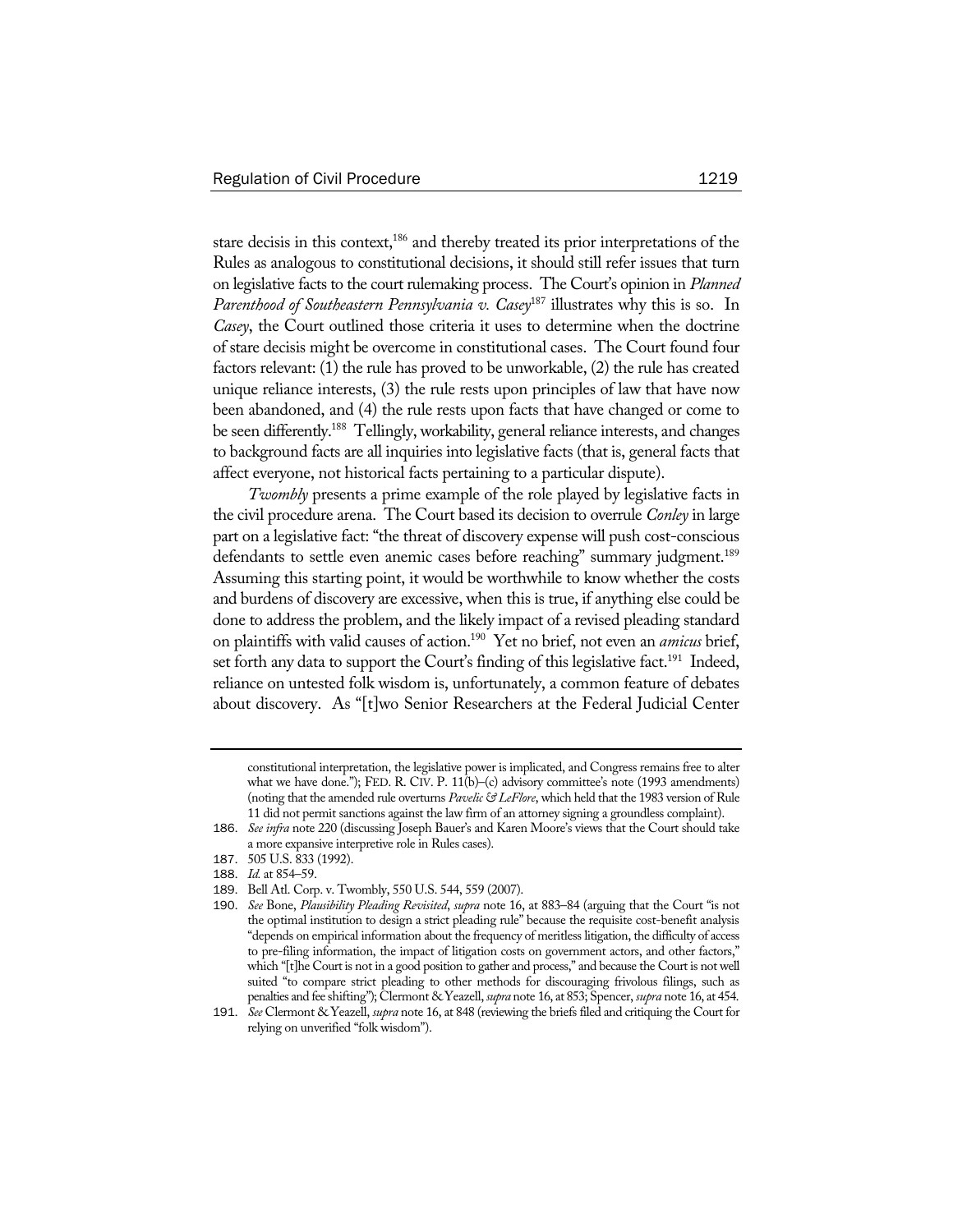stare decisis in this context,<sup>186</sup> and thereby treated its prior interpretations of the Rules as analogous to constitutional decisions, it should still refer issues that turn on legislative facts to the court rulemaking process. The Court's opinion in *Planned Parenthood of Southeastern Pennsylvania v. Casey*<sup>187</sup> illustrates why this is so. In *Casey*, the Court outlined those criteria it uses to determine when the doctrine of stare decisis might be overcome in constitutional cases. The Court found four factors relevant: (1) the rule has proved to be unworkable, (2) the rule has created unique reliance interests, (3) the rule rests upon principles of law that have now been abandoned, and (4) the rule rests upon facts that have changed or come to be seen differently.<sup>188</sup> Tellingly, workability, general reliance interests, and changes to background facts are all inquiries into legislative facts (that is, general facts that affect everyone, not historical facts pertaining to a particular dispute).

*Twombly* presents a prime example of the role played by legislative facts in the civil procedure arena. The Court based its decision to overrule *Conley* in large part on a legislative fact: "the threat of discovery expense will push cost-conscious defendants to settle even anemic cases before reaching" summary judgment.<sup>189</sup> Assuming this starting point, it would be worthwhile to know whether the costs and burdens of discovery are excessive, when this is true, if anything else could be done to address the problem, and the likely impact of a revised pleading standard on plaintiffs with valid causes of action.190 Yet no brief, not even an *amicus* brief, set forth any data to support the Court's finding of this legislative fact.<sup>191</sup> Indeed, reliance on untested folk wisdom is, unfortunately, a common feature of debates about discovery. As "[t]wo Senior Researchers at the Federal Judicial Center

constitutional interpretation, the legislative power is implicated, and Congress remains free to alter what we have done."); FED. R. CIV. P. 11(b)–(c) advisory committee's note (1993 amendments) (noting that the amended rule overturns *Pavelic & LeFlore*, which held that the 1983 version of Rule 11 did not permit sanctions against the law firm of an attorney signing a groundless complaint).

<sup>186</sup>. *See infra* note 220 (discussing Joseph Bauer's and Karen Moore's views that the Court should take a more expansive interpretive role in Rules cases).

<sup>187</sup>. 505 U.S. 833 (1992).

<sup>188</sup>. *Id.* at 854–59.

<sup>189</sup>. Bell Atl. Corp. v. Twombly, 550 U.S. 544, 559 (2007).

<sup>190</sup>. *See* Bone, *Plausibility Pleading Revisited*, *supra* note 16, at 883–84 (arguing that the Court "is not the optimal institution to design a strict pleading rule" because the requisite cost-benefit analysis "depends on empirical information about the frequency of meritless litigation, the difficulty of access to pre-filing information, the impact of litigation costs on government actors, and other factors," which "[t]he Court is not in a good position to gather and process," and because the Court is not well suited "to compare strict pleading to other methods for discouraging frivolous filings, such as penalties and fee shifting"); Clermont & Yeazell, *supra* note 16, at 853; Spencer, *supra* note 16, at 454.

<sup>191</sup>. *See* Clermont & Yeazell, *supra* note 16, at 848 (reviewing the briefs filed and critiquing the Court for relying on unverified "folk wisdom").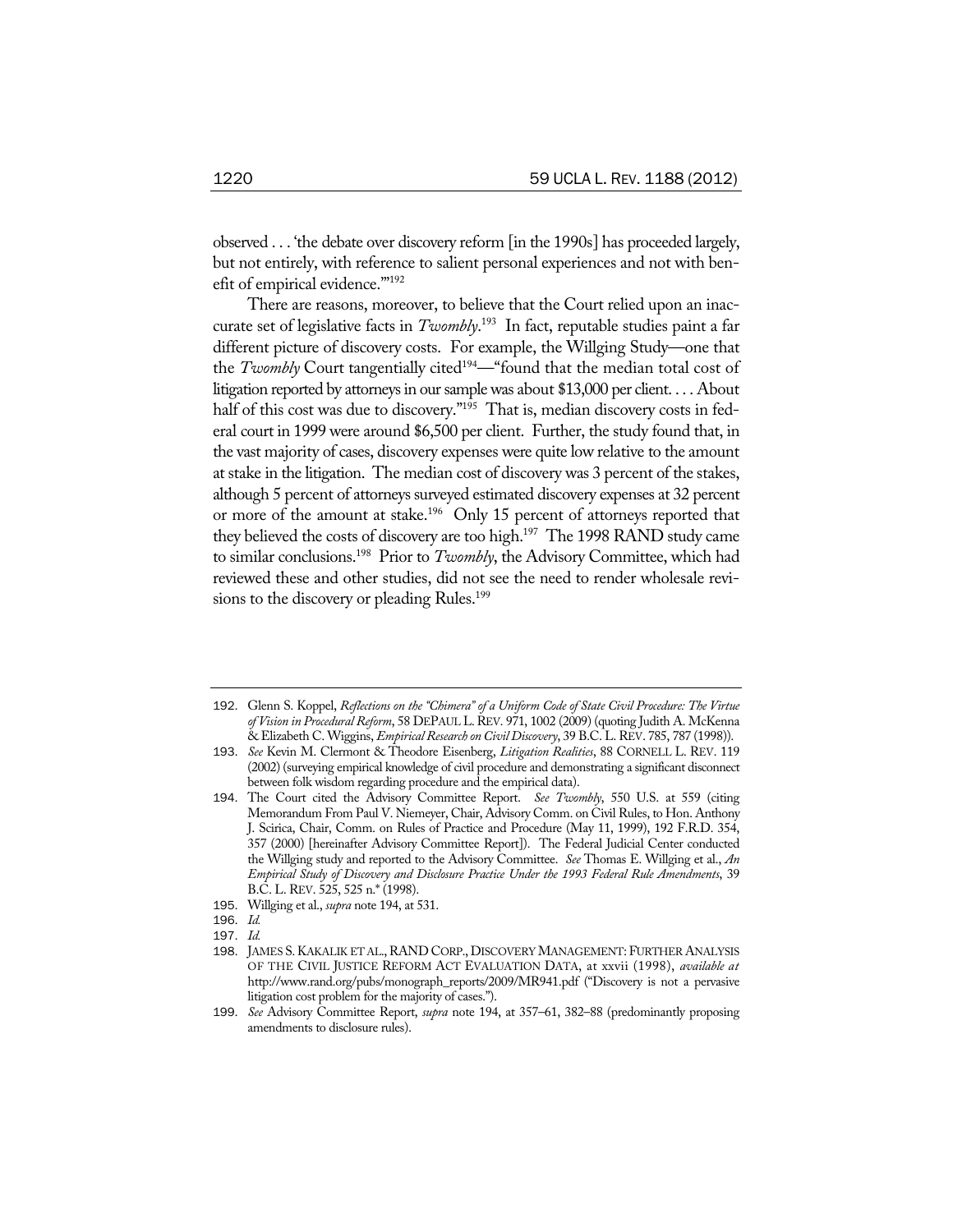observed . . . 'the debate over discovery reform [in the 1990s] has proceeded largely, but not entirely, with reference to salient personal experiences and not with benefit of empirical evidence.'"192

There are reasons, moreover, to believe that the Court relied upon an inaccurate set of legislative facts in *Twombly*. 193 In fact, reputable studies paint a far different picture of discovery costs. For example, the Willging Study—one that the *Twombly* Court tangentially cited<sup>194</sup>—"found that the median total cost of litigation reported by attorneys in our sample was about \$13,000 per client. . . . About half of this cost was due to discovery."<sup>195</sup> That is, median discovery costs in federal court in 1999 were around \$6,500 per client. Further, the study found that, in the vast majority of cases, discovery expenses were quite low relative to the amount at stake in the litigation. The median cost of discovery was 3 percent of the stakes, although 5 percent of attorneys surveyed estimated discovery expenses at 32 percent or more of the amount at stake.<sup>196</sup> Only 15 percent of attorneys reported that they believed the costs of discovery are too high.<sup>197</sup> The 1998 RAND study came to similar conclusions.198 Prior to *Twombly*, the Advisory Committee, which had reviewed these and other studies, did not see the need to render wholesale revisions to the discovery or pleading Rules.<sup>199</sup>

- 196. *Id.*
- 197. *Id.*

<sup>192</sup>. Glenn S. Koppel, *Reflections on the "Chimera" of a Uniform Code of State Civil Procedure: The Virtue of Vision in Procedural Reform*, 58 DEPAUL L.REV. 971, 1002 (2009) (quoting Judith A. McKenna & Elizabeth C. Wiggins, *Empirical Research on Civil Discovery*, 39 B.C. L. REV. 785, 787 (1998)).

<sup>193</sup>. *See* Kevin M. Clermont & Theodore Eisenberg, *Litigation Realities*, 88 CORNELL L. REV. 119 (2002) (surveying empirical knowledge of civil procedure and demonstrating a significant disconnect between folk wisdom regarding procedure and the empirical data).

<sup>194</sup>. The Court cited the Advisory Committee Report. *See Twombly*, 550 U.S. at 559 (citing Memorandum From Paul V. Niemeyer, Chair, Advisory Comm. on Civil Rules, to Hon. Anthony J. Scirica, Chair, Comm. on Rules of Practice and Procedure (May 11, 1999), 192 F.R.D. 354, 357 (2000) [hereinafter Advisory Committee Report]). The Federal Judicial Center conducted the Willging study and reported to the Advisory Committee. *See* Thomas E. Willging et al., *An Empirical Study of Discovery and Disclosure Practice Under the 1993 Federal Rule Amendments*, 39 B.C. L. REV. 525, 525 n.\* (1998).

<sup>195</sup>. Willging et al., *supra* note 194, at 531.

<sup>198</sup>. JAMES S. KAKALIK ET AL.,RAND CORP., DISCOVERY MANAGEMENT: FURTHER ANALYSIS OF THE CIVIL JUSTICE REFORM ACT EVALUATION DATA, at xxvii (1998), *available at* http://www.rand.org/pubs/monograph\_reports/2009/MR941.pdf ("Discovery is not a pervasive litigation cost problem for the majority of cases.").

<sup>199</sup>. *See* Advisory Committee Report, *supra* note 194, at 357–61, 382–88 (predominantly proposing amendments to disclosure rules).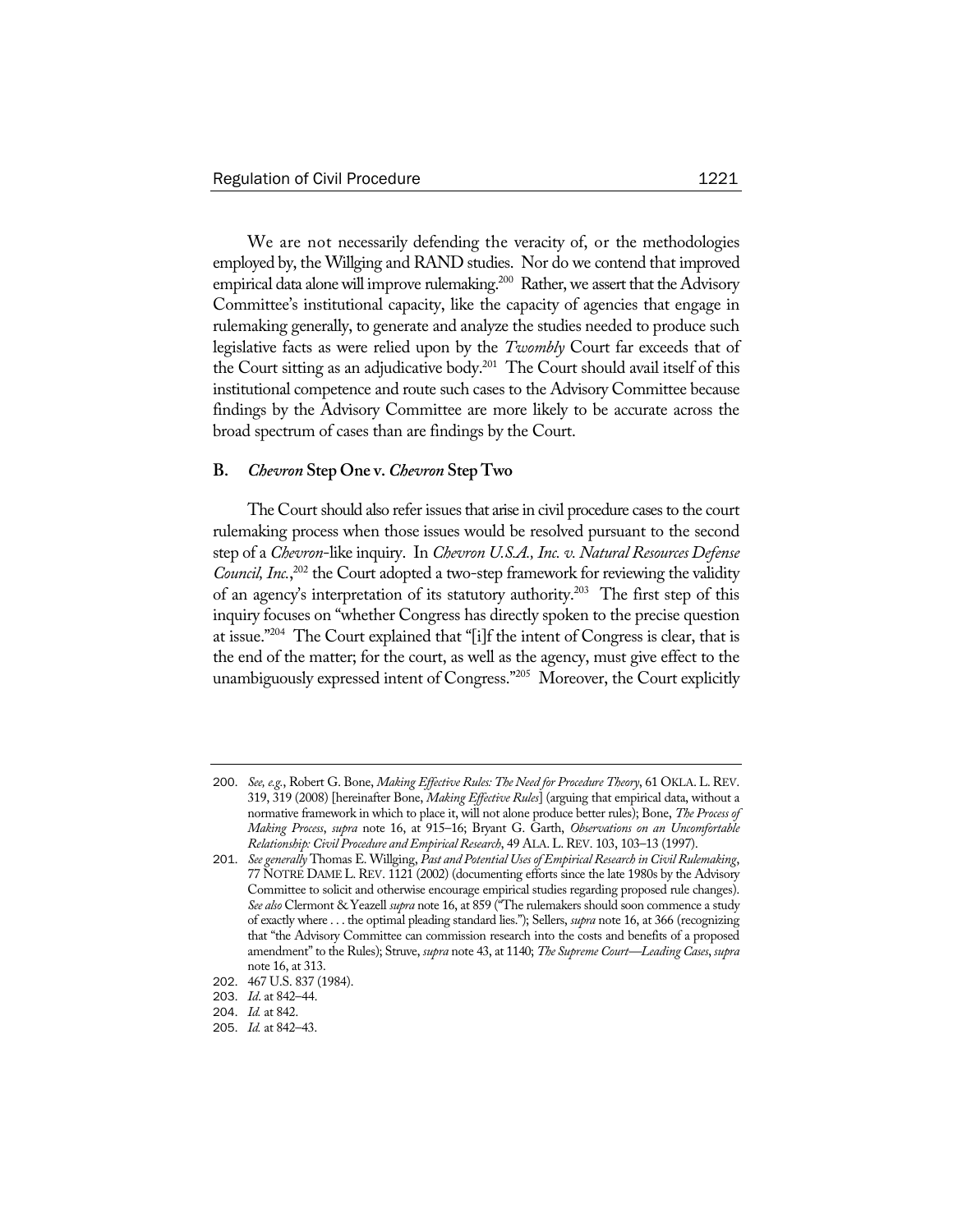We are not necessarily defending the veracity of, or the methodologies employed by, the Willging and RAND studies. Nor do we contend that improved empirical data alone will improve rulemaking.<sup>200</sup> Rather, we assert that the Advisory Committee's institutional capacity, like the capacity of agencies that engage in rulemaking generally, to generate and analyze the studies needed to produce such legislative facts as were relied upon by the *Twombly* Court far exceeds that of the Court sitting as an adjudicative body.<sup>201</sup> The Court should avail itself of this institutional competence and route such cases to the Advisory Committee because findings by the Advisory Committee are more likely to be accurate across the broad spectrum of cases than are findings by the Court.

#### **B.** *Chevron* **Step One v.** *Chevron* **Step Two**

The Court should also refer issues that arise in civil procedure cases to the court rulemaking process when those issues would be resolved pursuant to the second step of a *Chevron*-like inquiry. In *Chevron U.S.A., Inc. v. Natural Resources Defense*  Council, Inc.,<sup>202</sup> the Court adopted a two-step framework for reviewing the validity of an agency's interpretation of its statutory authority.<sup>203</sup> The first step of this inquiry focuses on "whether Congress has directly spoken to the precise question at issue."204 The Court explained that "[i]f the intent of Congress is clear, that is the end of the matter; for the court, as well as the agency, must give effect to the unambiguously expressed intent of Congress."<sup>205</sup> Moreover, the Court explicitly

<sup>200</sup>. *See, e.g.*, Robert G. Bone, *Making Effective Rules: The Need for Procedure Theory*, 61 OKLA.L.REV. 319, 319 (2008) [hereinafter Bone, *Making Effective Rules*] (arguing that empirical data, without a normative framework in which to place it, will not alone produce better rules); Bone, *The Process of Making Process*, *supra* note 16, at 915–16; Bryant G. Garth, *Observations on an Uncomfortable Relationship: Civil Procedure and Empirical Research*, 49 ALA.L.REV. 103, 103–13 (1997).

<sup>201</sup>. *See generally* Thomas E. Willging, *Past and Potential Uses of Empirical Research in Civil Rulemaking*, 77 NOTRE DAME L.REV. 1121 (2002) (documenting efforts since the late 1980s by the Advisory Committee to solicit and otherwise encourage empirical studies regarding proposed rule changes). *See also* Clermont & Yeazell *supra* note 16, at 859 ("The rulemakers should soon commence a study of exactly where . . . the optimal pleading standard lies."); Sellers, *supra* note 16, at 366 (recognizing that "the Advisory Committee can commission research into the costs and benefits of a proposed amendment" to the Rules); Struve, *supra* note 43, at 1140; *The Supreme Court—Leading Cases*, *supra* note 16, at 313.

<sup>202</sup>. 467 U.S. 837 (1984).

<sup>203</sup>. *Id*. at 842–44.

<sup>204</sup>. *Id.* at 842.

<sup>205</sup>. *Id.* at 842–43.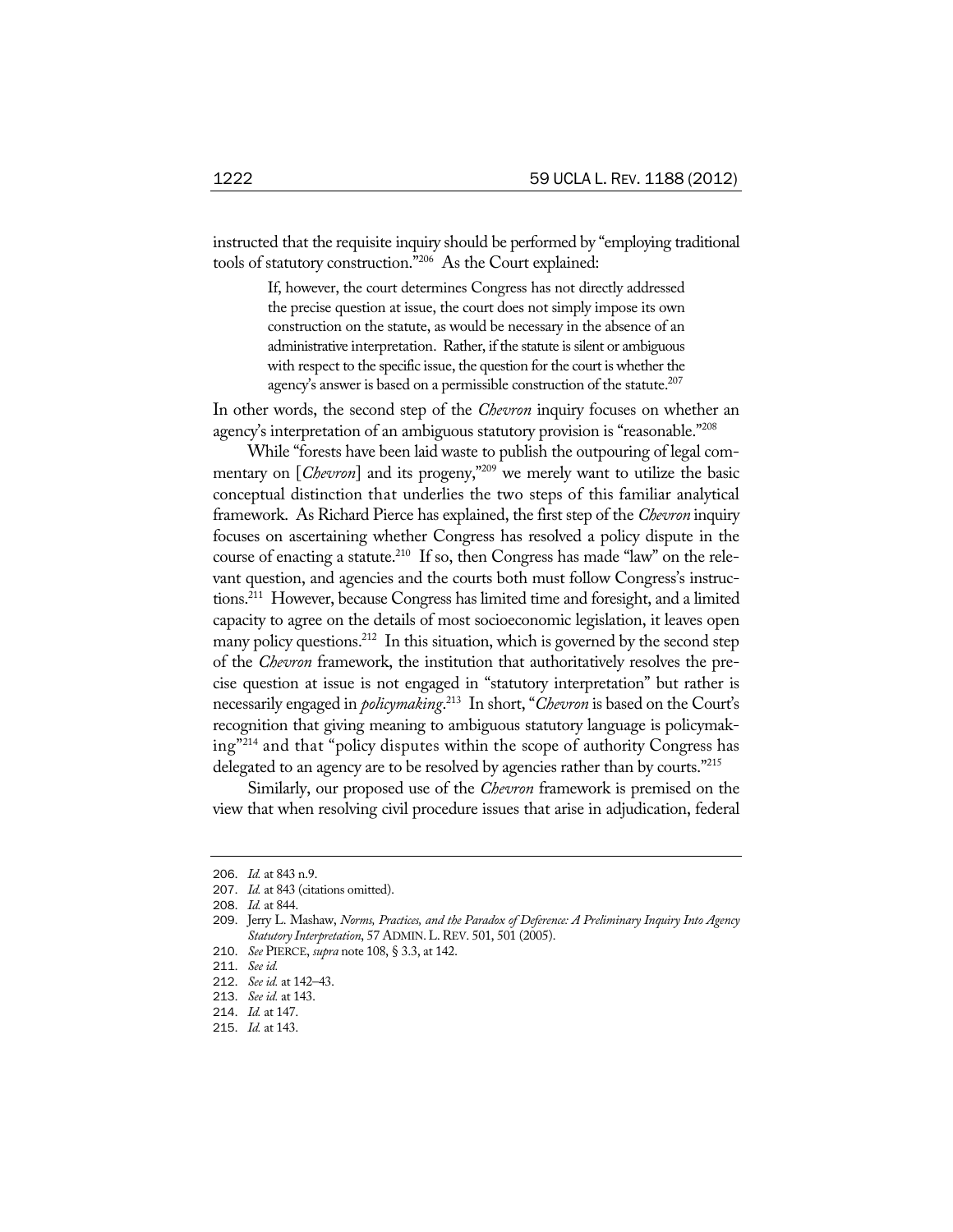instructed that the requisite inquiry should be performed by "employing traditional tools of statutory construction."206 As the Court explained:

> If, however, the court determines Congress has not directly addressed the precise question at issue, the court does not simply impose its own construction on the statute, as would be necessary in the absence of an administrative interpretation. Rather, if the statute is silent or ambiguous with respect to the specific issue, the question for the court is whether the agency's answer is based on a permissible construction of the statute.<sup>207</sup>

In other words, the second step of the *Chevron* inquiry focuses on whether an agency's interpretation of an ambiguous statutory provision is "reasonable."208

While "forests have been laid waste to publish the outpouring of legal commentary on [*Chevron*] and its progeny,"209 we merely want to utilize the basic conceptual distinction that underlies the two steps of this familiar analytical framework. As Richard Pierce has explained, the first step of the *Chevron* inquiry focuses on ascertaining whether Congress has resolved a policy dispute in the course of enacting a statute.<sup>210</sup> If so, then Congress has made "law" on the relevant question, and agencies and the courts both must follow Congress's instructions.211 However, because Congress has limited time and foresight, and a limited capacity to agree on the details of most socioeconomic legislation, it leaves open many policy questions.<sup>212</sup> In this situation, which is governed by the second step of the *Chevron* framework, the institution that authoritatively resolves the precise question at issue is not engaged in "statutory interpretation" but rather is necessarily engaged in *policymaking*. 213 In short, "*Chevron* is based on the Court's recognition that giving meaning to ambiguous statutory language is policymaking"214 and that "policy disputes within the scope of authority Congress has delegated to an agency are to be resolved by agencies rather than by courts.<sup>"215</sup>

Similarly, our proposed use of the *Chevron* framework is premised on the view that when resolving civil procedure issues that arise in adjudication, federal

<sup>206</sup>. *Id.* at 843 n.9.

<sup>207</sup>. *Id.* at 843 (citations omitted).

<sup>208</sup>. *Id.* at 844.

<sup>209</sup>. Jerry L. Mashaw, *Norms, Practices, and the Paradox of Deference: A Preliminary Inquiry Into Agency Statutory Interpretation*, 57 ADMIN.L.REV. 501, 501 (2005).

<sup>210</sup>. *See* PIERCE, *supra* note 108, § 3.3, at 142.

<sup>211</sup>. *See id.*

<sup>212</sup>. *See id.* at 142–43.

<sup>213</sup>. *See id.* at 143.

<sup>214</sup>. *Id.* at 147.

<sup>215</sup>. *Id.* at 143.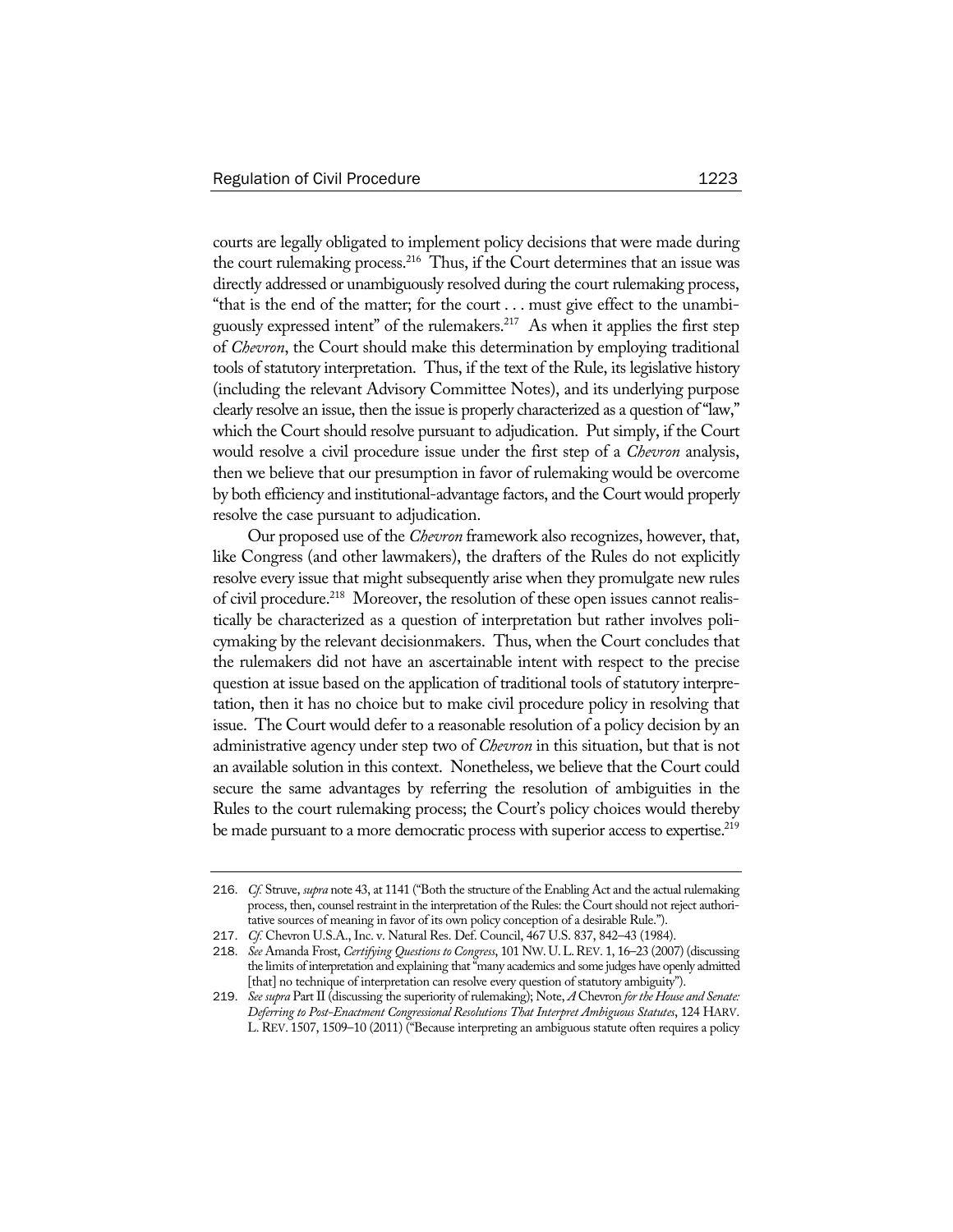courts are legally obligated to implement policy decisions that were made during the court rulemaking process.<sup>216</sup> Thus, if the Court determines that an issue was directly addressed or unambiguously resolved during the court rulemaking process, "that is the end of the matter; for the court . . . must give effect to the unambiguously expressed intent" of the rulemakers.<sup>217</sup> As when it applies the first step of *Chevron*, the Court should make this determination by employing traditional tools of statutory interpretation. Thus, if the text of the Rule, its legislative history (including the relevant Advisory Committee Notes), and its underlying purpose clearly resolve an issue, then the issue is properly characterized as a question of "law," which the Court should resolve pursuant to adjudication. Put simply, if the Court would resolve a civil procedure issue under the first step of a *Chevron* analysis, then we believe that our presumption in favor of rulemaking would be overcome by both efficiency and institutional-advantage factors, and the Court would properly resolve the case pursuant to adjudication.

Our proposed use of the *Chevron* framework also recognizes, however, that, like Congress (and other lawmakers), the drafters of the Rules do not explicitly resolve every issue that might subsequently arise when they promulgate new rules of civil procedure.<sup>218</sup> Moreover, the resolution of these open issues cannot realistically be characterized as a question of interpretation but rather involves policymaking by the relevant decisionmakers. Thus, when the Court concludes that the rulemakers did not have an ascertainable intent with respect to the precise question at issue based on the application of traditional tools of statutory interpretation, then it has no choice but to make civil procedure policy in resolving that issue. The Court would defer to a reasonable resolution of a policy decision by an administrative agency under step two of *Chevron* in this situation, but that is not an available solution in this context. Nonetheless, we believe that the Court could secure the same advantages by referring the resolution of ambiguities in the Rules to the court rulemaking process; the Court's policy choices would thereby be made pursuant to a more democratic process with superior access to expertise.<sup>219</sup>

<sup>216</sup>. *Cf.* Struve, *supra* note 43, at 1141 ("Both the structure of the Enabling Act and the actual rulemaking process, then, counsel restraint in the interpretation of the Rules: the Court should not reject authoritative sources of meaning in favor of its own policy conception of a desirable Rule.").

<sup>217</sup>. *Cf.* Chevron U.S.A., Inc. v. Natural Res. Def. Council, 467 U.S. 837, 842–43 (1984).

<sup>218</sup>. *See* Amanda Frost, *Certifying Questions to Congress*, 101 NW.U.L.REV. 1, 16–23 (2007) (discussing the limits of interpretation and explaining that "many academics and some judges have openly admitted [that] no technique of interpretation can resolve every question of statutory ambiguity").

<sup>219</sup>. *See supra* Part II (discussing the superiority of rulemaking); Note, *A* Chevron *for the House and Senate: Deferring to Post-Enactment Congressional Resolutions That Interpret Ambiguous Statutes*, 124 HARV. L.REV. 1507, 1509–10 (2011) ("Because interpreting an ambiguous statute often requires a policy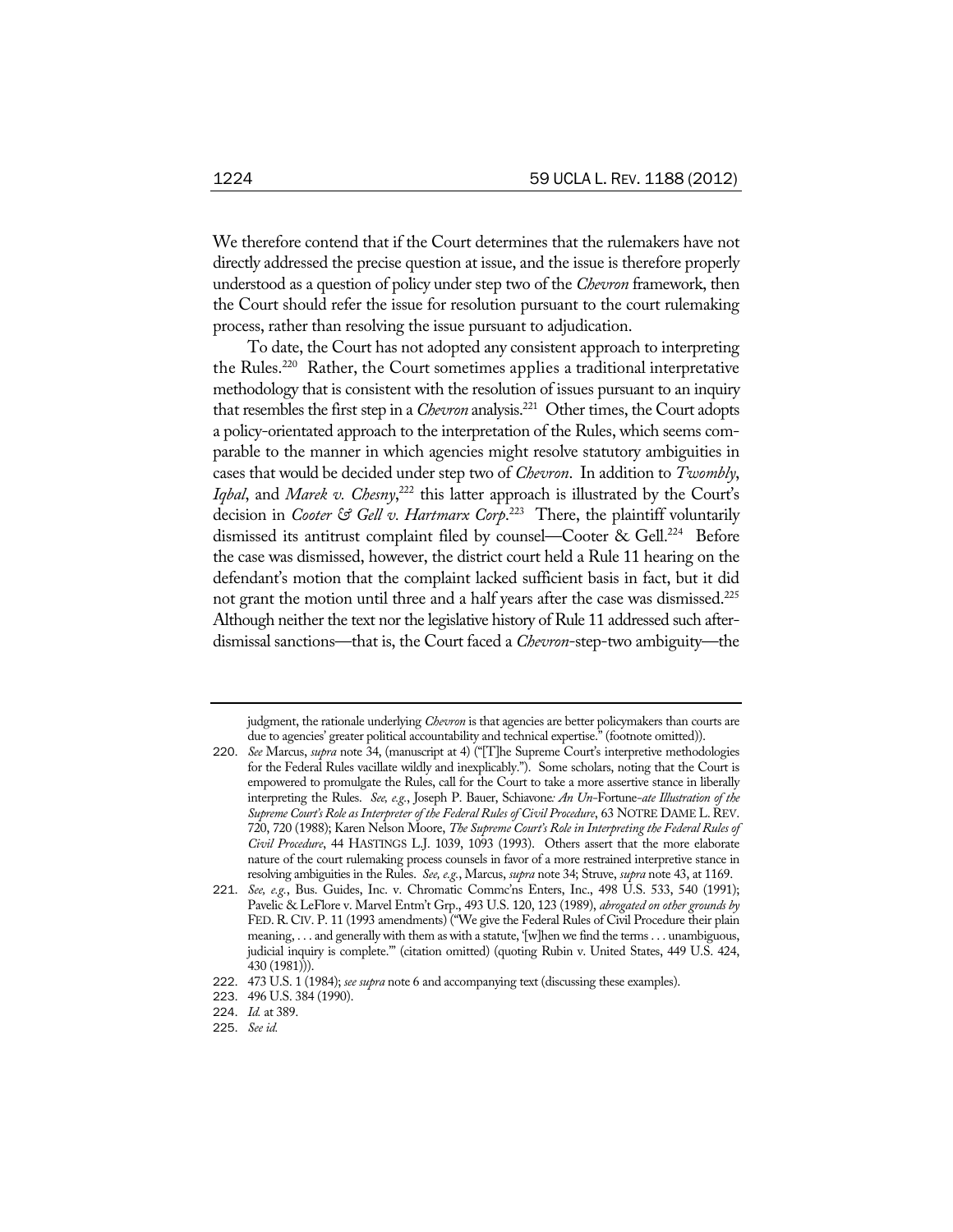We therefore contend that if the Court determines that the rulemakers have not directly addressed the precise question at issue, and the issue is therefore properly understood as a question of policy under step two of the *Chevron* framework, then the Court should refer the issue for resolution pursuant to the court rulemaking process, rather than resolving the issue pursuant to adjudication.

To date, the Court has not adopted any consistent approach to interpreting the Rules.<sup>220</sup> Rather, the Court sometimes applies a traditional interpretative methodology that is consistent with the resolution of issues pursuant to an inquiry that resembles the first step in a *Chevron* analysis.<sup>221</sup> Other times, the Court adopts a policy-orientated approach to the interpretation of the Rules, which seems comparable to the manner in which agencies might resolve statutory ambiguities in cases that would be decided under step two of *Chevron*. In addition to *Twombly*, Iqbal, and *Marek v. Chesny*,<sup>222</sup> this latter approach is illustrated by the Court's decision in *Cooter & Gell v. Hartmarx Corp*. 223 There, the plaintiff voluntarily dismissed its antitrust complaint filed by counsel—Cooter & Gell.<sup>224</sup> Before the case was dismissed, however, the district court held a Rule 11 hearing on the defendant's motion that the complaint lacked sufficient basis in fact, but it did not grant the motion until three and a half years after the case was dismissed.<sup>225</sup> Although neither the text nor the legislative history of Rule 11 addressed such afterdismissal sanctions—that is, the Court faced a *Chevron*-step-two ambiguity—the

225. *See id.*

judgment, the rationale underlying *Chevron* is that agencies are better policymakers than courts are due to agencies' greater political accountability and technical expertise." (footnote omitted)).

<sup>220</sup>. *See* Marcus, *supra* note 34, (manuscript at 4) ("[T]he Supreme Court's interpretive methodologies for the Federal Rules vacillate wildly and inexplicably."). Some scholars, noting that the Court is empowered to promulgate the Rules, call for the Court to take a more assertive stance in liberally interpreting the Rules. *See, e.g.*, Joseph P. Bauer, Schiavone*: An Un-*Fortune*-ate Illustration of the Supreme Court's Role as Interpreter of the Federal Rules of Civil Procedure*, 63 NOTRE DAME L. REV. 720, 720 (1988); Karen Nelson Moore, *The Supreme Court's Role in Interpreting the Federal Rules of Civil Procedure*, 44 HASTINGS L.J. 1039, 1093 (1993). Others assert that the more elaborate nature of the court rulemaking process counsels in favor of a more restrained interpretive stance in resolving ambiguities in the Rules. *See, e.g.*, Marcus, *supra* note 34; Struve, *supra* note 43, at 1169.

<sup>221</sup>. *See, e.g.*, Bus. Guides, Inc. v. Chromatic Commc'ns Enters, Inc., 498 U.S. 533, 540 (1991); Pavelic & LeFlore v. Marvel Entm't Grp., 493 U.S. 120, 123 (1989), *abrogated on other grounds by* FED.R. CIV. P. 11 (1993 amendments) ("We give the Federal Rules of Civil Procedure their plain meaning, . . . and generally with them as with a statute, '[w]hen we find the terms . . . unambiguous, judicial inquiry is complete.'" (citation omitted) (quoting Rubin v. United States, 449 U.S. 424, 430 (1981))).

<sup>222</sup>. 473 U.S. 1 (1984); *see supra* note 6 and accompanying text (discussing these examples).

<sup>223</sup>. 496 U.S. 384 (1990).

<sup>224</sup>. *Id.* at 389.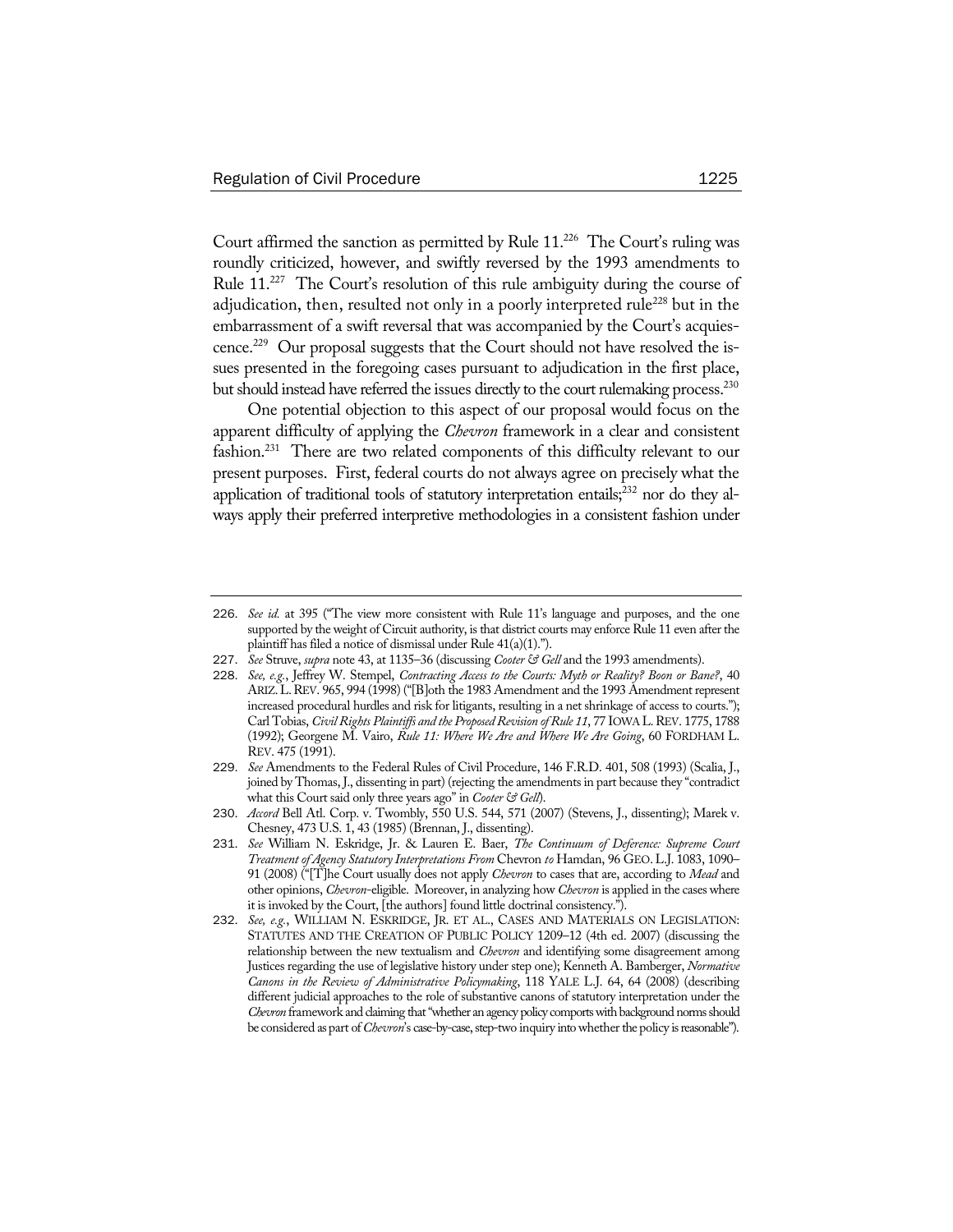Court affirmed the sanction as permitted by Rule 11.<sup>226</sup> The Court's ruling was roundly criticized, however, and swiftly reversed by the 1993 amendments to Rule 11.<sup>227</sup> The Court's resolution of this rule ambiguity during the course of adjudication, then, resulted not only in a poorly interpreted rule<sup>228</sup> but in the embarrassment of a swift reversal that was accompanied by the Court's acquiescence.<sup>229</sup> Our proposal suggests that the Court should not have resolved the issues presented in the foregoing cases pursuant to adjudication in the first place, but should instead have referred the issues directly to the court rulemaking process.<sup>230</sup>

One potential objection to this aspect of our proposal would focus on the apparent difficulty of applying the *Chevron* framework in a clear and consistent fashion.<sup>231</sup> There are two related components of this difficulty relevant to our present purposes. First, federal courts do not always agree on precisely what the application of traditional tools of statutory interpretation entails; $^{232}$  nor do they always apply their preferred interpretive methodologies in a consistent fashion under

<sup>226</sup>. *See id.* at 395 ("The view more consistent with Rule 11's language and purposes, and the one supported by the weight of Circuit authority, is that district courts may enforce Rule 11 even after the plaintiff has filed a notice of dismissal under Rule 41(a)(1).").

<sup>227</sup>. *See* Struve, *supra* note 43, at 1135–36 (discussing *Cooter & Gell* and the 1993 amendments).

<sup>228</sup>. *See, e.g.*, Jeffrey W. Stempel, *Contracting Access to the Courts: Myth or Reality? Boon or Bane?*, 40 ARIZ.L.REV. 965, 994 (1998) ("[B]oth the 1983 Amendment and the 1993 Amendment represent increased procedural hurdles and risk for litigants, resulting in a net shrinkage of access to courts."); Carl Tobias, *Civil Rights Plaintiffs and the Proposed Revision of Rule 11*, 77 IOWA L.REV. 1775, 1788 (1992); Georgene M. Vairo, *Rule 11: Where We Are and Where We Are Going*, 60 FORDHAM L. REV. 475 (1991).

<sup>229</sup>. *See* Amendments to the Federal Rules of Civil Procedure, 146 F.R.D. 401, 508 (1993) (Scalia, J., joined by Thomas, J., dissenting in part) (rejecting the amendments in part because they "contradict what this Court said only three years ago" in *Cooter* & Gell).

<sup>230</sup>. *Accord* Bell Atl. Corp. v. Twombly, 550 U.S. 544, 571 (2007) (Stevens, J., dissenting); Marek v. Chesney, 473 U.S. 1, 43 (1985) (Brennan, J., dissenting).

<sup>231</sup>. *See* William N. Eskridge, Jr. & Lauren E. Baer, *The Continuum of Deference: Supreme Court Treatment of Agency Statutory Interpretations From* Chevron *to* Hamdan, 96 GEO.L.J. 1083, 1090– 91 (2008) ("[T]he Court usually does not apply *Chevron* to cases that are, according to *Mead* and other opinions, *Chevron*-eligible. Moreover, in analyzing how *Chevron* is applied in the cases where it is invoked by the Court, [the authors] found little doctrinal consistency.").

<sup>232</sup>. *See, e.g.*, WILLIAM N. ESKRIDGE, JR. ET AL., CASES AND MATERIALS ON LEGISLATION: STATUTES AND THE CREATION OF PUBLIC POLICY 1209–12 (4th ed. 2007) (discussing the relationship between the new textualism and *Chevron* and identifying some disagreement among Justices regarding the use of legislative history under step one); Kenneth A. Bamberger, *Normative Canons in the Review of Administrative Policymaking*, 118 YALE L.J. 64, 64 (2008) (describing different judicial approaches to the role of substantive canons of statutory interpretation under the *Chevron* framework and claiming that "whether an agency policy comports with background norms should be considered as part of *Chevron*'s case-by-case, step-two inquiry into whether the policy is reasonable").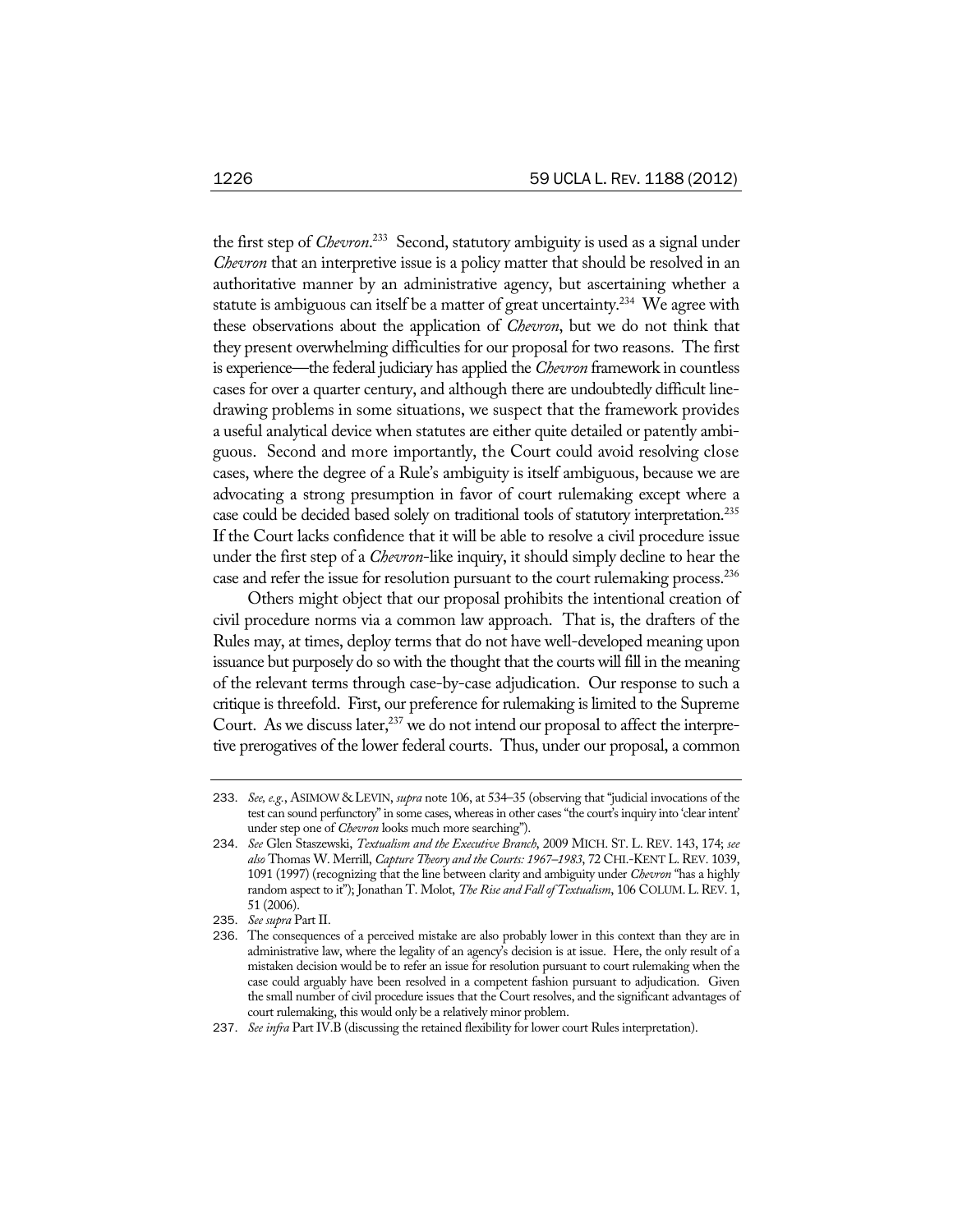the first step of *Chevron*. 233 Second, statutory ambiguity is used as a signal under *Chevron* that an interpretive issue is a policy matter that should be resolved in an authoritative manner by an administrative agency, but ascertaining whether a statute is ambiguous can itself be a matter of great uncertainty.<sup>234</sup> We agree with these observations about the application of *Chevron*, but we do not think that they present overwhelming difficulties for our proposal for two reasons. The first is experience—the federal judiciary has applied the *Chevron* framework in countless cases for over a quarter century, and although there are undoubtedly difficult linedrawing problems in some situations, we suspect that the framework provides a useful analytical device when statutes are either quite detailed or patently ambiguous. Second and more importantly, the Court could avoid resolving close cases, where the degree of a Rule's ambiguity is itself ambiguous, because we are advocating a strong presumption in favor of court rulemaking except where a case could be decided based solely on traditional tools of statutory interpretation.<sup>235</sup> If the Court lacks confidence that it will be able to resolve a civil procedure issue under the first step of a *Chevron*-like inquiry, it should simply decline to hear the case and refer the issue for resolution pursuant to the court rulemaking process.<sup>236</sup>

Others might object that our proposal prohibits the intentional creation of civil procedure norms via a common law approach. That is, the drafters of the Rules may, at times, deploy terms that do not have well-developed meaning upon issuance but purposely do so with the thought that the courts will fill in the meaning of the relevant terms through case-by-case adjudication. Our response to such a critique is threefold. First, our preference for rulemaking is limited to the Supreme Court. As we discuss later,  $237$  we do not intend our proposal to affect the interpretive prerogatives of the lower federal courts. Thus, under our proposal, a common

<sup>233</sup>. *See, e.g.*, ASIMOW & LEVIN, *supra* note 106, at 534–35 (observing that "judicial invocations of the test can sound perfunctory" in some cases, whereas in other cases "the court's inquiry into 'clear intent' under step one of *Chevron* looks much more searching").

<sup>234</sup>. *See* Glen Staszewski, *Textualism and the Executive Branch*, 2009 MICH. ST. L. REV. 143, 174; *see also* Thomas W. Merrill, *Capture Theory and the Courts: 1967–1983*, 72 CHI.-KENT L.REV. 1039, 1091 (1997) (recognizing that the line between clarity and ambiguity under *Chevron* "has a highly random aspect to it"); Jonathan T. Molot, *The Rise and Fall of Textualism*, 106 COLUM.L.REV. 1, 51 (2006).

<sup>235</sup>. *See supra* Part II.

<sup>236</sup>. The consequences of a perceived mistake are also probably lower in this context than they are in administrative law, where the legality of an agency's decision is at issue. Here, the only result of a mistaken decision would be to refer an issue for resolution pursuant to court rulemaking when the case could arguably have been resolved in a competent fashion pursuant to adjudication. Given the small number of civil procedure issues that the Court resolves, and the significant advantages of court rulemaking, this would only be a relatively minor problem.

<sup>237</sup>. *See infra* Part IV.B (discussing the retained flexibility for lower court Rules interpretation).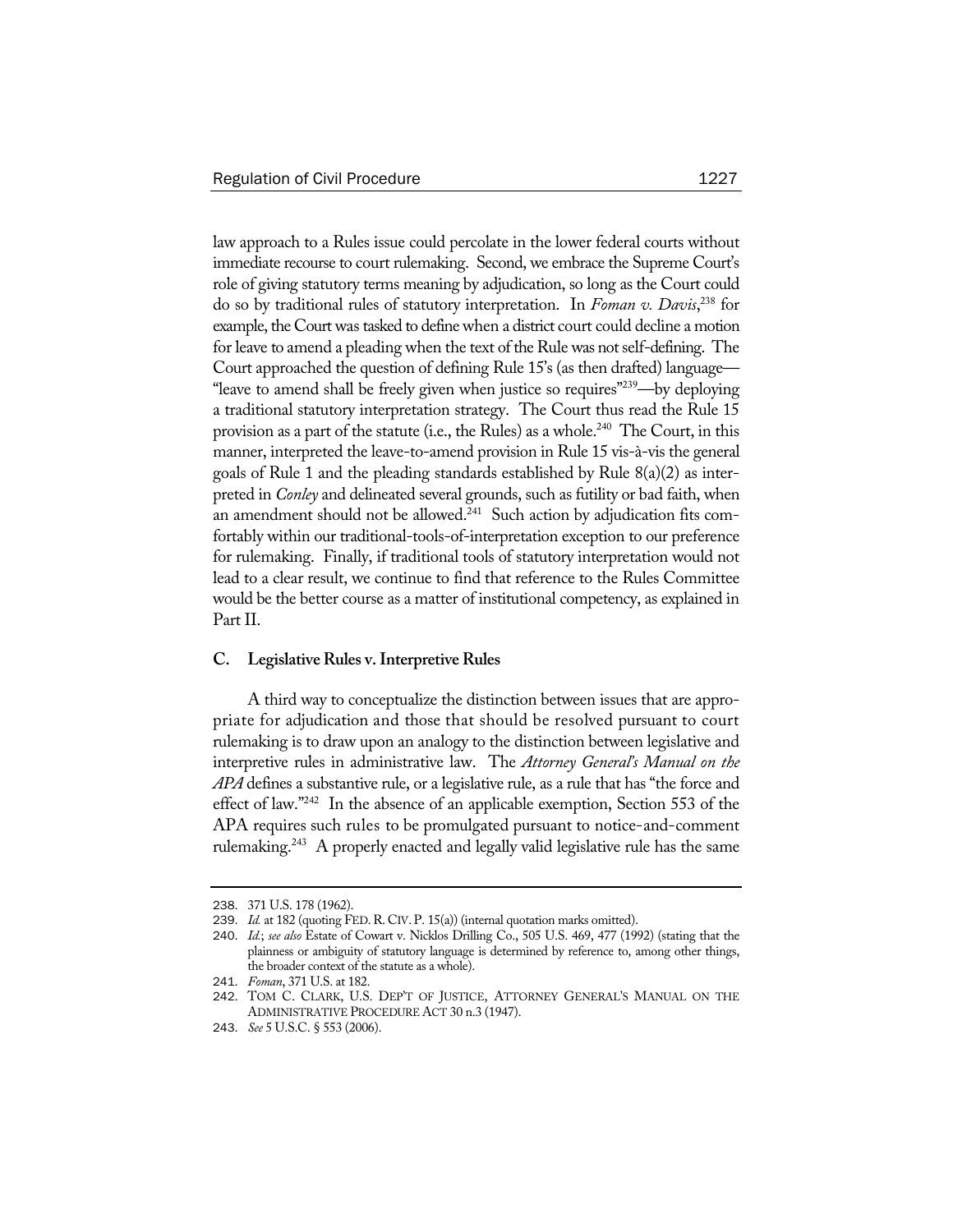law approach to a Rules issue could percolate in the lower federal courts without immediate recourse to court rulemaking. Second, we embrace the Supreme Court's role of giving statutory terms meaning by adjudication, so long as the Court could do so by traditional rules of statutory interpretation. In *Foman v. Davis*, 238 for example, the Court was tasked to define when a district court could decline a motion for leave to amend a pleading when the text of the Rule was not self-defining. The Court approached the question of defining Rule 15's (as then drafted) language— "leave to amend shall be freely given when justice so requires"239—by deploying a traditional statutory interpretation strategy. The Court thus read the Rule 15 provision as a part of the statute (i.e., the Rules) as a whole.<sup>240</sup> The Court, in this manner, interpreted the leave-to-amend provision in Rule 15 vis-à-vis the general goals of Rule 1 and the pleading standards established by Rule 8(a)(2) as interpreted in *Conley* and delineated several grounds, such as futility or bad faith, when an amendment should not be allowed. $241$  Such action by adjudication fits comfortably within our traditional-tools-of-interpretation exception to our preference for rulemaking. Finally, if traditional tools of statutory interpretation would not lead to a clear result, we continue to find that reference to the Rules Committee would be the better course as a matter of institutional competency, as explained in Part II.

#### **C. Legislative Rules v. Interpretive Rules**

A third way to conceptualize the distinction between issues that are appropriate for adjudication and those that should be resolved pursuant to court rulemaking is to draw upon an analogy to the distinction between legislative and interpretive rules in administrative law. The *Attorney General's Manual on the APA* defines a substantive rule, or a legislative rule, as a rule that has "the force and effect of law."242 In the absence of an applicable exemption, Section 553 of the APA requires such rules to be promulgated pursuant to notice-and-comment rulemaking.<sup>243</sup> A properly enacted and legally valid legislative rule has the same

<sup>238</sup>. 371 U.S. 178 (1962).

<sup>239.</sup> *Id.* at 182 (quoting FED. R. CIV. P. 15(a)) (internal quotation marks omitted).

<sup>240</sup>. *Id.*; *see also* Estate of Cowart v. Nicklos Drilling Co., 505 U.S. 469, 477 (1992) (stating that the plainness or ambiguity of statutory language is determined by reference to, among other things, the broader context of the statute as a whole).

<sup>241</sup>. *Foman*, 371 U.S. at 182.

<sup>242</sup>. TOM C. CLARK, U.S. DEP'T OF JUSTICE, ATTORNEY GENERAL'S MANUAL ON THE ADMINISTRATIVE PROCEDURE ACT 30 n.3 (1947).

<sup>243</sup>. *See* 5 U.S.C. § 553 (2006).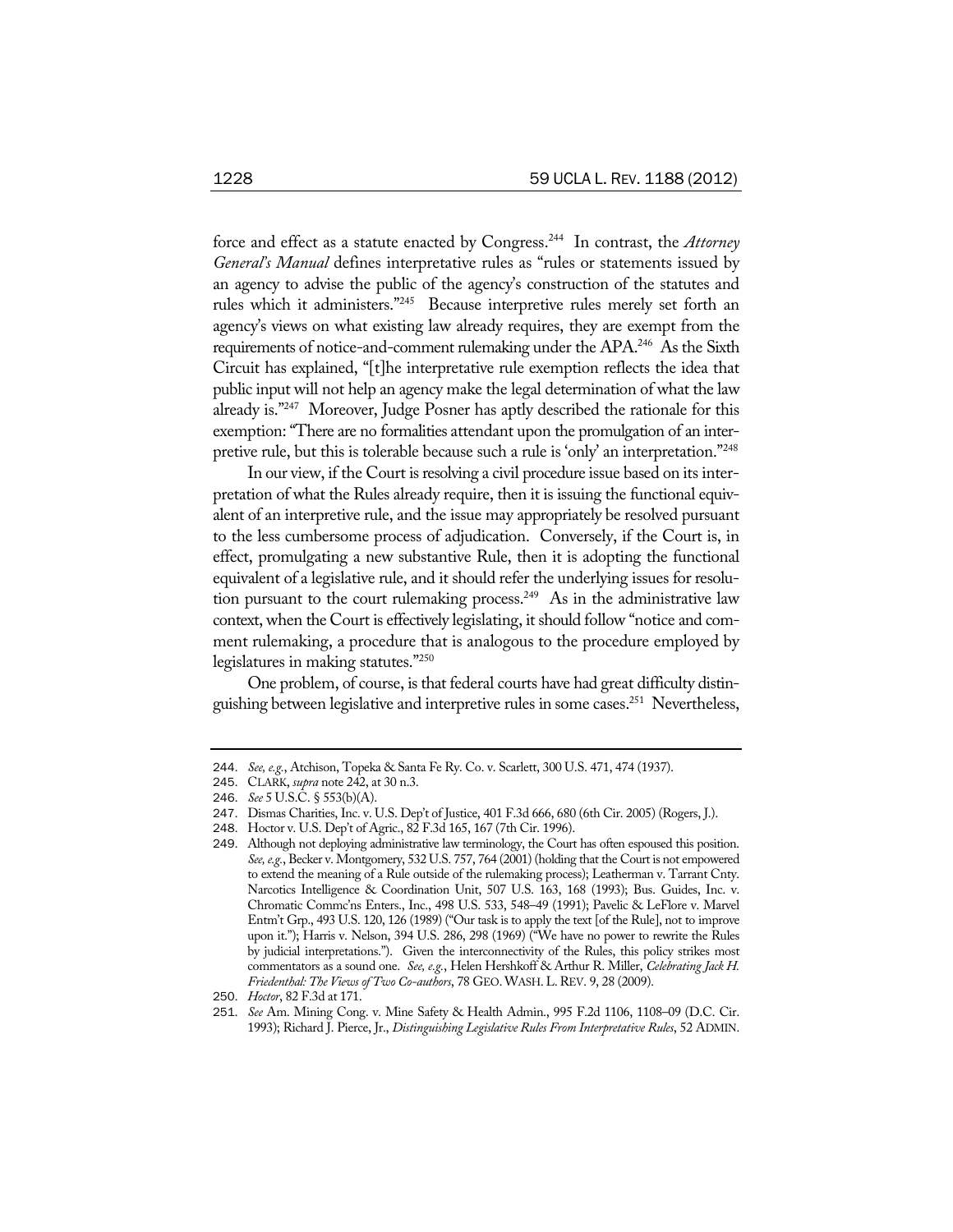force and effect as a statute enacted by Congress.244 In contrast, the *Attorney General's Manual* defines interpretative rules as "rules or statements issued by an agency to advise the public of the agency's construction of the statutes and rules which it administers."245 Because interpretive rules merely set forth an agency's views on what existing law already requires, they are exempt from the requirements of notice-and-comment rulemaking under the APA.<sup>246</sup> As the Sixth Circuit has explained, "[t]he interpretative rule exemption reflects the idea that public input will not help an agency make the legal determination of what the law already is."247 Moreover, Judge Posner has aptly described the rationale for this exemption: "There are no formalities attendant upon the promulgation of an interpretive rule, but this is tolerable because such a rule is 'only' an interpretation."248

In our view, if the Court is resolving a civil procedure issue based on its interpretation of what the Rules already require, then it is issuing the functional equivalent of an interpretive rule, and the issue may appropriately be resolved pursuant to the less cumbersome process of adjudication. Conversely, if the Court is, in effect, promulgating a new substantive Rule, then it is adopting the functional equivalent of a legislative rule, and it should refer the underlying issues for resolution pursuant to the court rulemaking process.<sup>249</sup> As in the administrative law context, when the Court is effectively legislating, it should follow "notice and comment rulemaking, a procedure that is analogous to the procedure employed by legislatures in making statutes."250

One problem, of course, is that federal courts have had great difficulty distinguishing between legislative and interpretive rules in some cases.<sup>251</sup> Nevertheless,

<sup>244</sup>. *See, e.g.*, Atchison, Topeka & Santa Fe Ry. Co. v. Scarlett, 300 U.S. 471, 474 (1937).

<sup>245</sup>. CLARK, *supra* note 242, at 30 n.3.

<sup>246</sup>. *See* 5 U.S.C. § 553(b)(A).

<sup>247</sup>. Dismas Charities, Inc. v. U.S. Dep't of Justice, 401 F.3d 666, 680 (6th Cir. 2005) (Rogers, J.).

<sup>248</sup>. Hoctor v. U.S. Dep't of Agric., 82 F.3d 165, 167 (7th Cir. 1996).

<sup>249</sup>. Although not deploying administrative law terminology, the Court has often espoused this position. *See, e.g.*, Becker v. Montgomery, 532 U.S. 757, 764 (2001) (holding that the Court is not empowered to extend the meaning of a Rule outside of the rulemaking process); Leatherman v. Tarrant Cnty. Narcotics Intelligence & Coordination Unit, 507 U.S. 163, 168 (1993); Bus. Guides, Inc. v. Chromatic Commc'ns Enters., Inc., 498 U.S. 533, 548–49 (1991); Pavelic & LeFlore v. Marvel Entm't Grp., 493 U.S. 120, 126 (1989) ("Our task is to apply the text [of the Rule], not to improve upon it."); Harris v. Nelson, 394 U.S. 286, 298 (1969) ("We have no power to rewrite the Rules by judicial interpretations."). Given the interconnectivity of the Rules, this policy strikes most commentators as a sound one. *See, e.g.*, Helen Hershkoff & Arthur R. Miller, *Celebrating Jack H. Friedenthal: The Views of Two Co-authors*, 78 GEO.WASH.L.REV. 9, 28 (2009).

<sup>250</sup>. *Hoctor*, 82 F.3d at 171.

<sup>251</sup>. *See* Am. Mining Cong. v. Mine Safety & Health Admin., 995 F.2d 1106, 1108–09 (D.C. Cir. 1993); Richard J. Pierce, Jr., *Distinguishing Legislative Rules From Interpretative Rules*, 52 ADMIN.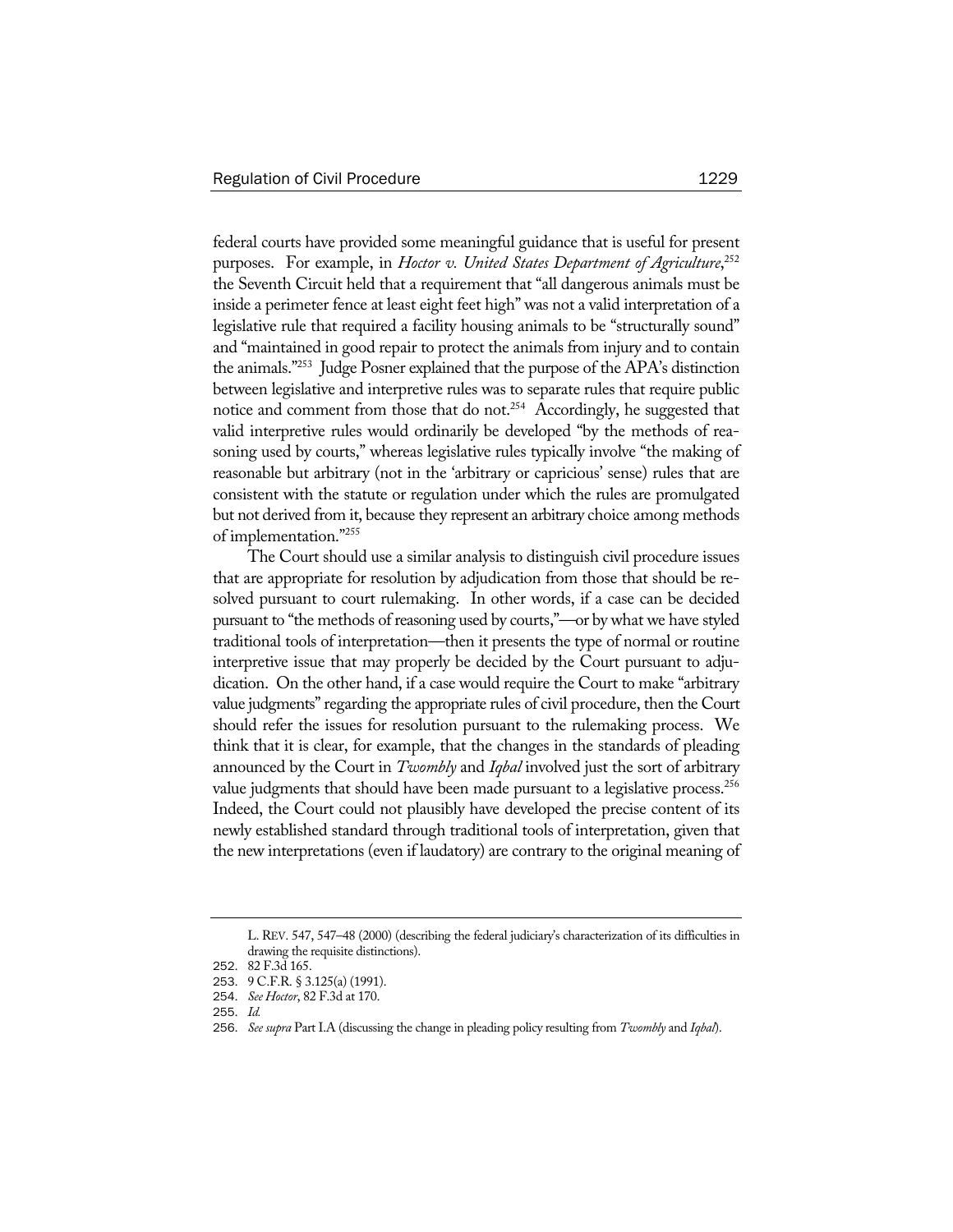federal courts have provided some meaningful guidance that is useful for present purposes. For example, in *Hoctor v. United States Department of Agriculture*, 252 the Seventh Circuit held that a requirement that "all dangerous animals must be inside a perimeter fence at least eight feet high" was not a valid interpretation of a legislative rule that required a facility housing animals to be "structurally sound" and "maintained in good repair to protect the animals from injury and to contain the animals."253 Judge Posner explained that the purpose of the APA's distinction between legislative and interpretive rules was to separate rules that require public notice and comment from those that do not.<sup>254</sup> Accordingly, he suggested that valid interpretive rules would ordinarily be developed "by the methods of reasoning used by courts," whereas legislative rules typically involve "the making of reasonable but arbitrary (not in the 'arbitrary or capricious' sense) rules that are consistent with the statute or regulation under which the rules are promulgated but not derived from it, because they represent an arbitrary choice among methods of implementation."255

The Court should use a similar analysis to distinguish civil procedure issues that are appropriate for resolution by adjudication from those that should be resolved pursuant to court rulemaking. In other words, if a case can be decided pursuant to "the methods of reasoning used by courts,"—or by what we have styled traditional tools of interpretation—then it presents the type of normal or routine interpretive issue that may properly be decided by the Court pursuant to adjudication. On the other hand, if a case would require the Court to make "arbitrary value judgments" regarding the appropriate rules of civil procedure, then the Court should refer the issues for resolution pursuant to the rulemaking process. We think that it is clear, for example, that the changes in the standards of pleading announced by the Court in *Twombly* and *Iqbal* involved just the sort of arbitrary value judgments that should have been made pursuant to a legislative process.<sup>256</sup> Indeed, the Court could not plausibly have developed the precise content of its newly established standard through traditional tools of interpretation, given that the new interpretations (even if laudatory) are contrary to the original meaning of

L. REV. 547, 547–48 (2000) (describing the federal judiciary's characterization of its difficulties in drawing the requisite distinctions).

<sup>252</sup>. 82 F.3d 165.

<sup>253</sup>. 9 C.F.R. § 3.125(a) (1991).

<sup>254</sup>. *See Hoctor*, 82 F.3d at 170.

<sup>255</sup>. *Id.*

<sup>256</sup>. *See supra* Part I.A (discussing the change in pleading policy resulting from *Twombly* and *Iqbal*).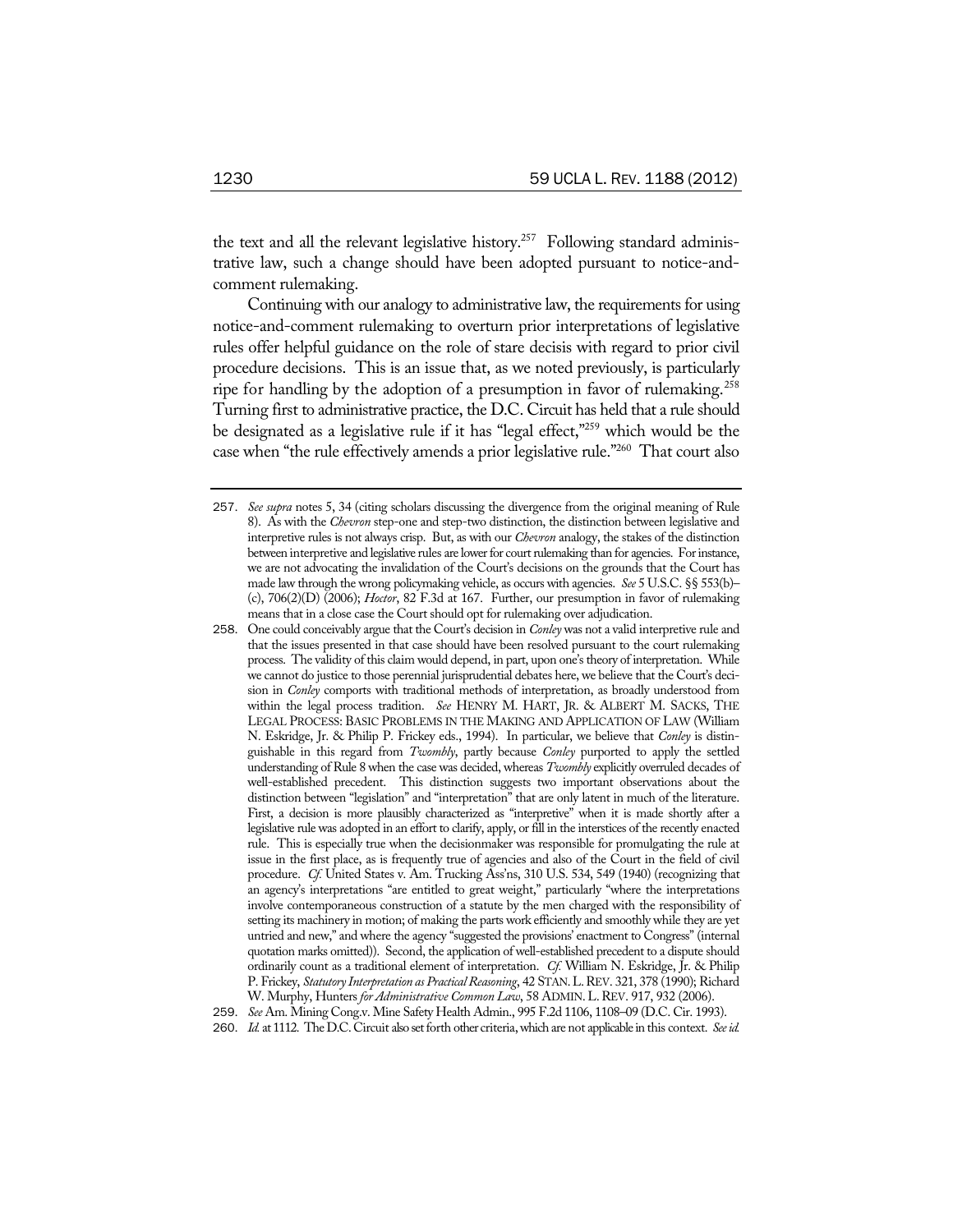the text and all the relevant legislative history.<sup>257</sup> Following standard administrative law, such a change should have been adopted pursuant to notice-andcomment rulemaking.

Continuing with our analogy to administrative law, the requirements for using notice-and-comment rulemaking to overturn prior interpretations of legislative rules offer helpful guidance on the role of stare decisis with regard to prior civil procedure decisions. This is an issue that, as we noted previously, is particularly ripe for handling by the adoption of a presumption in favor of rulemaking.<sup>258</sup> Turning first to administrative practice, the D.C. Circuit has held that a rule should be designated as a legislative rule if it has "legal effect,"259 which would be the case when "the rule effectively amends a prior legislative rule."260 That court also

<sup>257</sup>. *See supra* notes 5, 34 (citing scholars discussing the divergence from the original meaning of Rule 8). As with the *Chevron* step-one and step-two distinction, the distinction between legislative and interpretive rules is not always crisp. But, as with our *Chevron* analogy, the stakes of the distinction between interpretive and legislative rules are lower for court rulemaking than for agencies. For instance, we are not advocating the invalidation of the Court's decisions on the grounds that the Court has made law through the wrong policymaking vehicle, as occurs with agencies. *See* 5 U.S.C. §§ 553(b)– (c), 706(2)(D) (2006); *Hoctor*, 82 F.3d at 167. Further, our presumption in favor of rulemaking means that in a close case the Court should opt for rulemaking over adjudication.

<sup>258</sup>. One could conceivably argue that the Court's decision in *Conley* was not a valid interpretive rule and that the issues presented in that case should have been resolved pursuant to the court rulemaking process. The validity of this claim would depend, in part, upon one's theory of interpretation. While we cannot do justice to those perennial jurisprudential debates here, we believe that the Court's decision in *Conley* comports with traditional methods of interpretation, as broadly understood from within the legal process tradition. *See* HENRY M. HART, JR. & ALBERT M. SACKS, THE LEGAL PROCESS: BASIC PROBLEMS IN THE MAKING AND APPLICATION OF LAW (William N. Eskridge, Jr. & Philip P. Frickey eds., 1994). In particular, we believe that *Conley* is distinguishable in this regard from *Twombly*, partly because *Conley* purported to apply the settled understanding of Rule 8 when the case was decided, whereas *Twombly* explicitly overruled decades of well-established precedent. This distinction suggests two important observations about the distinction between "legislation" and "interpretation" that are only latent in much of the literature. First, a decision is more plausibly characterized as "interpretive" when it is made shortly after a legislative rule was adopted in an effort to clarify, apply, or fill in the interstices of the recently enacted rule. This is especially true when the decisionmaker was responsible for promulgating the rule at issue in the first place, as is frequently true of agencies and also of the Court in the field of civil procedure. *Cf.* United States v. Am. Trucking Ass'ns, 310 U.S. 534, 549 (1940) (recognizing that an agency's interpretations "are entitled to great weight," particularly "where the interpretations involve contemporaneous construction of a statute by the men charged with the responsibility of setting its machinery in motion; of making the parts work efficiently and smoothly while they are yet untried and new," and where the agency "suggested the provisions' enactment to Congress" (internal quotation marks omitted)). Second, the application of well-established precedent to a dispute should ordinarily count as a traditional element of interpretation. *Cf.* William N. Eskridge, Jr. & Philip P. Frickey, *Statutory Interpretation as Practical Reasoning*, 42 STAN.L.REV. 321, 378 (1990); Richard W. Murphy, Hunters *for Administrative Common Law*, 58 ADMIN.L.REV. 917, 932 (2006).

<sup>259</sup>. *See* Am. Mining Cong.v. Mine Safety Health Admin., 995 F.2d 1106, 1108–09 (D.C. Cir. 1993).

<sup>260</sup>. *Id.* at 1112. The D.C. Circuit also set forth other criteria, which are not applicable in this context. *Seeid.*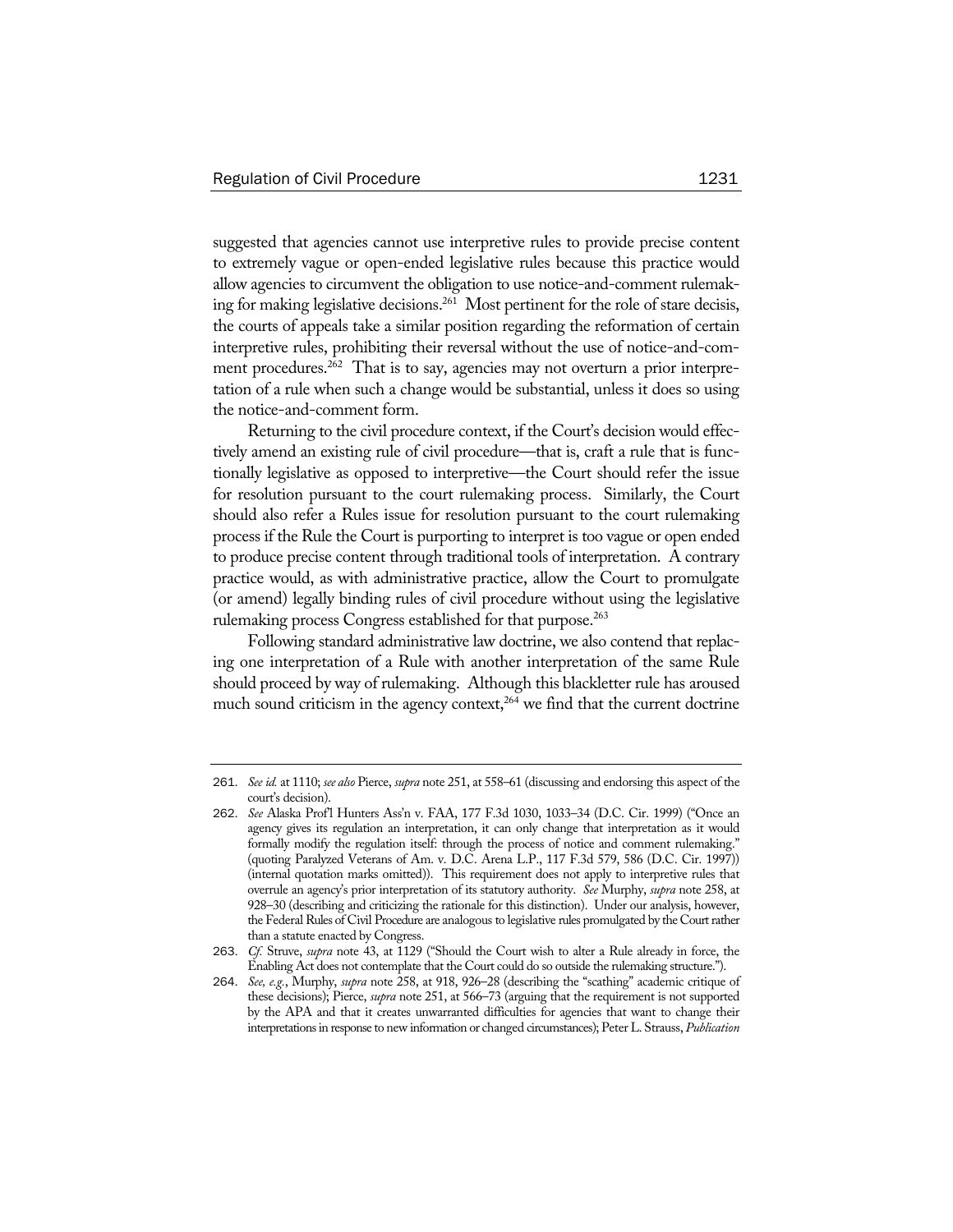suggested that agencies cannot use interpretive rules to provide precise content to extremely vague or open-ended legislative rules because this practice would allow agencies to circumvent the obligation to use notice-and-comment rulemaking for making legislative decisions.<sup>261</sup> Most pertinent for the role of stare decisis, the courts of appeals take a similar position regarding the reformation of certain interpretive rules, prohibiting their reversal without the use of notice-and-comment procedures.<sup>262</sup> That is to say, agencies may not overturn a prior interpretation of a rule when such a change would be substantial, unless it does so using the notice-and-comment form.

Returning to the civil procedure context, if the Court's decision would effectively amend an existing rule of civil procedure—that is, craft a rule that is functionally legislative as opposed to interpretive—the Court should refer the issue for resolution pursuant to the court rulemaking process. Similarly, the Court should also refer a Rules issue for resolution pursuant to the court rulemaking process if the Rule the Court is purporting to interpret is too vague or open ended to produce precise content through traditional tools of interpretation. A contrary practice would, as with administrative practice, allow the Court to promulgate (or amend) legally binding rules of civil procedure without using the legislative rulemaking process Congress established for that purpose.<sup>263</sup>

Following standard administrative law doctrine, we also contend that replacing one interpretation of a Rule with another interpretation of the same Rule should proceed by way of rulemaking. Although this blackletter rule has aroused much sound criticism in the agency context, $264$  we find that the current doctrine

<sup>261</sup>. *See id.* at 1110; *see also* Pierce, *supra* note 251, at 558–61 (discussing and endorsing this aspect of the court's decision).

<sup>262</sup>. *See* Alaska Prof'l Hunters Ass'n v. FAA, 177 F.3d 1030, 1033–34 (D.C. Cir. 1999) ("Once an agency gives its regulation an interpretation, it can only change that interpretation as it would formally modify the regulation itself: through the process of notice and comment rulemaking." (quoting Paralyzed Veterans of Am. v. D.C. Arena L.P., 117 F.3d 579, 586 (D.C. Cir. 1997)) (internal quotation marks omitted)). This requirement does not apply to interpretive rules that overrule an agency's prior interpretation of its statutory authority. *See* Murphy, *supra* note 258, at 928–30 (describing and criticizing the rationale for this distinction). Under our analysis, however, the Federal Rules of Civil Procedure are analogous to legislative rules promulgated by the Court rather than a statute enacted by Congress.

<sup>263</sup>. *Cf.* Struve, *supra* note 43, at 1129 ("Should the Court wish to alter a Rule already in force, the Enabling Act does not contemplate that the Court could do so outside the rulemaking structure.").

<sup>264</sup>. *See, e.g.*, Murphy, *supra* note 258, at 918, 926–28 (describing the "scathing" academic critique of these decisions); Pierce, *supra* note 251, at 566–73 (arguing that the requirement is not supported by the APA and that it creates unwarranted difficulties for agencies that want to change their interpretations in response to new information or changed circumstances); Peter L. Strauss, *Publication*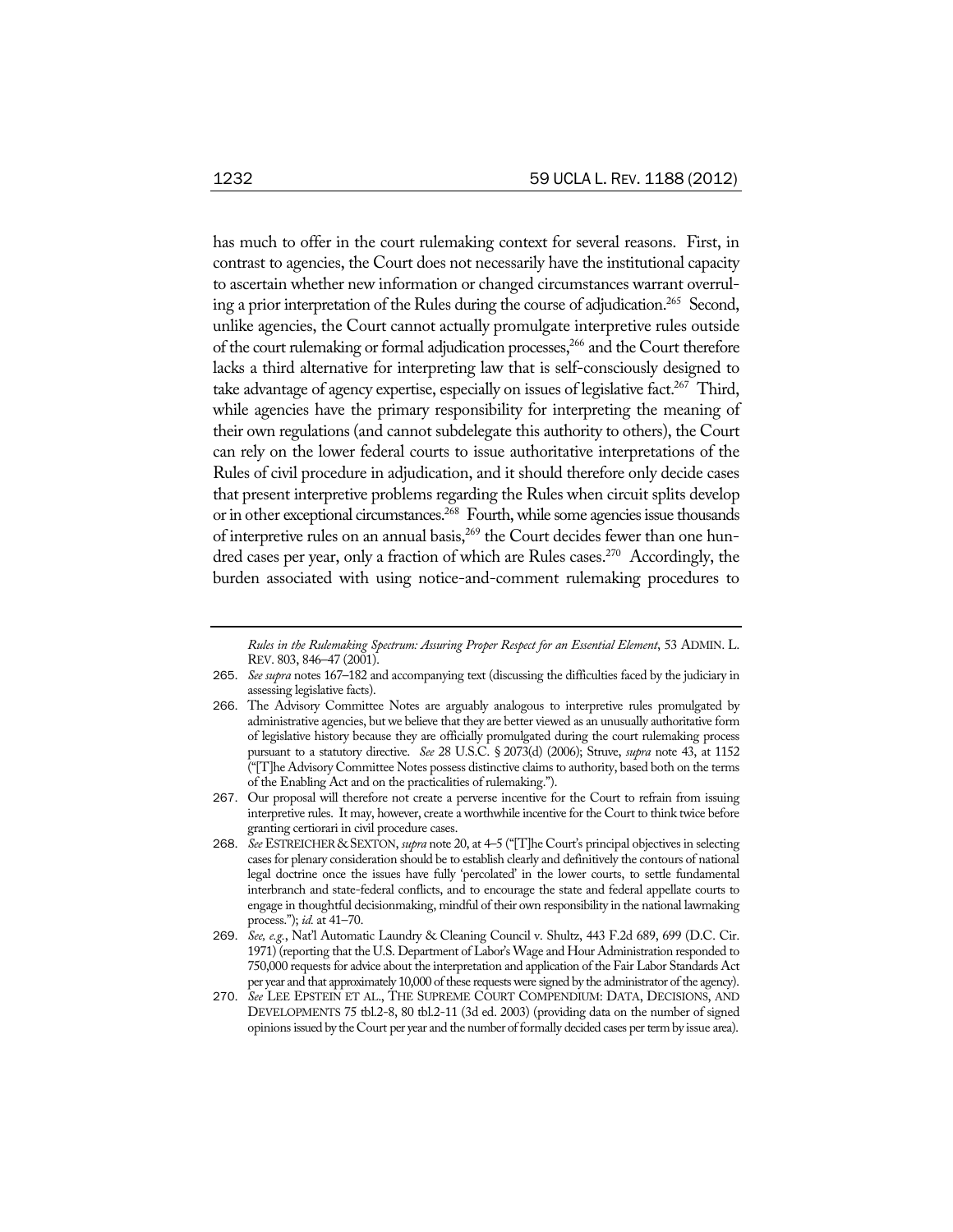has much to offer in the court rulemaking context for several reasons. First, in contrast to agencies, the Court does not necessarily have the institutional capacity to ascertain whether new information or changed circumstances warrant overruling a prior interpretation of the Rules during the course of adjudication.<sup>265</sup> Second, unlike agencies, the Court cannot actually promulgate interpretive rules outside of the court rulemaking or formal adjudication processes,<sup>266</sup> and the Court therefore lacks a third alternative for interpreting law that is self-consciously designed to take advantage of agency expertise, especially on issues of legislative fact.<sup>267</sup> Third, while agencies have the primary responsibility for interpreting the meaning of their own regulations (and cannot subdelegate this authority to others), the Court can rely on the lower federal courts to issue authoritative interpretations of the Rules of civil procedure in adjudication, and it should therefore only decide cases that present interpretive problems regarding the Rules when circuit splits develop or in other exceptional circumstances.<sup>268</sup> Fourth, while some agencies issue thousands of interpretive rules on an annual basis,<sup>269</sup> the Court decides fewer than one hundred cases per year, only a fraction of which are Rules cases.<sup>270</sup> Accordingly, the burden associated with using notice-and-comment rulemaking procedures to

*Rules in the Rulemaking Spectrum: Assuring Proper Respect for an Essential Element*, 53 ADMIN. L. REV. 803, 846–47 (2001).

<sup>265</sup>. *See supra* notes 167–182 and accompanying text (discussing the difficulties faced by the judiciary in assessing legislative facts).

<sup>266</sup>. The Advisory Committee Notes are arguably analogous to interpretive rules promulgated by administrative agencies, but we believe that they are better viewed as an unusually authoritative form of legislative history because they are officially promulgated during the court rulemaking process pursuant to a statutory directive. *See* 28 U.S.C. § 2073(d) (2006); Struve, *supra* note 43, at 1152 ("[T]he Advisory Committee Notes possess distinctive claims to authority, based both on the terms of the Enabling Act and on the practicalities of rulemaking.").

<sup>267</sup>. Our proposal will therefore not create a perverse incentive for the Court to refrain from issuing interpretive rules. It may, however, create a worthwhile incentive for the Court to think twice before granting certiorari in civil procedure cases.

<sup>268</sup>. *See* ESTREICHER & SEXTON, *supra* note 20, at 4–5 ("[T]he Court's principal objectives in selecting cases for plenary consideration should be to establish clearly and definitively the contours of national legal doctrine once the issues have fully 'percolated' in the lower courts, to settle fundamental interbranch and state-federal conflicts, and to encourage the state and federal appellate courts to engage in thoughtful decisionmaking, mindful of their own responsibility in the national lawmaking process."); *id.* at 41–70.

<sup>269</sup>. *See, e.g.*, Nat'l Automatic Laundry & Cleaning Council v. Shultz, 443 F.2d 689, 699 (D.C. Cir. 1971) (reporting that the U.S. Department of Labor's Wage and Hour Administration responded to 750,000 requests for advice about the interpretation and application of the Fair Labor Standards Act per year and that approximately 10,000 of these requests were signed by the administrator of the agency).

<sup>270</sup>. *See* LEE EPSTEIN ET AL., THE SUPREME COURT COMPENDIUM: DATA, DECISIONS, AND DEVELOPMENTS 75 tbl.2-8, 80 tbl.2-11 (3d ed. 2003) (providing data on the number of signed opinions issued by the Court per year and the number of formally decided cases per term by issue area).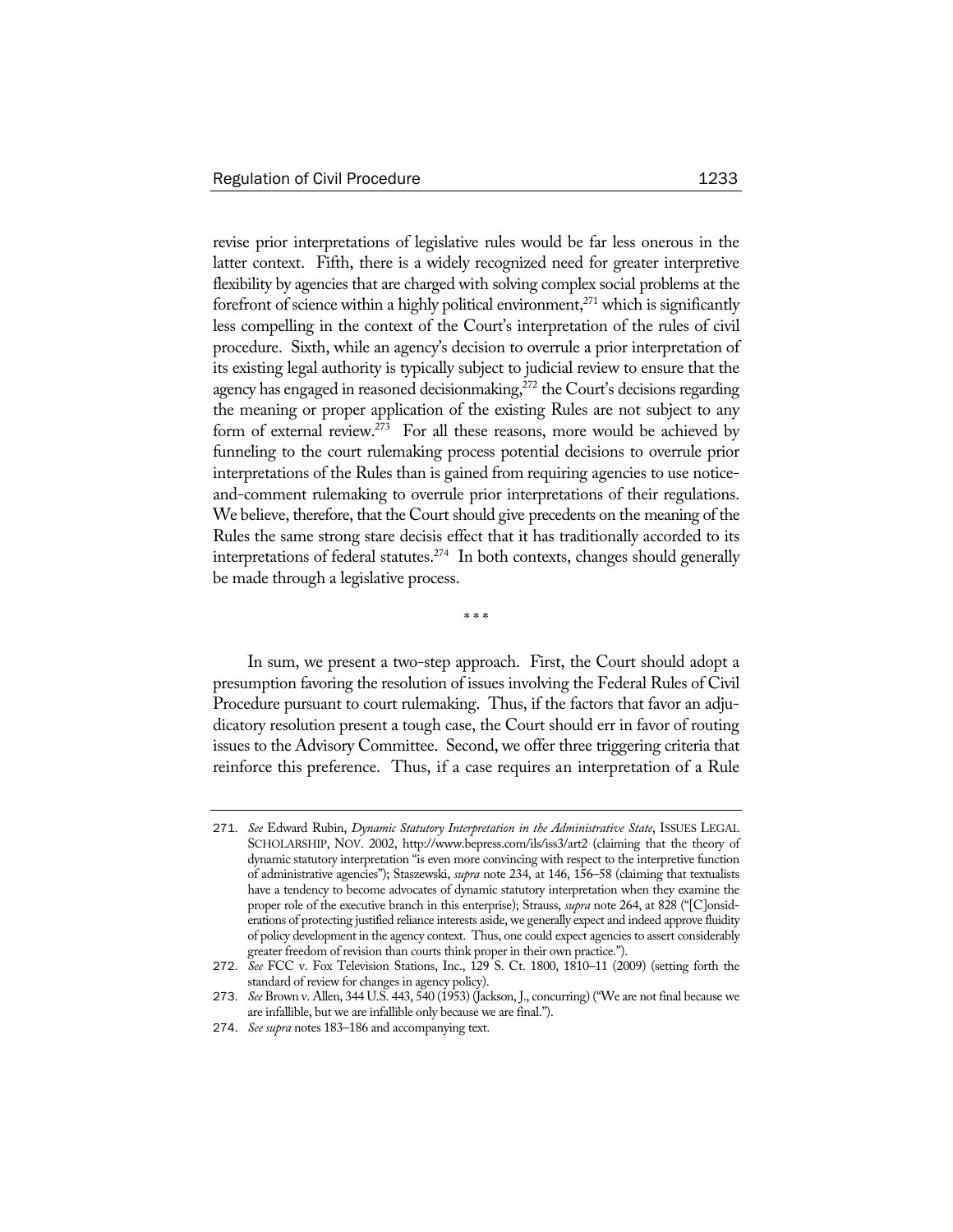revise prior interpretations of legislative rules would be far less onerous in the latter context. Fifth, there is a widely recognized need for greater interpretive flexibility by agencies that are charged with solving complex social problems at the forefront of science within a highly political environment, $^{271}$  which is significantly less compelling in the context of the Court's interpretation of the rules of civil procedure. Sixth, while an agency's decision to overrule a prior interpretation of its existing legal authority is typically subject to judicial review to ensure that the agency has engaged in reasoned decisionmaking,<sup>272</sup> the Court's decisions regarding the meaning or proper application of the existing Rules are not subject to any form of external review.<sup>273</sup> For all these reasons, more would be achieved by funneling to the court rulemaking process potential decisions to overrule prior interpretations of the Rules than is gained from requiring agencies to use noticeand-comment rulemaking to overrule prior interpretations of their regulations. We believe, therefore, that the Court should give precedents on the meaning of the Rules the same strong stare decisis effect that it has traditionally accorded to its interpretations of federal statutes.<sup>274</sup> In both contexts, changes should generally be made through a legislative process.

\* \* \*

In sum, we present a two-step approach. First, the Court should adopt a presumption favoring the resolution of issues involving the Federal Rules of Civil Procedure pursuant to court rulemaking. Thus, if the factors that favor an adjudicatory resolution present a tough case, the Court should err in favor of routing issues to the Advisory Committee. Second, we offer three triggering criteria that reinforce this preference. Thus, if a case requires an interpretation of a Rule

<sup>271</sup>. *See* Edward Rubin, *Dynamic Statutory Interpretation in the Administrative State*, ISSUES LEGAL SCHOLARSHIP, NOV. 2002, http://www.bepress.com/ils/iss3/art2 (claiming that the theory of dynamic statutory interpretation "is even more convincing with respect to the interpretive function of administrative agencies"); Staszewski, *supra* note 234, at 146, 156–58 (claiming that textualists have a tendency to become advocates of dynamic statutory interpretation when they examine the proper role of the executive branch in this enterprise); Strauss, *supra* note 264, at 828 ("[C]onsiderations of protecting justified reliance interests aside, we generally expect and indeed approve fluidity of policy development in the agency context. Thus, one could expect agencies to assert considerably greater freedom of revision than courts think proper in their own practice.").

<sup>272</sup>. *See* FCC v. Fox Television Stations, Inc., 129 S. Ct. 1800, 1810–11 (2009) (setting forth the standard of review for changes in agency policy).

<sup>273</sup>. *See* Brown v. Allen, 344 U.S. 443, 540 (1953) (Jackson, J., concurring) ("We are not final because we are infallible, but we are infallible only because we are final.").

<sup>274</sup>. *See supra* notes 183–186 and accompanying text.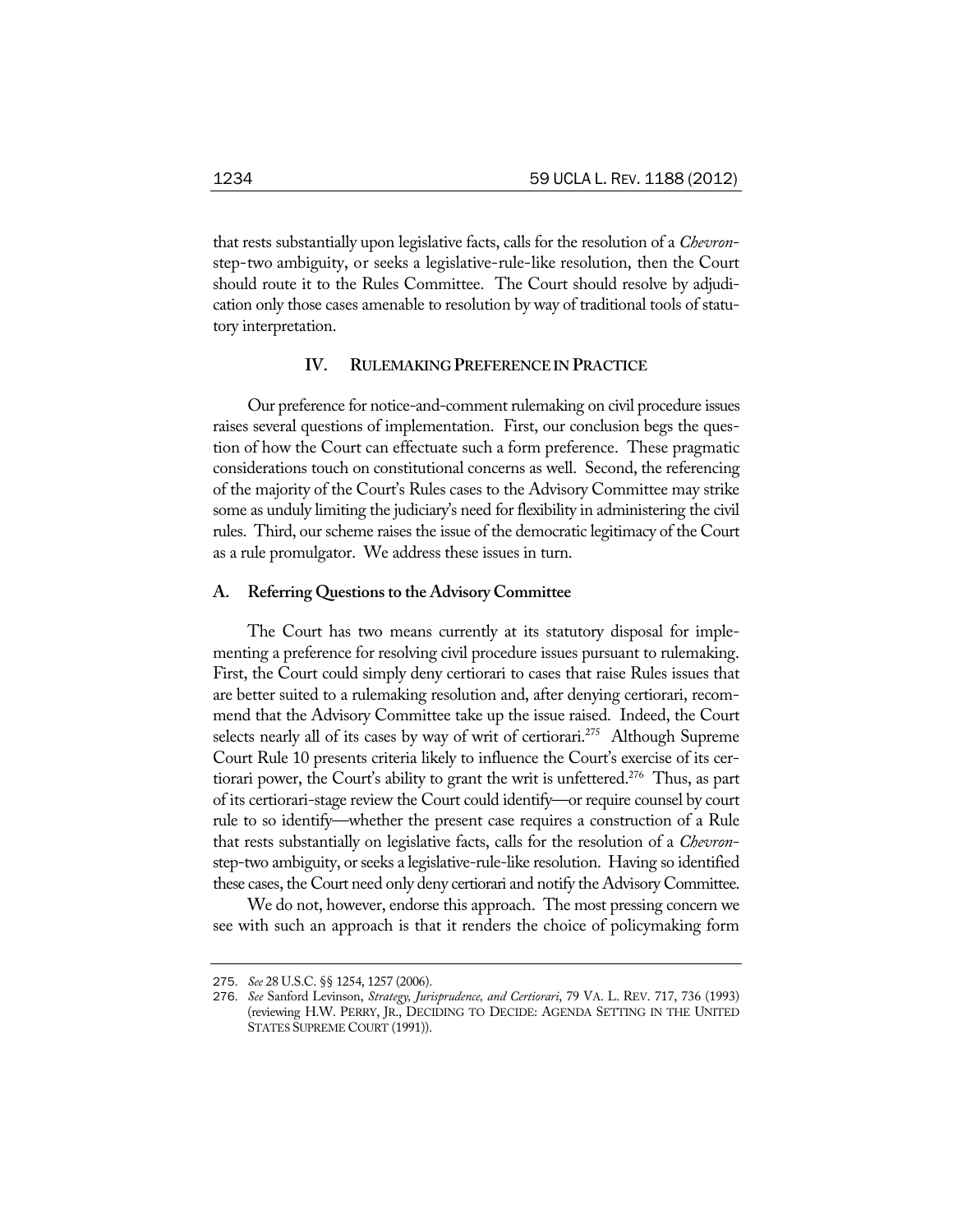that rests substantially upon legislative facts, calls for the resolution of a *Chevron*step-two ambiguity, or seeks a legislative-rule-like resolution, then the Court should route it to the Rules Committee. The Court should resolve by adjudication only those cases amenable to resolution by way of traditional tools of statutory interpretation.

## **IV. RULEMAKING PREFERENCE IN PRACTICE**

Our preference for notice-and-comment rulemaking on civil procedure issues raises several questions of implementation. First, our conclusion begs the question of how the Court can effectuate such a form preference. These pragmatic considerations touch on constitutional concerns as well. Second, the referencing of the majority of the Court's Rules cases to the Advisory Committee may strike some as unduly limiting the judiciary's need for flexibility in administering the civil rules. Third, our scheme raises the issue of the democratic legitimacy of the Court as a rule promulgator. We address these issues in turn.

#### **A. Referring Questions to the Advisory Committee**

The Court has two means currently at its statutory disposal for implementing a preference for resolving civil procedure issues pursuant to rulemaking. First, the Court could simply deny certiorari to cases that raise Rules issues that are better suited to a rulemaking resolution and, after denying certiorari, recommend that the Advisory Committee take up the issue raised. Indeed, the Court selects nearly all of its cases by way of writ of certiorari.<sup>275</sup> Although Supreme Court Rule 10 presents criteria likely to influence the Court's exercise of its certiorari power, the Court's ability to grant the writ is unfettered.<sup>276</sup> Thus, as part of its certiorari-stage review the Court could identify—or require counsel by court rule to so identify—whether the present case requires a construction of a Rule that rests substantially on legislative facts, calls for the resolution of a *Chevron*step-two ambiguity, or seeks a legislative-rule-like resolution. Having so identified these cases, the Court need only deny certiorari and notify the Advisory Committee.

We do not, however, endorse this approach. The most pressing concern we see with such an approach is that it renders the choice of policymaking form

<sup>275</sup>. *See* 28 U.S.C. §§ 1254, 1257 (2006).

<sup>276</sup>. *See* Sanford Levinson, *Strategy, Jurisprudence, and Certiorari*, 79 VA. L. REV. 717, 736 (1993) (reviewing H.W. PERRY, JR., DECIDING TO DECIDE: AGENDA SETTING IN THE UNITED STATES SUPREME COURT (1991)).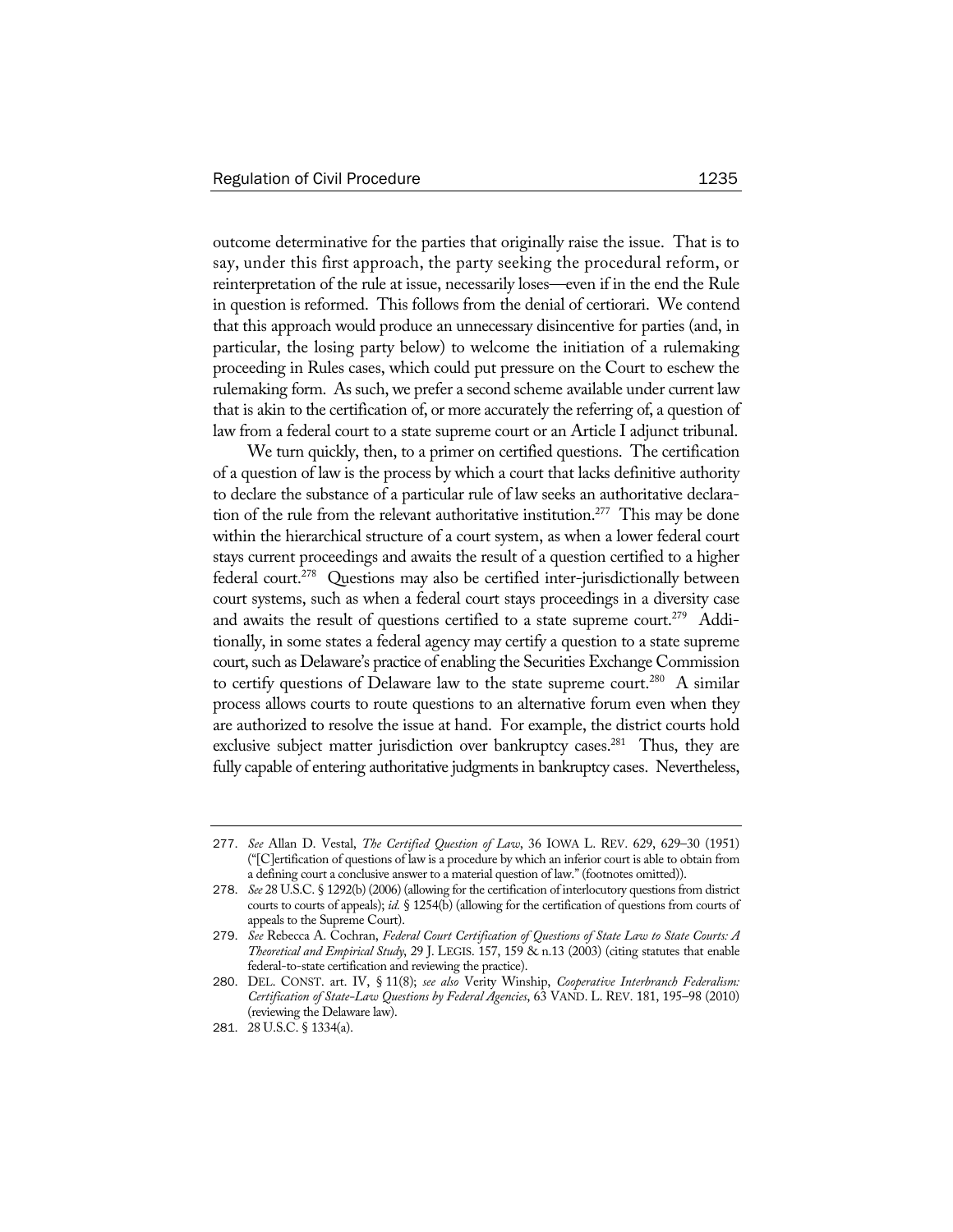outcome determinative for the parties that originally raise the issue. That is to say, under this first approach, the party seeking the procedural reform, or reinterpretation of the rule at issue, necessarily loses—even if in the end the Rule in question is reformed. This follows from the denial of certiorari. We contend that this approach would produce an unnecessary disincentive for parties (and, in particular, the losing party below) to welcome the initiation of a rulemaking proceeding in Rules cases, which could put pressure on the Court to eschew the rulemaking form. As such, we prefer a second scheme available under current law that is akin to the certification of, or more accurately the referring of, a question of law from a federal court to a state supreme court or an Article I adjunct tribunal.

We turn quickly, then, to a primer on certified questions. The certification of a question of law is the process by which a court that lacks definitive authority to declare the substance of a particular rule of law seeks an authoritative declaration of the rule from the relevant authoritative institution.<sup>277</sup> This may be done within the hierarchical structure of a court system, as when a lower federal court stays current proceedings and awaits the result of a question certified to a higher federal court.<sup>278</sup> Questions may also be certified inter-jurisdictionally between court systems, such as when a federal court stays proceedings in a diversity case and awaits the result of questions certified to a state supreme court.<sup>279</sup> Additionally, in some states a federal agency may certify a question to a state supreme court, such as Delaware's practice of enabling the Securities Exchange Commission to certify questions of Delaware law to the state supreme court.<sup>280</sup> A similar process allows courts to route questions to an alternative forum even when they are authorized to resolve the issue at hand. For example, the district courts hold exclusive subject matter jurisdiction over bankruptcy cases.<sup>281</sup> Thus, they are fully capable of entering authoritative judgments in bankruptcy cases. Nevertheless,

<sup>277</sup>. *See* Allan D. Vestal, *The Certified Question of Law*, 36 IOWA L. REV. 629, 629–30 (1951) ("[C]ertification of questions of law is a procedure by which an inferior court is able to obtain from a defining court a conclusive answer to a material question of law." (footnotes omitted)).

<sup>278</sup>. *See* 28 U.S.C. § 1292(b) (2006) (allowing for the certification of interlocutory questions from district courts to courts of appeals); *id.* § 1254(b) (allowing for the certification of questions from courts of appeals to the Supreme Court).

<sup>279</sup>. *See* Rebecca A. Cochran, *Federal Court Certification of Questions of State Law to State Courts: A Theoretical and Empirical Study*, 29 J. LEGIS. 157, 159 & n.13 (2003) (citing statutes that enable federal-to-state certification and reviewing the practice).

<sup>280</sup>. DEL. CONST. art. IV, § 11(8); *see also* Verity Winship, *Cooperative Interbranch Federalism: Certification of State-Law Questions by Federal Agencies*, 63 VAND. L. REV. 181, 195–98 (2010) (reviewing the Delaware law).

<sup>281</sup>. 28 U.S.C. § 1334(a).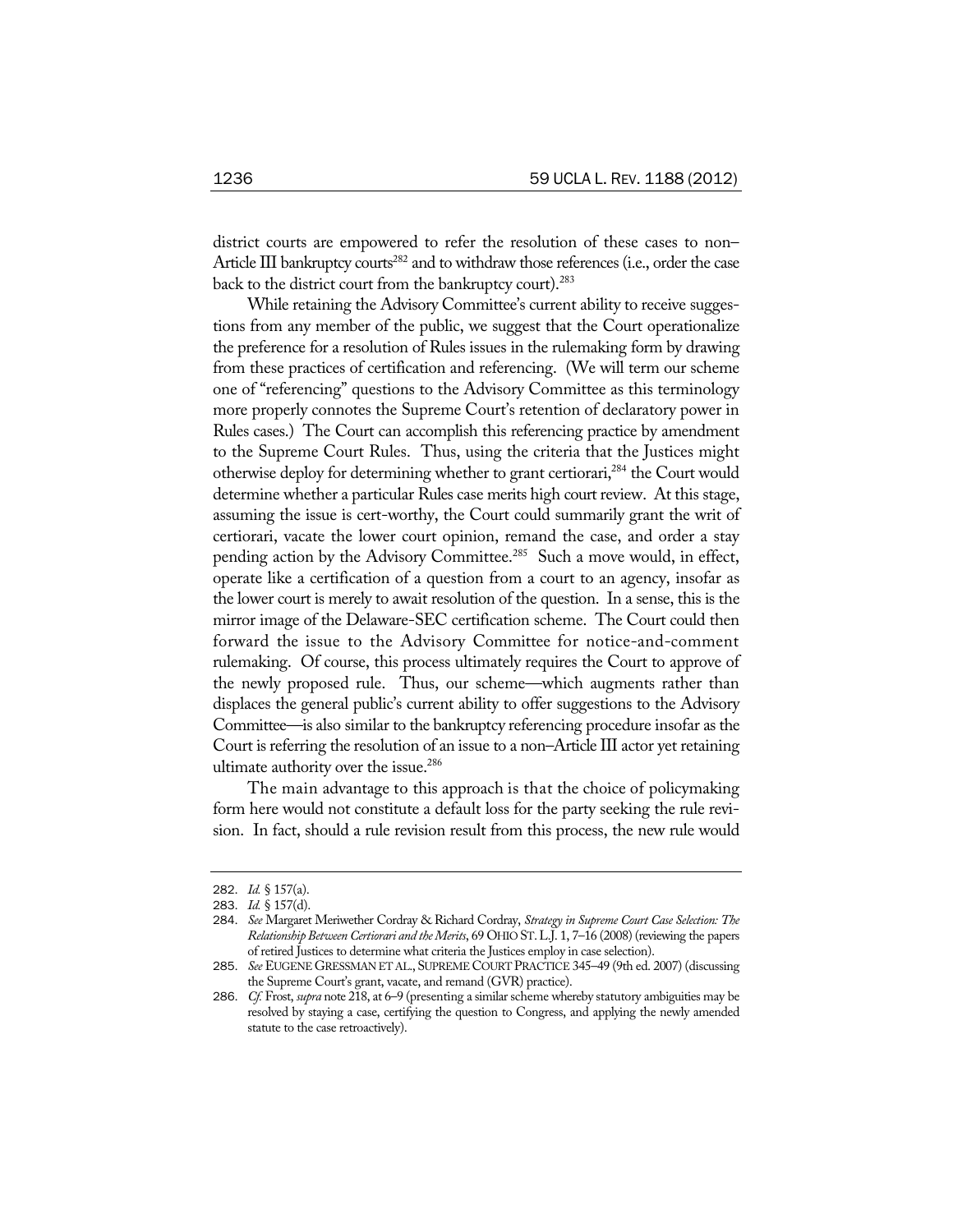district courts are empowered to refer the resolution of these cases to non– Article III bankruptcy courts<sup>282</sup> and to withdraw those references (i.e., order the case back to the district court from the bankruptcy court).<sup>283</sup>

While retaining the Advisory Committee's current ability to receive suggestions from any member of the public, we suggest that the Court operationalize the preference for a resolution of Rules issues in the rulemaking form by drawing from these practices of certification and referencing. (We will term our scheme one of "referencing" questions to the Advisory Committee as this terminology more properly connotes the Supreme Court's retention of declaratory power in Rules cases.) The Court can accomplish this referencing practice by amendment to the Supreme Court Rules. Thus, using the criteria that the Justices might otherwise deploy for determining whether to grant certiorari,<sup>284</sup> the Court would determine whether a particular Rules case merits high court review. At this stage, assuming the issue is cert-worthy, the Court could summarily grant the writ of certiorari, vacate the lower court opinion, remand the case, and order a stay pending action by the Advisory Committee.<sup>285</sup> Such a move would, in effect, operate like a certification of a question from a court to an agency, insofar as the lower court is merely to await resolution of the question. In a sense, this is the mirror image of the Delaware-SEC certification scheme. The Court could then forward the issue to the Advisory Committee for notice-and-comment rulemaking. Of course, this process ultimately requires the Court to approve of the newly proposed rule. Thus, our scheme—which augments rather than displaces the general public's current ability to offer suggestions to the Advisory Committee—is also similar to the bankruptcy referencing procedure insofar as the Court is referring the resolution of an issue to a non–Article III actor yet retaining ultimate authority over the issue.<sup>286</sup>

The main advantage to this approach is that the choice of policymaking form here would not constitute a default loss for the party seeking the rule revision. In fact, should a rule revision result from this process, the new rule would

<sup>282</sup>. *Id.* § 157(a).

<sup>283</sup>. *Id.* § 157(d).

<sup>284</sup>. *See* Margaret Meriwether Cordray & Richard Cordray, *Strategy in Supreme Court Case Selection: The Relationship Between Certiorari and the Merits*, 69 OHIO ST.L.J. 1, 7–16 (2008) (reviewing the papers of retired Justices to determine what criteria the Justices employ in case selection).

<sup>285</sup>. *See* EUGENE GRESSMAN ET AL., SUPREME COURT PRACTICE 345–49 (9th ed. 2007) (discussing the Supreme Court's grant, vacate, and remand (GVR) practice).

<sup>286</sup>. *Cf.* Frost, *supra* note 218, at 6–9 (presenting a similar scheme whereby statutory ambiguities may be resolved by staying a case, certifying the question to Congress, and applying the newly amended statute to the case retroactively).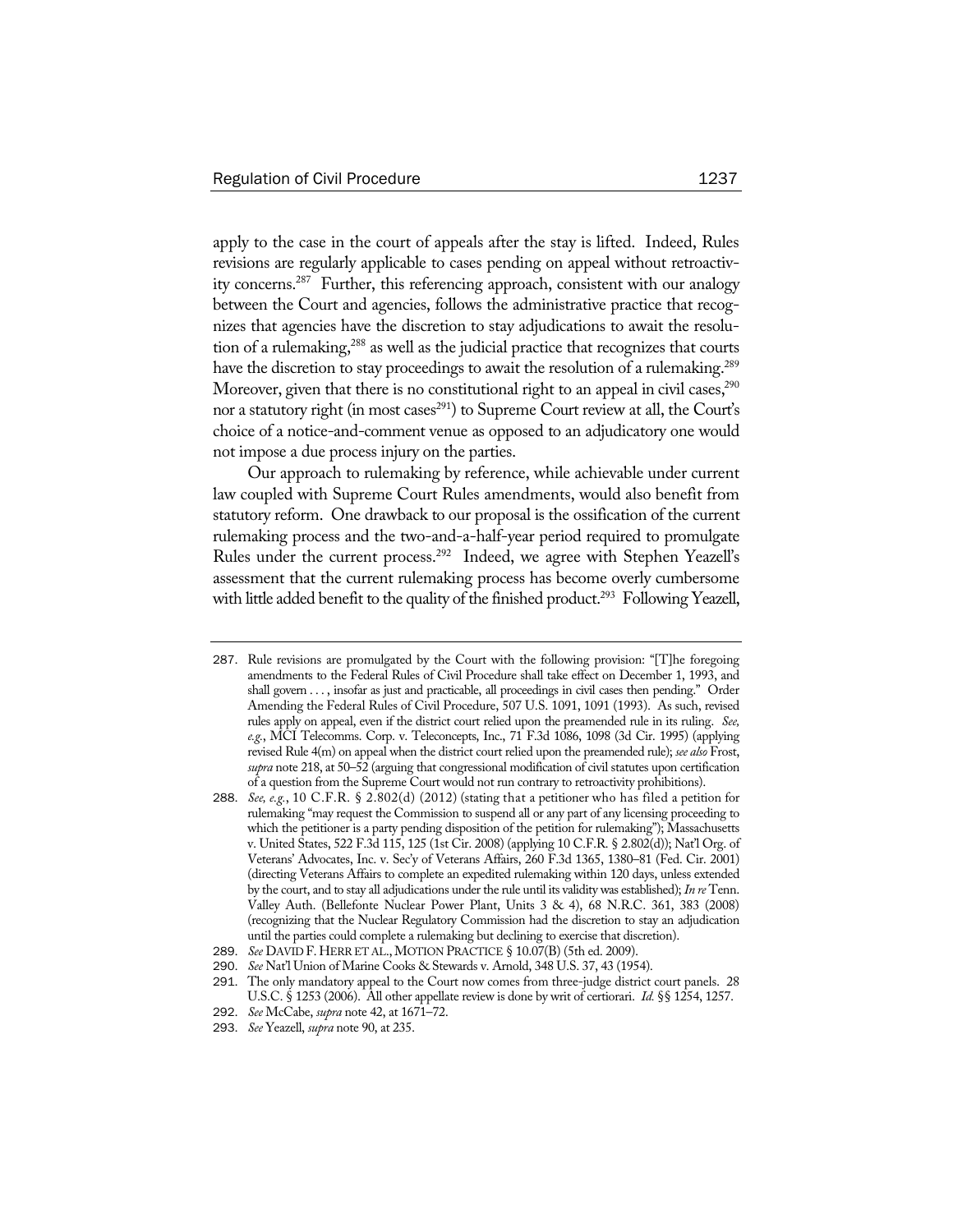apply to the case in the court of appeals after the stay is lifted. Indeed, Rules revisions are regularly applicable to cases pending on appeal without retroactivity concerns.287 Further, this referencing approach, consistent with our analogy between the Court and agencies, follows the administrative practice that recognizes that agencies have the discretion to stay adjudications to await the resolution of a rulemaking,<sup>288</sup> as well as the judicial practice that recognizes that courts have the discretion to stay proceedings to await the resolution of a rulemaking.<sup>289</sup> Moreover, given that there is no constitutional right to an appeal in civil cases,  $290$ nor a statutory right (in most cases<sup>291</sup>) to Supreme Court review at all, the Court's choice of a notice-and-comment venue as opposed to an adjudicatory one would not impose a due process injury on the parties.

Our approach to rulemaking by reference, while achievable under current law coupled with Supreme Court Rules amendments, would also benefit from statutory reform. One drawback to our proposal is the ossification of the current rulemaking process and the two-and-a-half-year period required to promulgate Rules under the current process.<sup>292</sup> Indeed, we agree with Stephen Yeazell's assessment that the current rulemaking process has become overly cumbersome with little added benefit to the quality of the finished product.<sup>293</sup> Following Yeazell,

<sup>287</sup>. Rule revisions are promulgated by the Court with the following provision: "[T]he foregoing amendments to the Federal Rules of Civil Procedure shall take effect on December 1, 1993, and shall govern . . . , insofar as just and practicable, all proceedings in civil cases then pending." Order Amending the Federal Rules of Civil Procedure, 507 U.S. 1091, 1091 (1993). As such, revised rules apply on appeal, even if the district court relied upon the preamended rule in its ruling. *See, e.g.*, MCI Telecomms. Corp. v. Teleconcepts, Inc., 71 F.3d 1086, 1098 (3d Cir. 1995) (applying revised Rule 4(m) on appeal when the district court relied upon the preamended rule); *see also* Frost, *supra* note 218, at 50–52 (arguing that congressional modification of civil statutes upon certification of a question from the Supreme Court would not run contrary to retroactivity prohibitions).

<sup>288</sup>. *See, e.g.*, 10 C.F.R. § 2.802(d) (2012) (stating that a petitioner who has filed a petition for rulemaking "may request the Commission to suspend all or any part of any licensing proceeding to which the petitioner is a party pending disposition of the petition for rulemaking"); Massachusetts v. United States, 522 F.3d 115, 125 (1st Cir. 2008) (applying 10 C.F.R. § 2.802(d)); Nat'l Org. of Veterans' Advocates, Inc. v. Sec'y of Veterans Affairs, 260 F.3d 1365, 1380–81 (Fed. Cir. 2001) (directing Veterans Affairs to complete an expedited rulemaking within 120 days, unless extended by the court, and to stay all adjudications under the rule until its validity was established); *In re* Tenn. Valley Auth. (Bellefonte Nuclear Power Plant, Units 3 & 4), 68 N.R.C. 361, 383 (2008) (recognizing that the Nuclear Regulatory Commission had the discretion to stay an adjudication until the parties could complete a rulemaking but declining to exercise that discretion).

<sup>289</sup>. *See* DAVID F. HERR ET AL.,MOTION PRACTICE § 10.07(B) (5th ed. 2009).

<sup>290</sup>. *See* Nat'l Union of Marine Cooks & Stewards v. Arnold, 348 U.S. 37, 43 (1954).

<sup>291</sup>. The only mandatory appeal to the Court now comes from three-judge district court panels. 28 U.S.C. § 1253 (2006). All other appellate review is done by writ of certiorari. *Id.* §§ 1254, 1257.

<sup>292</sup>. *See* McCabe, *supra* note 42, at 1671–72.

<sup>293</sup>. *See* Yeazell, *supra* note 90, at 235.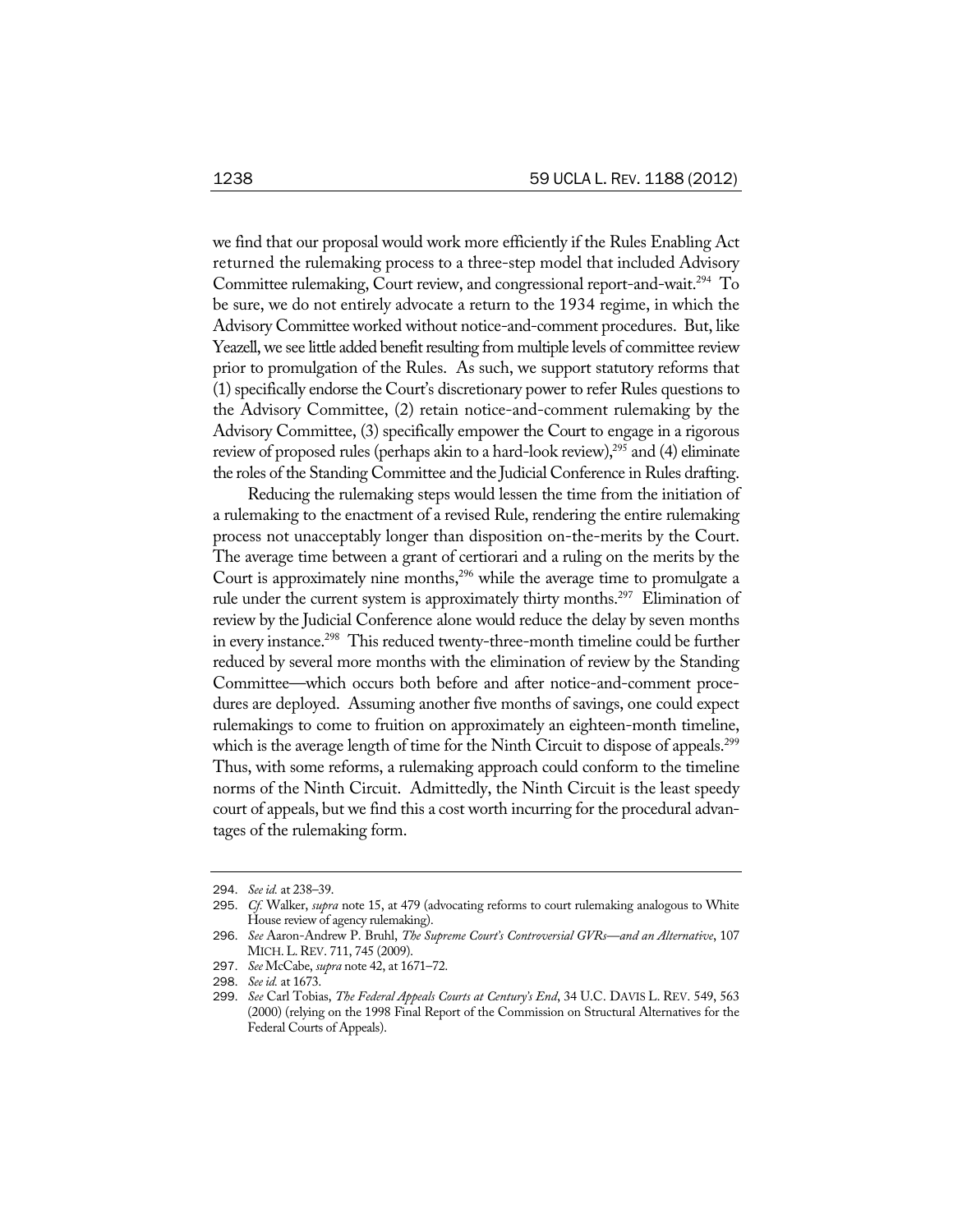we find that our proposal would work more efficiently if the Rules Enabling Act returned the rulemaking process to a three-step model that included Advisory Committee rulemaking, Court review, and congressional report-and-wait.<sup>294</sup> To be sure, we do not entirely advocate a return to the 1934 regime, in which the Advisory Committee worked without notice-and-comment procedures. But, like Yeazell, we see little added benefit resulting from multiple levels of committee review prior to promulgation of the Rules. As such, we support statutory reforms that (1) specifically endorse the Court's discretionary power to refer Rules questions to the Advisory Committee, (2) retain notice-and-comment rulemaking by the Advisory Committee, (3) specifically empower the Court to engage in a rigorous review of proposed rules (perhaps akin to a hard-look review), $^{295}$  and (4) eliminate the roles of the Standing Committee and the Judicial Conference in Rules drafting.

Reducing the rulemaking steps would lessen the time from the initiation of a rulemaking to the enactment of a revised Rule, rendering the entire rulemaking process not unacceptably longer than disposition on-the-merits by the Court. The average time between a grant of certiorari and a ruling on the merits by the Court is approximately nine months,  $296$  while the average time to promulgate a rule under the current system is approximately thirty months.<sup>297</sup> Elimination of review by the Judicial Conference alone would reduce the delay by seven months in every instance.<sup>298</sup> This reduced twenty-three-month timeline could be further reduced by several more months with the elimination of review by the Standing Committee—which occurs both before and after notice-and-comment procedures are deployed. Assuming another five months of savings, one could expect rulemakings to come to fruition on approximately an eighteen-month timeline, which is the average length of time for the Ninth Circuit to dispose of appeals.<sup>299</sup> Thus, with some reforms, a rulemaking approach could conform to the timeline norms of the Ninth Circuit. Admittedly, the Ninth Circuit is the least speedy court of appeals, but we find this a cost worth incurring for the procedural advantages of the rulemaking form.

<sup>294</sup>. *See id.* at 238–39.

<sup>295</sup>. *Cf.* Walker, *supra* note 15, at 479 (advocating reforms to court rulemaking analogous to White House review of agency rulemaking).

<sup>296</sup>. *See* Aaron-Andrew P. Bruhl, *The Supreme Court's Controversial GVRs—and an Alternative*, 107 MICH. L. REV. 711, 745 (2009).

<sup>297</sup>. *See* McCabe, *supra* note 42, at 1671–72.

<sup>298</sup>. *See id.* at 1673.

<sup>299</sup>. *See* Carl Tobias, *The Federal Appeals Courts at Century's End*, 34 U.C. DAVIS L. REV. 549, 563 (2000) (relying on the 1998 Final Report of the Commission on Structural Alternatives for the Federal Courts of Appeals).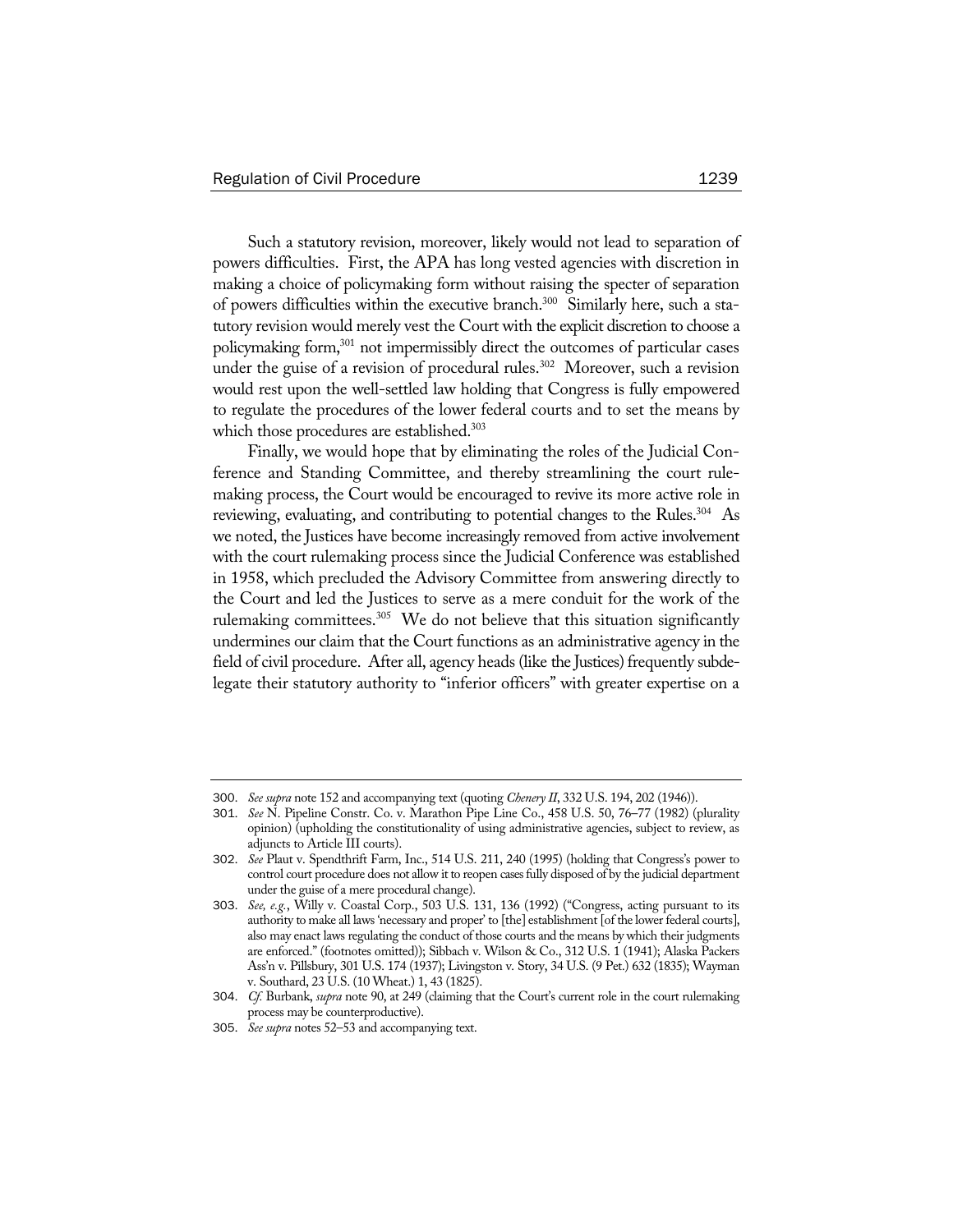Such a statutory revision, moreover, likely would not lead to separation of powers difficulties. First, the APA has long vested agencies with discretion in making a choice of policymaking form without raising the specter of separation of powers difficulties within the executive branch.<sup>300</sup> Similarly here, such a statutory revision would merely vest the Court with the explicit discretion to choose a policymaking form,301 not impermissibly direct the outcomes of particular cases under the guise of a revision of procedural rules.<sup>302</sup> Moreover, such a revision would rest upon the well-settled law holding that Congress is fully empowered to regulate the procedures of the lower federal courts and to set the means by which those procedures are established.<sup>303</sup>

Finally, we would hope that by eliminating the roles of the Judicial Conference and Standing Committee, and thereby streamlining the court rulemaking process, the Court would be encouraged to revive its more active role in reviewing, evaluating, and contributing to potential changes to the Rules.<sup>304</sup> As we noted, the Justices have become increasingly removed from active involvement with the court rulemaking process since the Judicial Conference was established in 1958, which precluded the Advisory Committee from answering directly to the Court and led the Justices to serve as a mere conduit for the work of the rulemaking committees.<sup>305</sup> We do not believe that this situation significantly undermines our claim that the Court functions as an administrative agency in the field of civil procedure. After all, agency heads (like the Justices) frequently subdelegate their statutory authority to "inferior officers" with greater expertise on a

<sup>300</sup>. *See supra* note 152 and accompanying text (quoting *Chenery II*, 332 U.S. 194, 202 (1946)).

<sup>301</sup>. *See* N. Pipeline Constr. Co. v. Marathon Pipe Line Co., 458 U.S. 50, 76–77 (1982) (plurality opinion) (upholding the constitutionality of using administrative agencies, subject to review, as adjuncts to Article III courts).

<sup>302</sup>. *See* Plaut v. Spendthrift Farm, Inc., 514 U.S. 211, 240 (1995) (holding that Congress's power to control court procedure does not allow it to reopen cases fully disposed of by the judicial department under the guise of a mere procedural change).

<sup>303</sup>. *See, e.g.*, Willy v. Coastal Corp., 503 U.S. 131, 136 (1992) ("Congress, acting pursuant to its authority to make all laws 'necessary and proper' to [the] establishment [of the lower federal courts], also may enact laws regulating the conduct of those courts and the means by which their judgments are enforced." (footnotes omitted)); Sibbach v. Wilson & Co., 312 U.S. 1 (1941); Alaska Packers Ass'n v. Pillsbury, 301 U.S. 174 (1937); Livingston v. Story, 34 U.S. (9 Pet.) 632 (1835); Wayman v. Southard, 23 U.S. (10 Wheat.) 1, 43 (1825).

<sup>304</sup>. *Cf.* Burbank, *supra* note 90, at 249 (claiming that the Court's current role in the court rulemaking process may be counterproductive).

<sup>305</sup>. *See supra* notes 52–53 and accompanying text.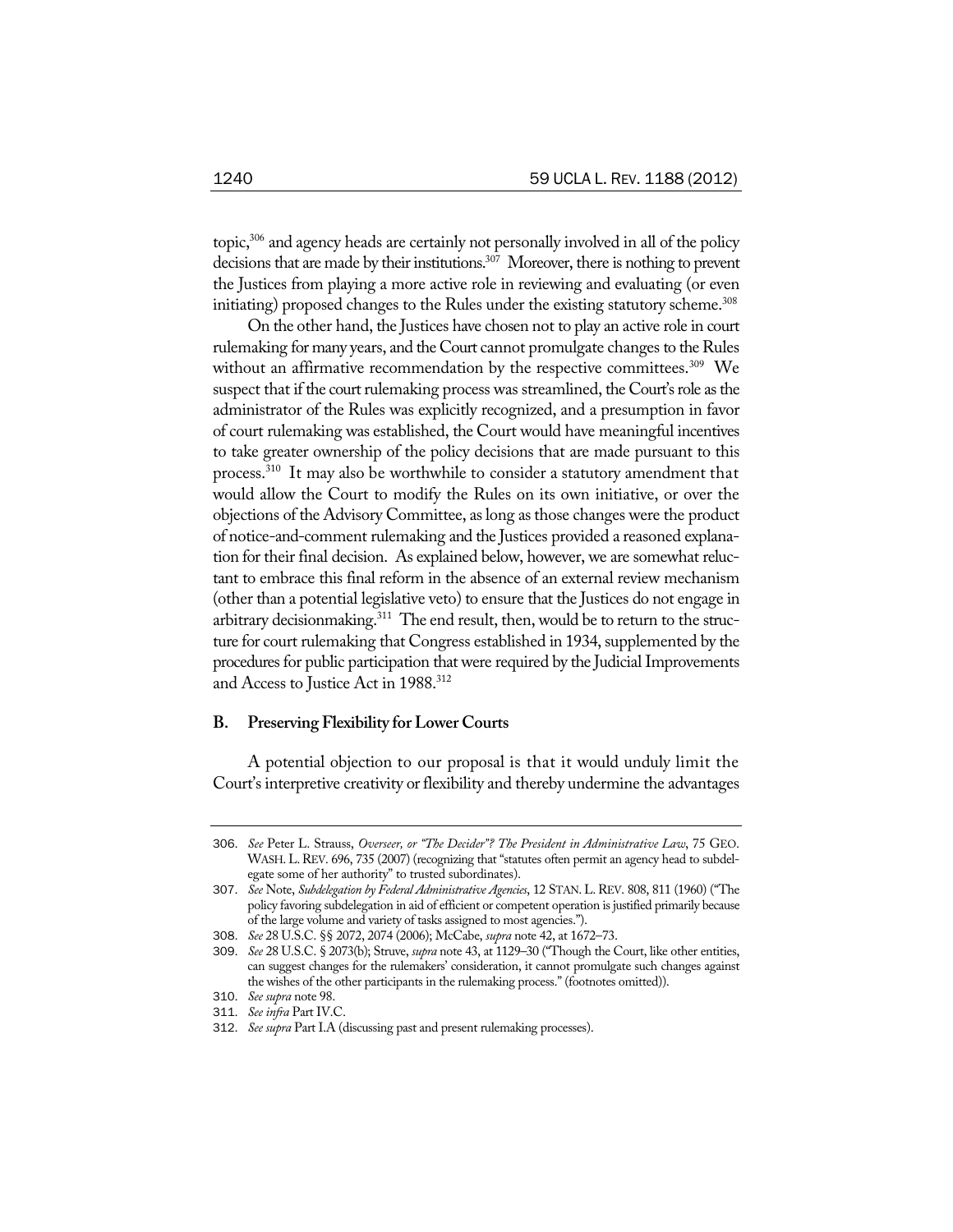topic,306 and agency heads are certainly not personally involved in all of the policy decisions that are made by their institutions.<sup>307</sup> Moreover, there is nothing to prevent the Justices from playing a more active role in reviewing and evaluating (or even initiating) proposed changes to the Rules under the existing statutory scheme.<sup>308</sup>

On the other hand, the Justices have chosen not to play an active role in court rulemaking for many years, and the Court cannot promulgate changes to the Rules without an affirmative recommendation by the respective committees.<sup>309</sup> We suspect that if the court rulemaking process was streamlined, the Court's role as the administrator of the Rules was explicitly recognized, and a presumption in favor of court rulemaking was established, the Court would have meaningful incentives to take greater ownership of the policy decisions that are made pursuant to this process.<sup>310</sup> It may also be worthwhile to consider a statutory amendment that would allow the Court to modify the Rules on its own initiative, or over the objections of the Advisory Committee, as long as those changes were the product of notice-and-comment rulemaking and the Justices provided a reasoned explanation for their final decision. As explained below, however, we are somewhat reluctant to embrace this final reform in the absence of an external review mechanism (other than a potential legislative veto) to ensure that the Justices do not engage in arbitrary decisionmaking.<sup>311</sup> The end result, then, would be to return to the structure for court rulemaking that Congress established in 1934, supplemented by the procedures for public participation that were required by the Judicial Improvements and Access to Justice Act in 1988.<sup>312</sup>

#### **B. Preserving Flexibility for Lower Courts**

A potential objection to our proposal is that it would unduly limit the Court's interpretive creativity or flexibility and thereby undermine the advantages

<sup>306</sup>. *See* Peter L. Strauss, *Overseer, or "The Decider"? The President in Administrative Law*, 75 GEO. WASH.L.REV. 696, 735 (2007) (recognizing that "statutes often permit an agency head to subdelegate some of her authority" to trusted subordinates).

<sup>307</sup>. *See* Note, *Subdelegation by Federal Administrative Agencies*, 12 STAN. L. REV. 808, 811 (1960) ("The policy favoring subdelegation in aid of efficient or competent operation is justified primarily because of the large volume and variety of tasks assigned to most agencies.").

<sup>308</sup>. *See* 28 U.S.C. §§ 2072, 2074 (2006); McCabe, *supra* note 42, at 1672–73.

<sup>309</sup>. *See* 28 U.S.C. § 2073(b); Struve, *supra* note 43, at 1129–30 ("Though the Court, like other entities, can suggest changes for the rulemakers' consideration, it cannot promulgate such changes against the wishes of the other participants in the rulemaking process." (footnotes omitted)).

<sup>310</sup>. *See supra* note 98.

<sup>311</sup>. *See infra* Part IV.C.

<sup>312</sup>. *See supra* Part I.A (discussing past and present rulemaking processes).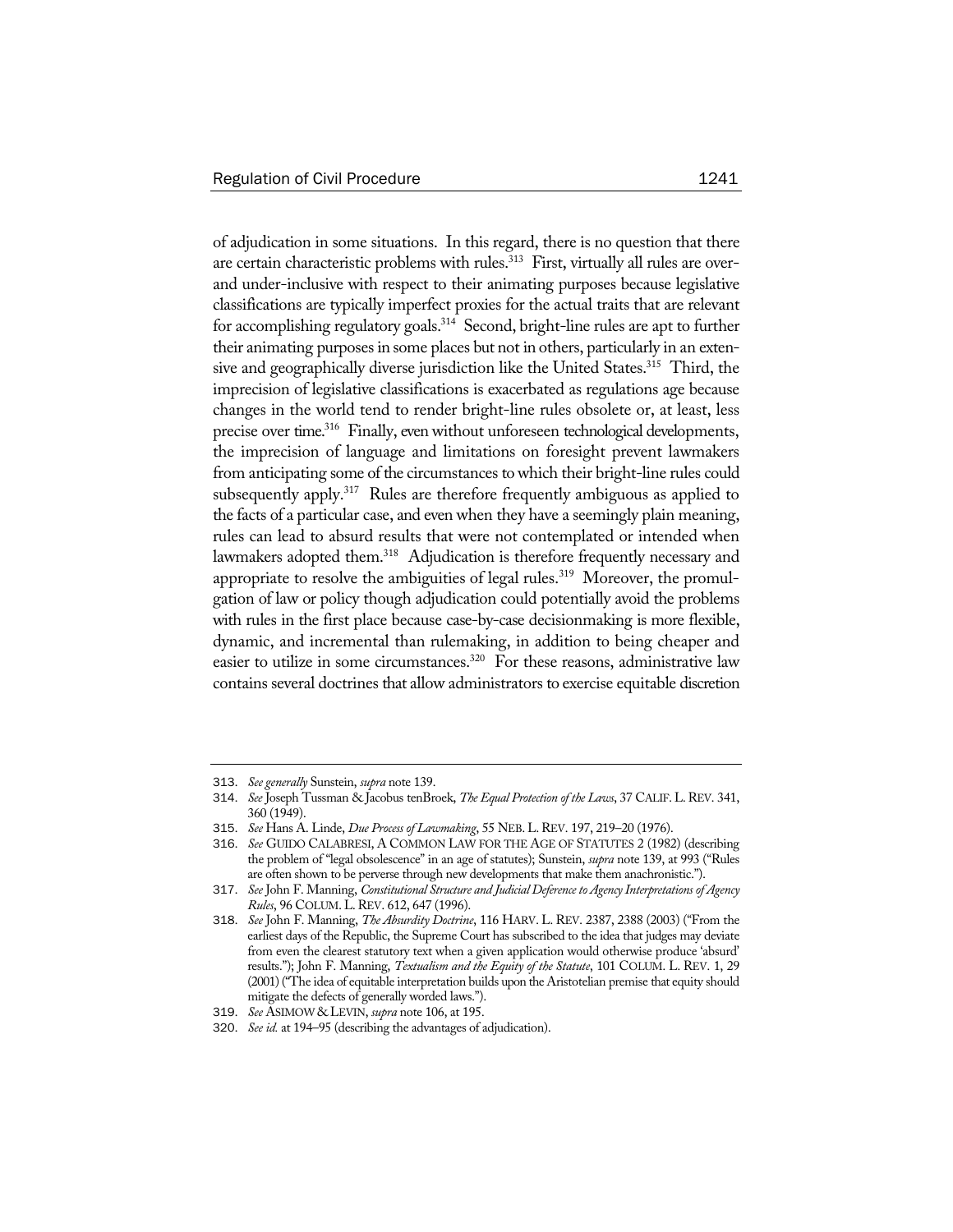of adjudication in some situations. In this regard, there is no question that there are certain characteristic problems with rules.<sup>313</sup> First, virtually all rules are overand under-inclusive with respect to their animating purposes because legislative classifications are typically imperfect proxies for the actual traits that are relevant for accomplishing regulatory goals.<sup>314</sup> Second, bright-line rules are apt to further their animating purposes in some places but not in others, particularly in an extensive and geographically diverse jurisdiction like the United States.<sup>315</sup> Third, the imprecision of legislative classifications is exacerbated as regulations age because changes in the world tend to render bright-line rules obsolete or, at least, less precise over time.<sup>316</sup> Finally, even without unforeseen technological developments, the imprecision of language and limitations on foresight prevent lawmakers from anticipating some of the circumstances to which their bright-line rules could subsequently apply.<sup>317</sup> Rules are therefore frequently ambiguous as applied to the facts of a particular case, and even when they have a seemingly plain meaning, rules can lead to absurd results that were not contemplated or intended when lawmakers adopted them.<sup>318</sup> Adjudication is therefore frequently necessary and appropriate to resolve the ambiguities of legal rules.<sup>319</sup> Moreover, the promulgation of law or policy though adjudication could potentially avoid the problems with rules in the first place because case-by-case decision making is more flexible, dynamic, and incremental than rulemaking, in addition to being cheaper and easier to utilize in some circumstances.<sup>320</sup> For these reasons, administrative law contains several doctrines that allow administrators to exercise equitable discretion

<sup>313</sup>. *See generally* Sunstein, *supra* note 139.

<sup>314</sup>. *See* Joseph Tussman & Jacobus tenBroek, *The Equal Protection of the Laws*, 37 CALIF.L.REV. 341, 360 (1949).

<sup>315</sup>. *See* Hans A. Linde, *Due Process of Lawmaking*, 55 NEB.L.REV. 197, 219–20 (1976).

<sup>316</sup>. *See* GUIDO CALABRESI, A COMMON LAW FOR THE AGE OF STATUTES 2 (1982) (describing the problem of "legal obsolescence" in an age of statutes); Sunstein, *supra* note 139, at 993 ("Rules are often shown to be perverse through new developments that make them anachronistic.").

<sup>317</sup>. *See* John F. Manning, *Constitutional Structure and Judicial Deference to Agency Interpretations of Agency Rules*, 96 COLUM.L.REV. 612, 647 (1996).

<sup>318</sup>. *See* John F. Manning, *The Absurdity Doctrine*, 116 HARV. L. REV. 2387, 2388 (2003) ("From the earliest days of the Republic, the Supreme Court has subscribed to the idea that judges may deviate from even the clearest statutory text when a given application would otherwise produce 'absurd' results."); John F. Manning, *Textualism and the Equity of the Statute*, 101 COLUM. L. REV. 1, 29 (2001) ("The idea of equitable interpretation builds upon the Aristotelian premise that equity should mitigate the defects of generally worded laws.").

<sup>319</sup>. *See* ASIMOW & LEVIN, *supra* note 106, at 195.

<sup>320</sup>. *See id.* at 194–95 (describing the advantages of adjudication).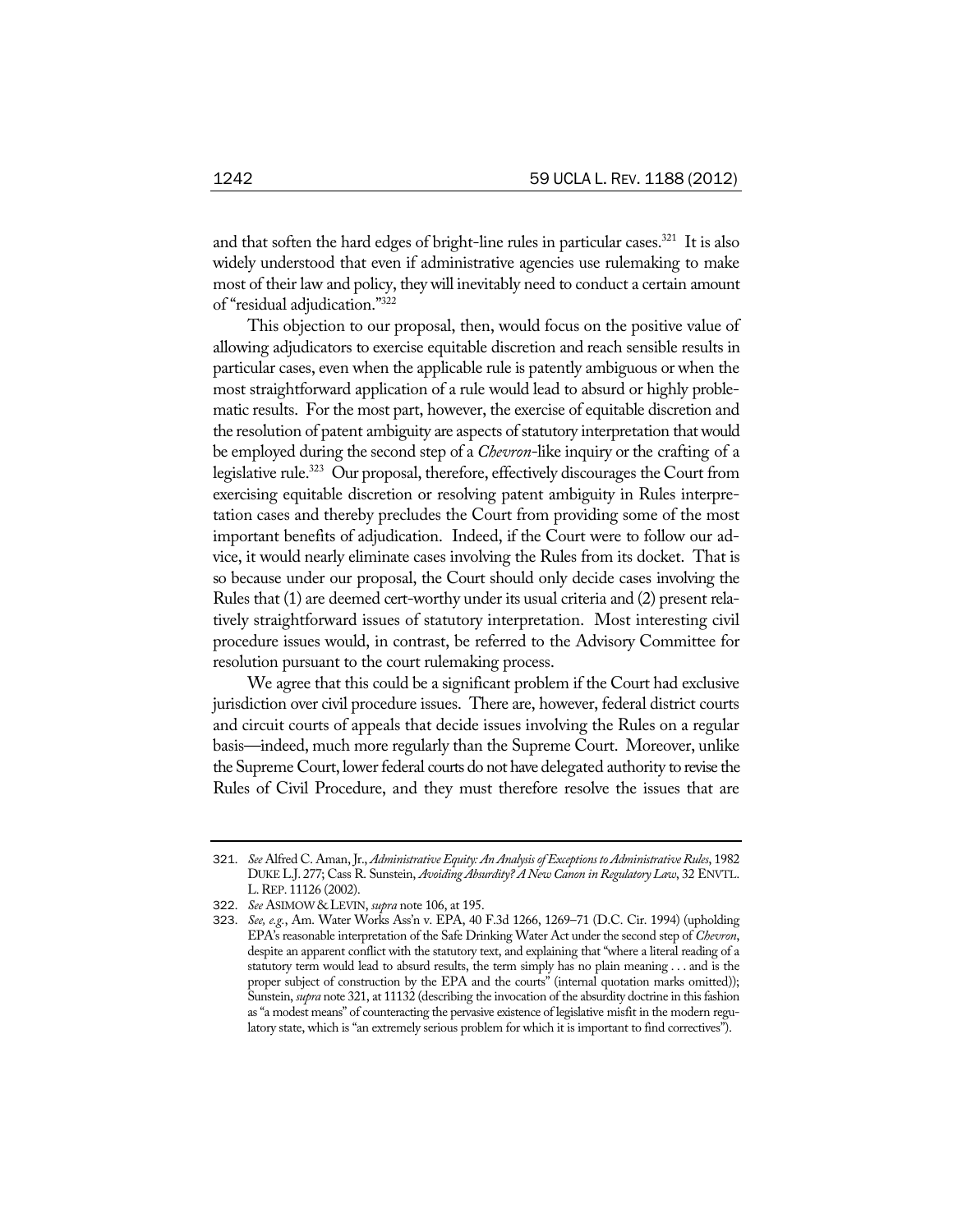and that soften the hard edges of bright-line rules in particular cases.<sup>321</sup> It is also widely understood that even if administrative agencies use rulemaking to make most of their law and policy, they will inevitably need to conduct a certain amount of "residual adjudication."322

This objection to our proposal, then, would focus on the positive value of allowing adjudicators to exercise equitable discretion and reach sensible results in particular cases, even when the applicable rule is patently ambiguous or when the most straightforward application of a rule would lead to absurd or highly problematic results. For the most part, however, the exercise of equitable discretion and the resolution of patent ambiguity are aspects of statutory interpretation that would be employed during the second step of a *Chevron*-like inquiry or the crafting of a legislative rule.<sup>323</sup> Our proposal, therefore, effectively discourages the Court from exercising equitable discretion or resolving patent ambiguity in Rules interpretation cases and thereby precludes the Court from providing some of the most important benefits of adjudication. Indeed, if the Court were to follow our advice, it would nearly eliminate cases involving the Rules from its docket. That is so because under our proposal, the Court should only decide cases involving the Rules that (1) are deemed cert-worthy under its usual criteria and (2) present relatively straightforward issues of statutory interpretation. Most interesting civil procedure issues would, in contrast, be referred to the Advisory Committee for resolution pursuant to the court rulemaking process.

We agree that this could be a significant problem if the Court had exclusive jurisdiction over civil procedure issues. There are, however, federal district courts and circuit courts of appeals that decide issues involving the Rules on a regular basis—indeed, much more regularly than the Supreme Court. Moreover, unlike the Supreme Court, lower federal courts do not have delegated authority to revise the Rules of Civil Procedure, and they must therefore resolve the issues that are

<sup>321</sup>. *See* Alfred C. Aman, Jr., *Administrative Equity: An Analysis of Exceptions to Administrative Rules*, 1982 DUKE L.J. 277; Cass R. Sunstein, *Avoiding Absurdity? A New Canon in Regulatory Law*, 32 ENVTL. L.REP. 11126 (2002).

<sup>322</sup>. *See* ASIMOW & LEVIN, *supra* note 106, at 195.

<sup>323</sup>. *See, e.g.*, Am. Water Works Ass'n v. EPA, 40 F.3d 1266, 1269–71 (D.C. Cir. 1994) (upholding EPA's reasonable interpretation of the Safe Drinking Water Act under the second step of *Chevron*, despite an apparent conflict with the statutory text, and explaining that "where a literal reading of a statutory term would lead to absurd results, the term simply has no plain meaning . . . and is the proper subject of construction by the EPA and the courts" (internal quotation marks omitted)); Sunstein, *supra* note 321, at 11132 (describing the invocation of the absurdity doctrine in this fashion as "a modest means" of counteracting the pervasive existence of legislative misfit in the modern regulatory state, which is "an extremely serious problem for which it is important to find correctives").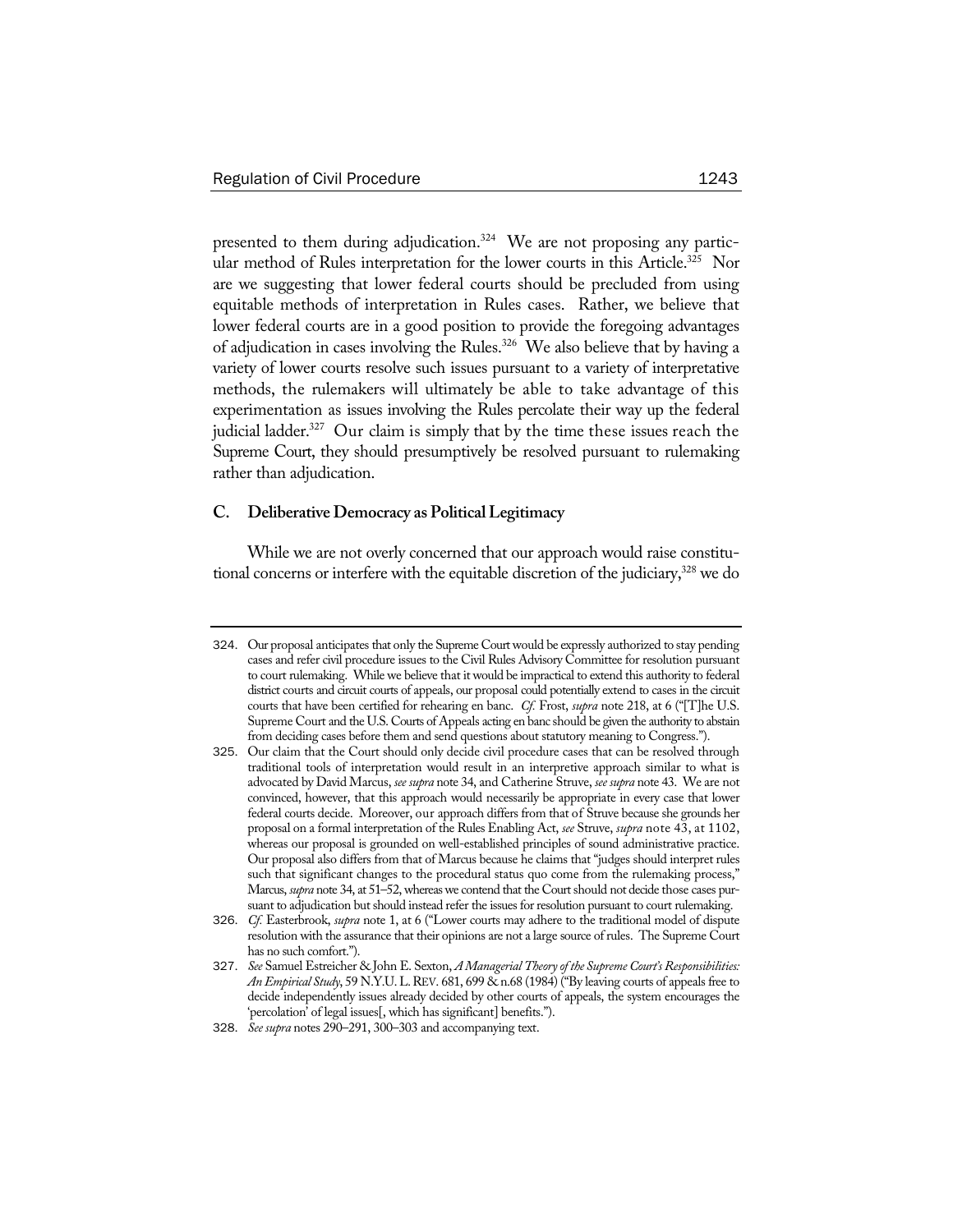presented to them during adjudication.324 We are not proposing any particular method of Rules interpretation for the lower courts in this Article.<sup>325</sup> Nor are we suggesting that lower federal courts should be precluded from using equitable methods of interpretation in Rules cases. Rather, we believe that lower federal courts are in a good position to provide the foregoing advantages of adjudication in cases involving the Rules.<sup>326</sup> We also believe that by having a variety of lower courts resolve such issues pursuant to a variety of interpretative methods, the rulemakers will ultimately be able to take advantage of this experimentation as issues involving the Rules percolate their way up the federal judicial ladder.<sup>327</sup> Our claim is simply that by the time these issues reach the Supreme Court, they should presumptively be resolved pursuant to rulemaking rather than adjudication.

#### **C. Deliberative Democracy as Political Legitimacy**

While we are not overly concerned that our approach would raise constitutional concerns or interfere with the equitable discretion of the judiciary,<sup>328</sup> we do

<sup>324</sup>. Our proposal anticipates that only the Supreme Court would be expressly authorized to stay pending cases and refer civil procedure issues to the Civil Rules Advisory Committee for resolution pursuant to court rulemaking. While we believe that it would be impractical to extend this authority to federal district courts and circuit courts of appeals, our proposal could potentially extend to cases in the circuit courts that have been certified for rehearing en banc. *Cf.* Frost, *supra* note 218, at 6 ("[T]he U.S. Supreme Court and the U.S. Courts of Appeals acting en banc should be given the authority to abstain from deciding cases before them and send questions about statutory meaning to Congress.").

<sup>325</sup>. Our claim that the Court should only decide civil procedure cases that can be resolved through traditional tools of interpretation would result in an interpretive approach similar to what is advocated by David Marcus, *see supra* note 34, and Catherine Struve, *see supra* note 43. We are not convinced, however, that this approach would necessarily be appropriate in every case that lower federal courts decide. Moreover, our approach differs from that of Struve because she grounds her proposal on a formal interpretation of the Rules Enabling Act, *see* Struve, *supra* note 43, at 1102, whereas our proposal is grounded on well-established principles of sound administrative practice. Our proposal also differs from that of Marcus because he claims that "judges should interpret rules such that significant changes to the procedural status quo come from the rulemaking process," Marcus, *supra* note 34, at 51–52, whereas we contend that the Court should not decide those cases pursuant to adjudication but should instead refer the issues for resolution pursuant to court rulemaking.

<sup>326</sup>. *Cf.* Easterbrook, *supra* note 1, at 6 ("Lower courts may adhere to the traditional model of dispute resolution with the assurance that their opinions are not a large source of rules. The Supreme Court has no such comfort.").

<sup>327</sup>. *See* Samuel Estreicher & John E. Sexton, *A Managerial Theory of the Supreme Court's Responsibilities: An Empirical Study*, 59 N.Y.U.L.REV. 681, 699 & n.68 (1984) ("By leaving courts of appeals free to decide independently issues already decided by other courts of appeals, the system encourages the 'percolation' of legal issues[, which has significant] benefits.").

<sup>328</sup>. *See supra* notes 290–291, 300–303 and accompanying text.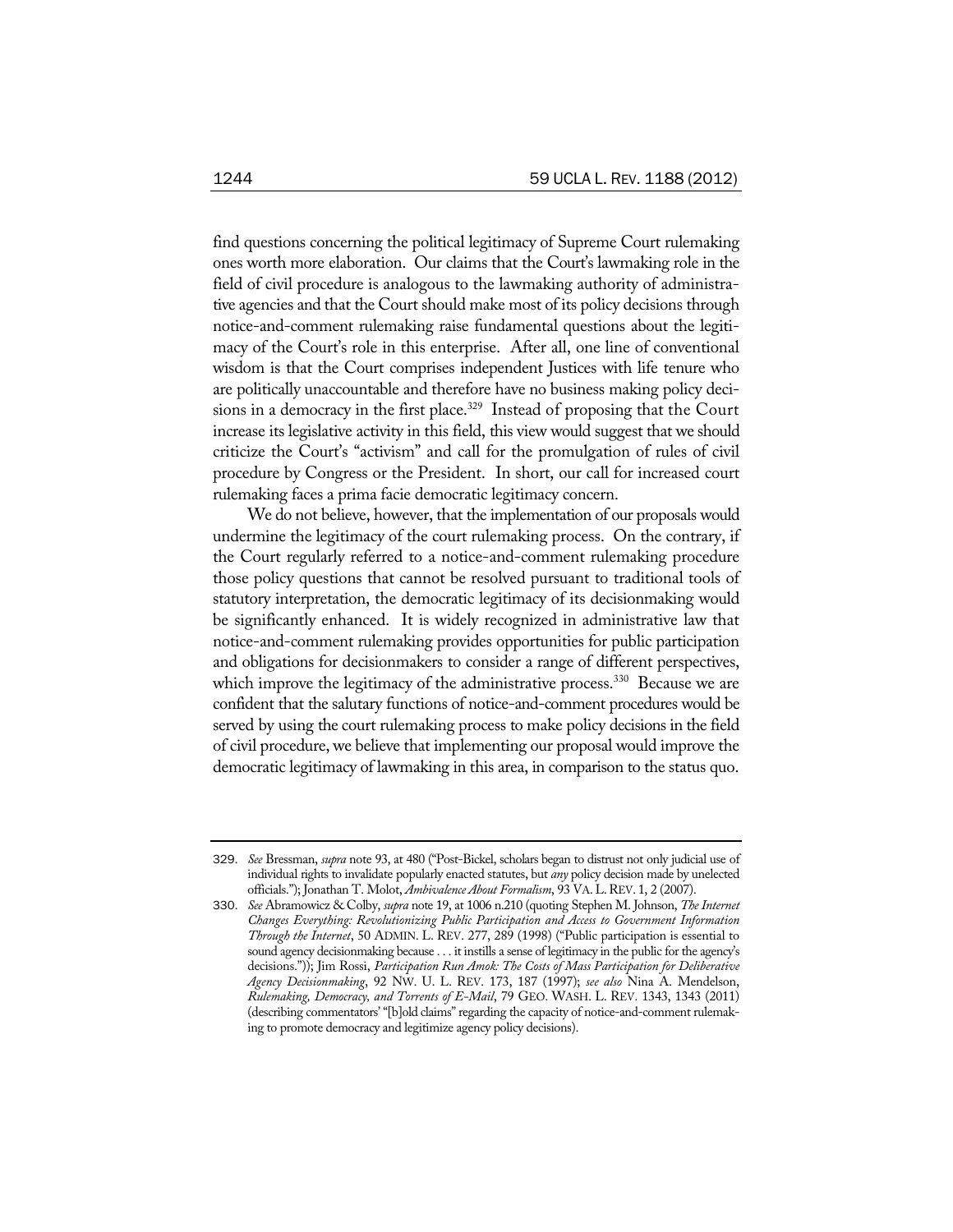find questions concerning the political legitimacy of Supreme Court rulemaking ones worth more elaboration. Our claims that the Court's lawmaking role in the field of civil procedure is analogous to the lawmaking authority of administrative agencies and that the Court should make most of its policy decisions through notice-and-comment rulemaking raise fundamental questions about the legitimacy of the Court's role in this enterprise. After all, one line of conventional wisdom is that the Court comprises independent Justices with life tenure who are politically unaccountable and therefore have no business making policy decisions in a democracy in the first place.<sup>329</sup> Instead of proposing that the Court increase its legislative activity in this field, this view would suggest that we should criticize the Court's "activism" and call for the promulgation of rules of civil procedure by Congress or the President. In short, our call for increased court rulemaking faces a prima facie democratic legitimacy concern.

We do not believe, however, that the implementation of our proposals would undermine the legitimacy of the court rulemaking process. On the contrary, if the Court regularly referred to a notice-and-comment rulemaking procedure those policy questions that cannot be resolved pursuant to traditional tools of statutory interpretation, the democratic legitimacy of its decisionmaking would be significantly enhanced. It is widely recognized in administrative law that notice-and-comment rulemaking provides opportunities for public participation and obligations for decisionmakers to consider a range of different perspectives, which improve the legitimacy of the administrative process.<sup>330</sup> Because we are confident that the salutary functions of notice-and-comment procedures would be served by using the court rulemaking process to make policy decisions in the field of civil procedure, we believe that implementing our proposal would improve the democratic legitimacy of lawmaking in this area, in comparison to the status quo.

<sup>329</sup>. *See* Bressman, *supra* note 93, at 480 ("Post-Bickel, scholars began to distrust not only judicial use of individual rights to invalidate popularly enacted statutes, but *any* policy decision made by unelected officials."); Jonathan T. Molot, *Ambivalence About Formalism*, 93 VA.L.REV. 1, 2 (2007).

<sup>330</sup>. *See* Abramowicz & Colby, *supra* note 19, at 1006 n.210 (quoting Stephen M. Johnson, *The Internet Changes Everything: Revolutionizing Public Participation and Access to Government Information Through the Internet*, 50 ADMIN. L. REV. 277, 289 (1998) ("Public participation is essential to sound agency decisionmaking because . . . it instills a sense of legitimacy in the public for the agency's decisions.")); Jim Rossi, *Participation Run Amok: The Costs of Mass Participation for Deliberative Agency Decisionmaking*, 92 NW. U. L. REV. 173, 187 (1997); *see also* Nina A. Mendelson, *Rulemaking, Democracy, and Torrents of E-Mail*, 79 GEO. WASH. L. REV. 1343, 1343 (2011) (describing commentators' "[b]old claims" regarding the capacity of notice-and-comment rulemaking to promote democracy and legitimize agency policy decisions).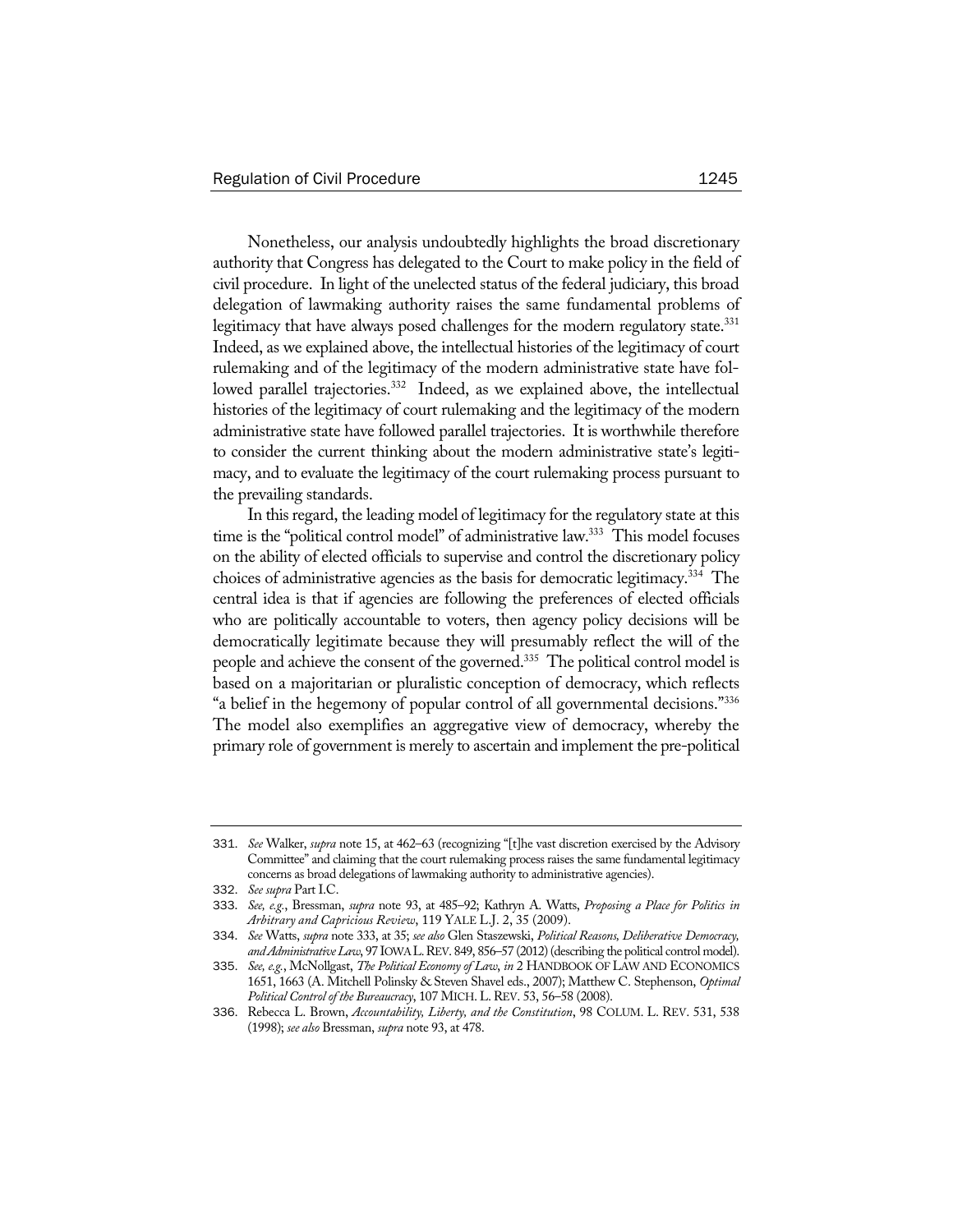Nonetheless, our analysis undoubtedly highlights the broad discretionary authority that Congress has delegated to the Court to make policy in the field of civil procedure. In light of the unelected status of the federal judiciary, this broad delegation of lawmaking authority raises the same fundamental problems of legitimacy that have always posed challenges for the modern regulatory state.<sup>331</sup> Indeed, as we explained above, the intellectual histories of the legitimacy of court rulemaking and of the legitimacy of the modern administrative state have followed parallel trajectories.<sup>332</sup> Indeed, as we explained above, the intellectual histories of the legitimacy of court rulemaking and the legitimacy of the modern administrative state have followed parallel trajectories. It is worthwhile therefore to consider the current thinking about the modern administrative state's legitimacy, and to evaluate the legitimacy of the court rulemaking process pursuant to the prevailing standards.

In this regard, the leading model of legitimacy for the regulatory state at this time is the "political control model" of administrative law.<sup>333</sup> This model focuses on the ability of elected officials to supervise and control the discretionary policy choices of administrative agencies as the basis for democratic legitimacy.<sup>334</sup> The central idea is that if agencies are following the preferences of elected officials who are politically accountable to voters, then agency policy decisions will be democratically legitimate because they will presumably reflect the will of the people and achieve the consent of the governed.<sup>335</sup> The political control model is based on a majoritarian or pluralistic conception of democracy, which reflects "a belief in the hegemony of popular control of all governmental decisions."336 The model also exemplifies an aggregative view of democracy, whereby the primary role of government is merely to ascertain and implement the pre-political

<sup>331</sup>. *See* Walker, *supra* note 15, at 462–63 (recognizing "[t]he vast discretion exercised by the Advisory Committee" and claiming that the court rulemaking process raises the same fundamental legitimacy concerns as broad delegations of lawmaking authority to administrative agencies).

<sup>332</sup>. *See supra* Part I.C.

<sup>333.</sup> *See, e.g.*, Bressman, *supra* note 93, at 485–92; Kathryn A. Watts, *Proposing a Place for Politics in Arbitrary and Capricious Review*, 119 YALE L.J. 2, 35 (2009).

<sup>334.</sup> *See* Watts, *supra* note 333, at 35; *see also* Glen Staszewski, *Political Reasons, Deliberative Democracy, and Administrative Law*, 97 IOWA L.REV. 849, 856–57 (2012) (describing the political control model).

<sup>335</sup>. *See, e.g.*, McNollgast, *The Political Economy of Law*, *in* 2 HANDBOOK OF LAW AND ECONOMICS 1651, 1663 (A. Mitchell Polinsky & Steven Shavel eds., 2007); Matthew C. Stephenson, *Optimal Political Control of the Bureaucracy*, 107 MICH.L.REV. 53, 56–58 (2008).

<sup>336</sup>. Rebecca L. Brown, *Accountability, Liberty, and the Constitution*, 98 COLUM. L. REV. 531, 538 (1998); *see also* Bressman, *supra* note 93, at 478.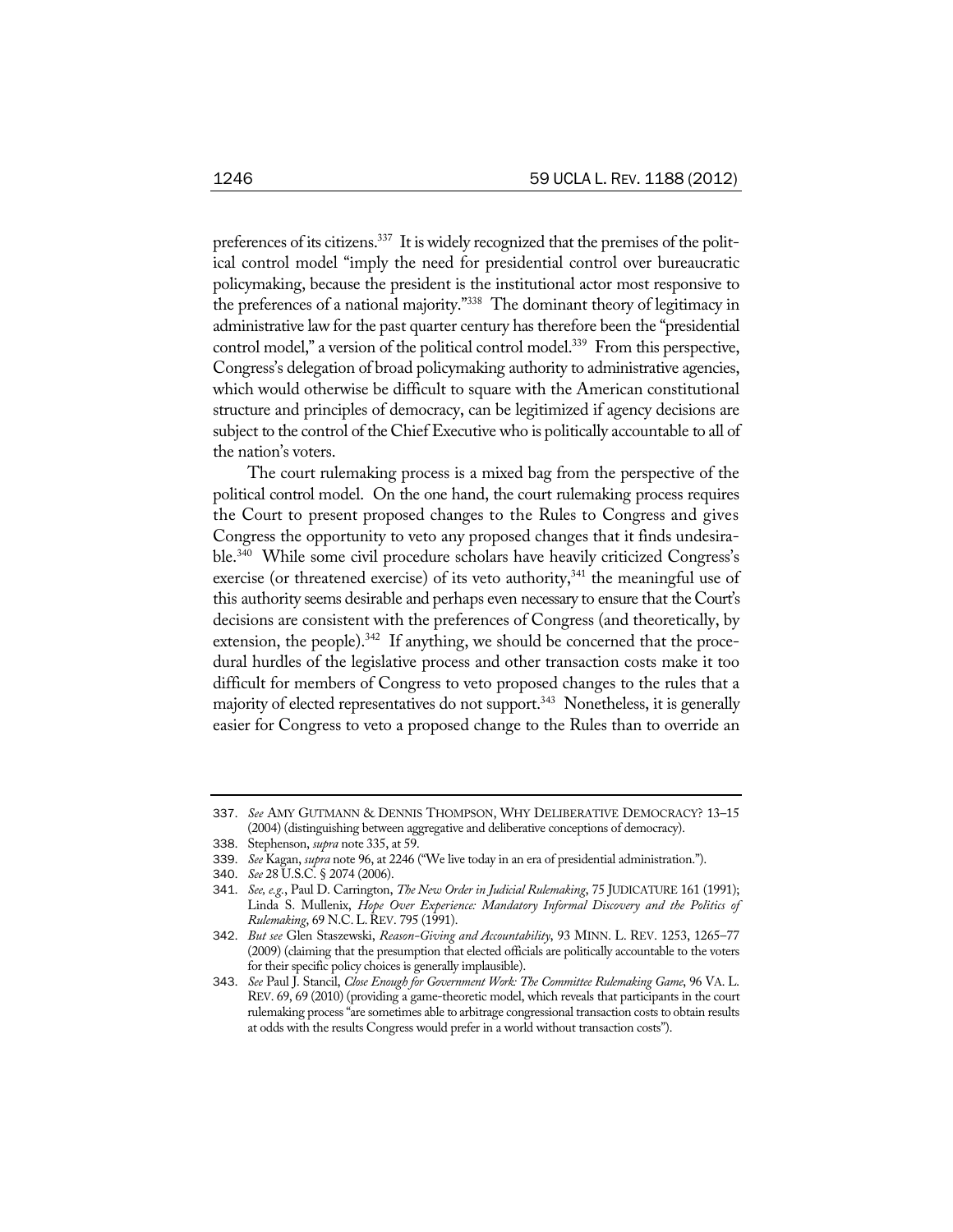preferences of its citizens.<sup>337</sup> It is widely recognized that the premises of the political control model "imply the need for presidential control over bureaucratic policymaking, because the president is the institutional actor most responsive to the preferences of a national majority."338 The dominant theory of legitimacy in administrative law for the past quarter century has therefore been the "presidential control model," a version of the political control model.<sup>339</sup> From this perspective, Congress's delegation of broad policymaking authority to administrative agencies, which would otherwise be difficult to square with the American constitutional structure and principles of democracy, can be legitimized if agency decisions are subject to the control of the Chief Executive who is politically accountable to all of the nation's voters.

The court rulemaking process is a mixed bag from the perspective of the political control model. On the one hand, the court rulemaking process requires the Court to present proposed changes to the Rules to Congress and gives Congress the opportunity to veto any proposed changes that it finds undesirable.340 While some civil procedure scholars have heavily criticized Congress's exercise (or threatened exercise) of its veto authority,<sup>341</sup> the meaningful use of this authority seems desirable and perhaps even necessary to ensure that the Court's decisions are consistent with the preferences of Congress (and theoretically, by extension, the people).<sup>342</sup> If anything, we should be concerned that the procedural hurdles of the legislative process and other transaction costs make it too difficult for members of Congress to veto proposed changes to the rules that a majority of elected representatives do not support.<sup>343</sup> Nonetheless, it is generally easier for Congress to veto a proposed change to the Rules than to override an

<sup>337</sup>. *See* AMY GUTMANN & DENNIS THOMPSON, WHY DELIBERATIVE DEMOCRACY? 13–15 (2004) (distinguishing between aggregative and deliberative conceptions of democracy).

<sup>338</sup>. Stephenson, *supra* note 335, at 59.

<sup>339</sup>. *See* Kagan, *supra* note 96, at 2246 ("We live today in an era of presidential administration.").

<sup>340</sup>. *See* 28 U.S.C. § 2074 (2006).

<sup>341</sup>. *See, e.g.*, Paul D. Carrington, *The New Order in Judicial Rulemaking*, 75 JUDICATURE 161 (1991); Linda S. Mullenix, *Hope Over Experience: Mandatory Informal Discovery and the Politics of Rulemaking*, 69 N.C.L.REV. 795 (1991).

<sup>342</sup>. *But see* Glen Staszewski, *Reason-Giving and Accountability*, 93 MINN. L. REV. 1253, 1265–77 (2009) (claiming that the presumption that elected officials are politically accountable to the voters for their specific policy choices is generally implausible).

<sup>343</sup>. *See* Paul J. Stancil, *Close Enough for Government Work: The Committee Rulemaking Game*, 96 VA. L. REV. 69, 69 (2010) (providing a game-theoretic model, which reveals that participants in the court rulemaking process "are sometimes able to arbitrage congressional transaction costs to obtain results at odds with the results Congress would prefer in a world without transaction costs").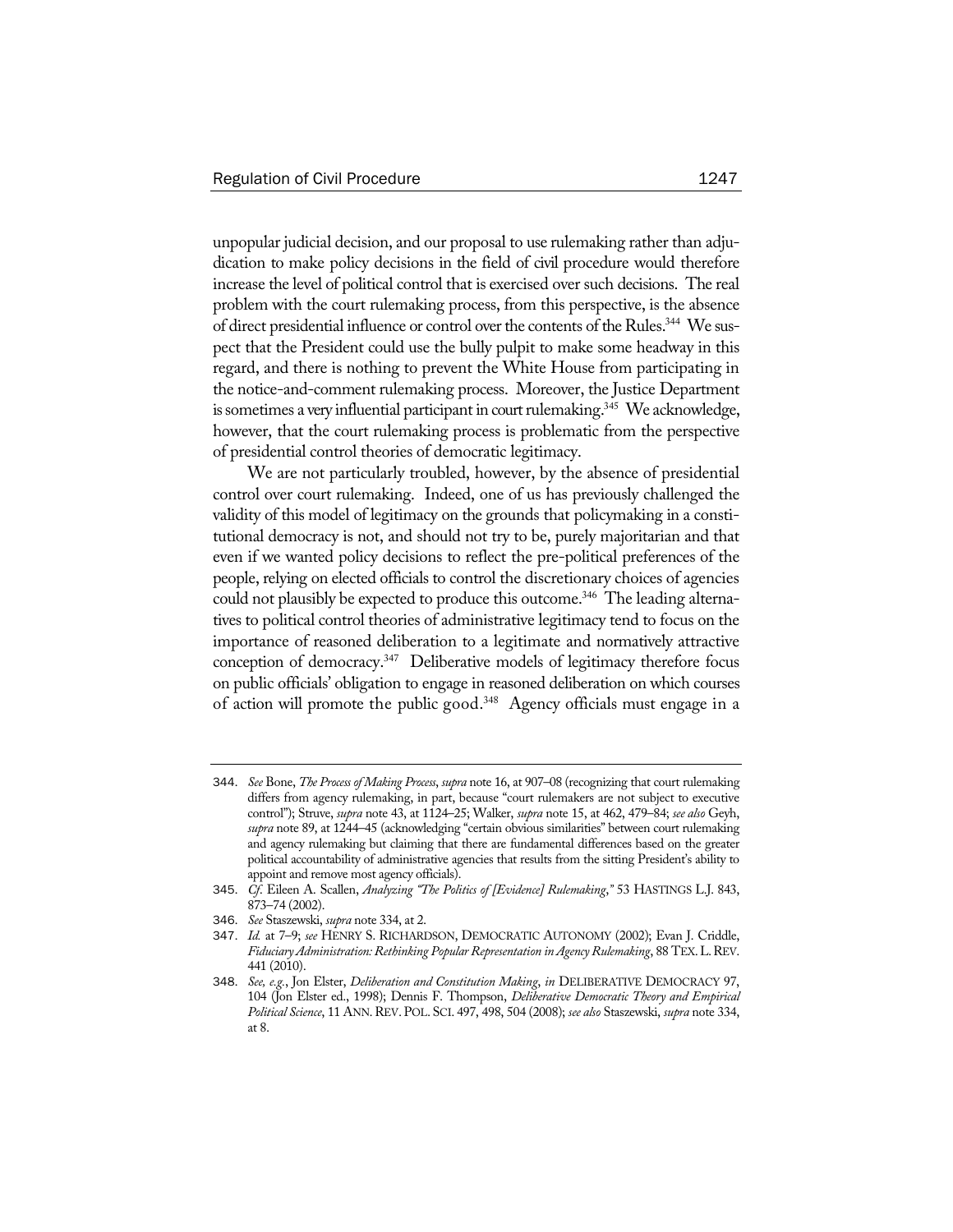unpopular judicial decision, and our proposal to use rulemaking rather than adjudication to make policy decisions in the field of civil procedure would therefore increase the level of political control that is exercised over such decisions. The real problem with the court rulemaking process, from this perspective, is the absence of direct presidential influence or control over the contents of the Rules.<sup>344</sup> We suspect that the President could use the bully pulpit to make some headway in this regard, and there is nothing to prevent the White House from participating in the notice-and-comment rulemaking process. Moreover, the Justice Department is sometimes a very influential participant in court rulemaking.<sup>345</sup> We acknowledge, however, that the court rulemaking process is problematic from the perspective of presidential control theories of democratic legitimacy.

We are not particularly troubled, however, by the absence of presidential control over court rulemaking. Indeed, one of us has previously challenged the validity of this model of legitimacy on the grounds that policymaking in a constitutional democracy is not, and should not try to be, purely majoritarian and that even if we wanted policy decisions to reflect the pre-political preferences of the people, relying on elected officials to control the discretionary choices of agencies could not plausibly be expected to produce this outcome.<sup>346</sup> The leading alternatives to political control theories of administrative legitimacy tend to focus on the importance of reasoned deliberation to a legitimate and normatively attractive conception of democracy.<sup>347</sup> Deliberative models of legitimacy therefore focus on public officials' obligation to engage in reasoned deliberation on which courses of action will promote the public good.<sup>348</sup> Agency officials must engage in a

<sup>344</sup>. *See* Bone, *The Process of Making Process*, *supra* note 16, at 907–08 (recognizing that court rulemaking differs from agency rulemaking, in part, because "court rulemakers are not subject to executive control"); Struve, *supra* note 43, at 1124–25; Walker, *supra* note 15, at 462, 479–84; *see also* Geyh, *supra* note 89, at 1244–45 (acknowledging "certain obvious similarities" between court rulemaking and agency rulemaking but claiming that there are fundamental differences based on the greater political accountability of administrative agencies that results from the sitting President's ability to appoint and remove most agency officials).

<sup>345</sup>. *Cf*. Eileen A. Scallen, *Analyzing "The Politics of [Evidence] Rulemaking*,*"* 53 HASTINGS L.J. 843, 873–74 (2002).

<sup>346</sup>. *See* Staszewski, *supra* note 334, at 2.

<sup>347</sup>. *Id.* at 7–9; *see* HENRY S. RICHARDSON, DEMOCRATIC AUTONOMY (2002); Evan J. Criddle, *Fiduciary Administration: Rethinking Popular Representation in Agency Rulemaking*, 88 TEX.L.REV. 441 (2010).

<sup>348</sup>. *See, e.g.*, Jon Elster, *Deliberation and Constitution Making*, *in* DELIBERATIVE DEMOCRACY 97, 104 (Jon Elster ed., 1998); Dennis F. Thompson, *Deliberative Democratic Theory and Empirical Political Science*, 11 ANN.REV. POL. SCI. 497, 498, 504 (2008); *see also* Staszewski, *supra* note 334, at 8.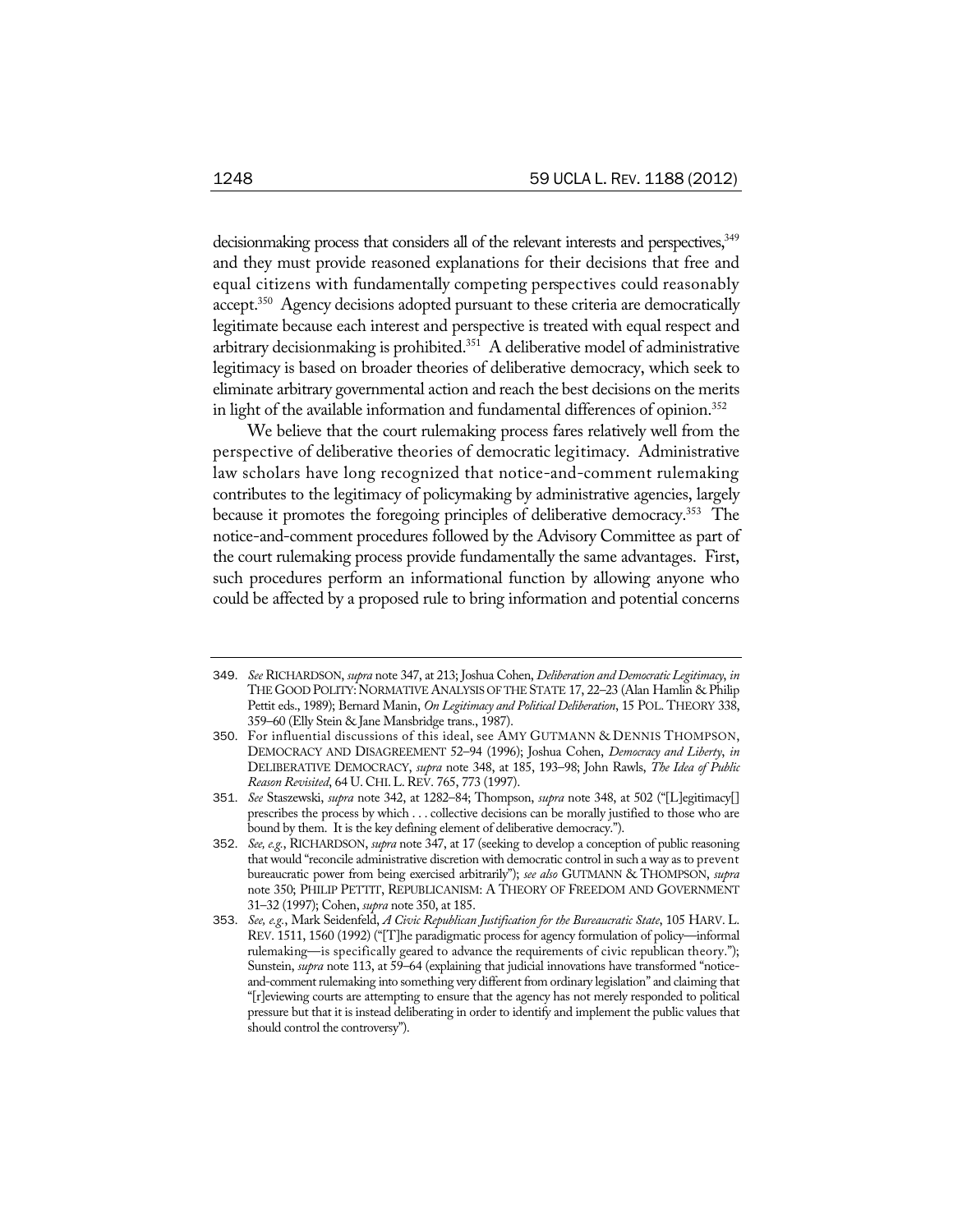decisionmaking process that considers all of the relevant interests and perspectives,<sup>349</sup> and they must provide reasoned explanations for their decisions that free and equal citizens with fundamentally competing perspectives could reasonably accept.<sup>350</sup> Agency decisions adopted pursuant to these criteria are democratically legitimate because each interest and perspective is treated with equal respect and arbitrary decisionmaking is prohibited.<sup>351</sup> A deliberative model of administrative legitimacy is based on broader theories of deliberative democracy, which seek to eliminate arbitrary governmental action and reach the best decisions on the merits in light of the available information and fundamental differences of opinion.<sup>352</sup>

We believe that the court rulemaking process fares relatively well from the perspective of deliberative theories of democratic legitimacy. Administrative law scholars have long recognized that notice-and-comment rulemaking contributes to the legitimacy of policymaking by administrative agencies, largely because it promotes the foregoing principles of deliberative democracy.<sup>353</sup> The notice-and-comment procedures followed by the Advisory Committee as part of the court rulemaking process provide fundamentally the same advantages. First, such procedures perform an informational function by allowing anyone who could be affected by a proposed rule to bring information and potential concerns

<sup>349</sup>. *See* RICHARDSON, *supra* note 347, at 213; Joshua Cohen, *Deliberation and Democratic Legitimacy*, *in* THE GOOD POLITY: NORMATIVE ANALYSIS OF THE STATE 17, 22-23 (Alan Hamlin & Philip Pettit eds., 1989); Bernard Manin, *On Legitimacy and Political Deliberation*, 15 POL. THEORY 338, 359–60 (Elly Stein & Jane Mansbridge trans., 1987).

<sup>350</sup>. For influential discussions of this ideal, see AMY GUTMANN & DENNIS THOMPSON, DEMOCRACY AND DISAGREEMENT 52–94 (1996); Joshua Cohen, *Democracy and Liberty*, *in* DELIBERATIVE DEMOCRACY, *supra* note 348, at 185, 193–98; John Rawls, *The Idea of Public Reason Revisited*, 64 U. CHI.L.REV. 765, 773 (1997).

<sup>351</sup>. *See* Staszewski, *supra* note 342, at 1282–84; Thompson, *supra* note 348, at 502 ("[L]egitimacy[] prescribes the process by which . . . collective decisions can be morally justified to those who are bound by them. It is the key defining element of deliberative democracy.").

<sup>352</sup>. *See, e.g.*, RICHARDSON, *supra* note 347, at 17 (seeking to develop a conception of public reasoning that would "reconcile administrative discretion with democratic control in such a way as to prevent bureaucratic power from being exercised arbitrarily"); *see also* GUTMANN & THOMPSON, *supra* note 350; PHILIP PETTIT, REPUBLICANISM: A THEORY OF FREEDOM AND GOVERNMENT 31–32 (1997); Cohen, *supra* note 350, at 185.

<sup>353</sup>. *See, e.g.*, Mark Seidenfeld, *A Civic Republican Justification for the Bureaucratic State*, 105 HARV. L. REV. 1511, 1560 (1992) ("[T]he paradigmatic process for agency formulation of policy—informal rulemaking—is specifically geared to advance the requirements of civic republican theory."); Sunstein, *supra* note 113, at 59–64 (explaining that judicial innovations have transformed "noticeand-comment rulemaking into something very different from ordinary legislation" and claiming that "[r]eviewing courts are attempting to ensure that the agency has not merely responded to political pressure but that it is instead deliberating in order to identify and implement the public values that should control the controversy").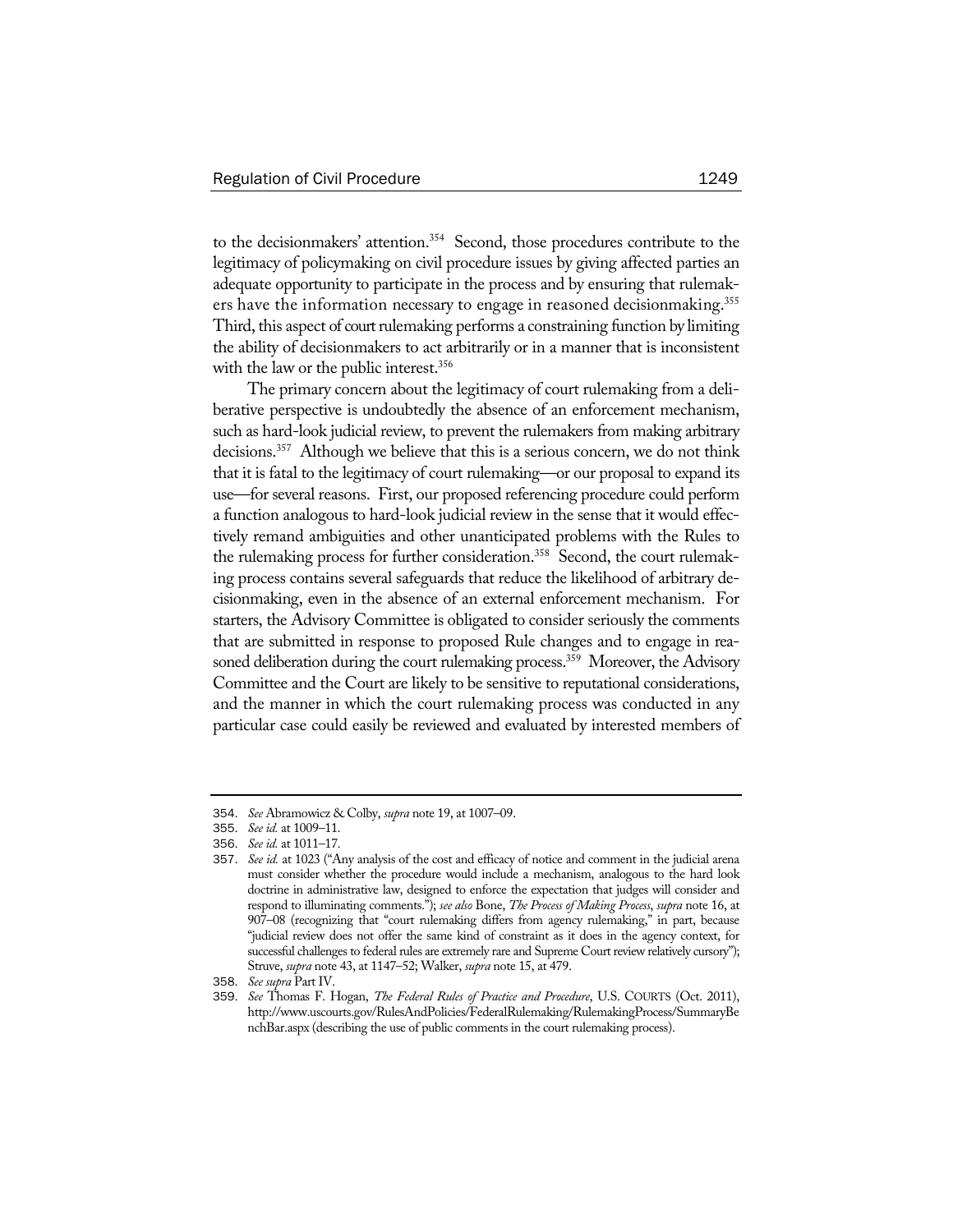to the decisionmakers' attention.<sup>354</sup> Second, those procedures contribute to the legitimacy of policymaking on civil procedure issues by giving affected parties an adequate opportunity to participate in the process and by ensuring that rulemakers have the information necessary to engage in reasoned decisionmaking.<sup>355</sup> Third, this aspect of court rulemaking performs a constraining function by limiting the ability of decisionmakers to act arbitrarily or in a manner that is inconsistent with the law or the public interest.<sup>356</sup>

The primary concern about the legitimacy of court rulemaking from a deliberative perspective is undoubtedly the absence of an enforcement mechanism, such as hard-look judicial review, to prevent the rulemakers from making arbitrary decisions.<sup>357</sup> Although we believe that this is a serious concern, we do not think that it is fatal to the legitimacy of court rulemaking—or our proposal to expand its use—for several reasons. First, our proposed referencing procedure could perform a function analogous to hard-look judicial review in the sense that it would effectively remand ambiguities and other unanticipated problems with the Rules to the rulemaking process for further consideration.<sup>358</sup> Second, the court rulemaking process contains several safeguards that reduce the likelihood of arbitrary decisionmaking, even in the absence of an external enforcement mechanism. For starters, the Advisory Committee is obligated to consider seriously the comments that are submitted in response to proposed Rule changes and to engage in reasoned deliberation during the court rulemaking process.<sup>359</sup> Moreover, the Advisory Committee and the Court are likely to be sensitive to reputational considerations, and the manner in which the court rulemaking process was conducted in any particular case could easily be reviewed and evaluated by interested members of

<sup>354</sup>. *See* Abramowicz & Colby, *supra* note 19, at 1007–09.

<sup>355</sup>. *See id.* at 1009–11.

<sup>356</sup>. *See id.* at 1011–17.

<sup>357</sup>. *See id.* at 1023 ("Any analysis of the cost and efficacy of notice and comment in the judicial arena must consider whether the procedure would include a mechanism, analogous to the hard look doctrine in administrative law, designed to enforce the expectation that judges will consider and respond to illuminating comments."); *see also* Bone, *The Process of Making Process*, *supra* note 16, at 907–08 (recognizing that "court rulemaking differs from agency rulemaking," in part, because "judicial review does not offer the same kind of constraint as it does in the agency context, for successful challenges to federal rules are extremely rare and Supreme Court review relatively cursory"); Struve, *supra* note 43, at 1147–52; Walker, *supra* note 15, at 479.

<sup>358</sup>. *See supra* Part IV.

<sup>359</sup>. *See* Thomas F. Hogan, *The Federal Rules of Practice and Procedure*, U.S. COURTS (Oct. 2011), http://www.uscourts.gov/RulesAndPolicies/FederalRulemaking/RulemakingProcess/SummaryBe nchBar.aspx (describing the use of public comments in the court rulemaking process).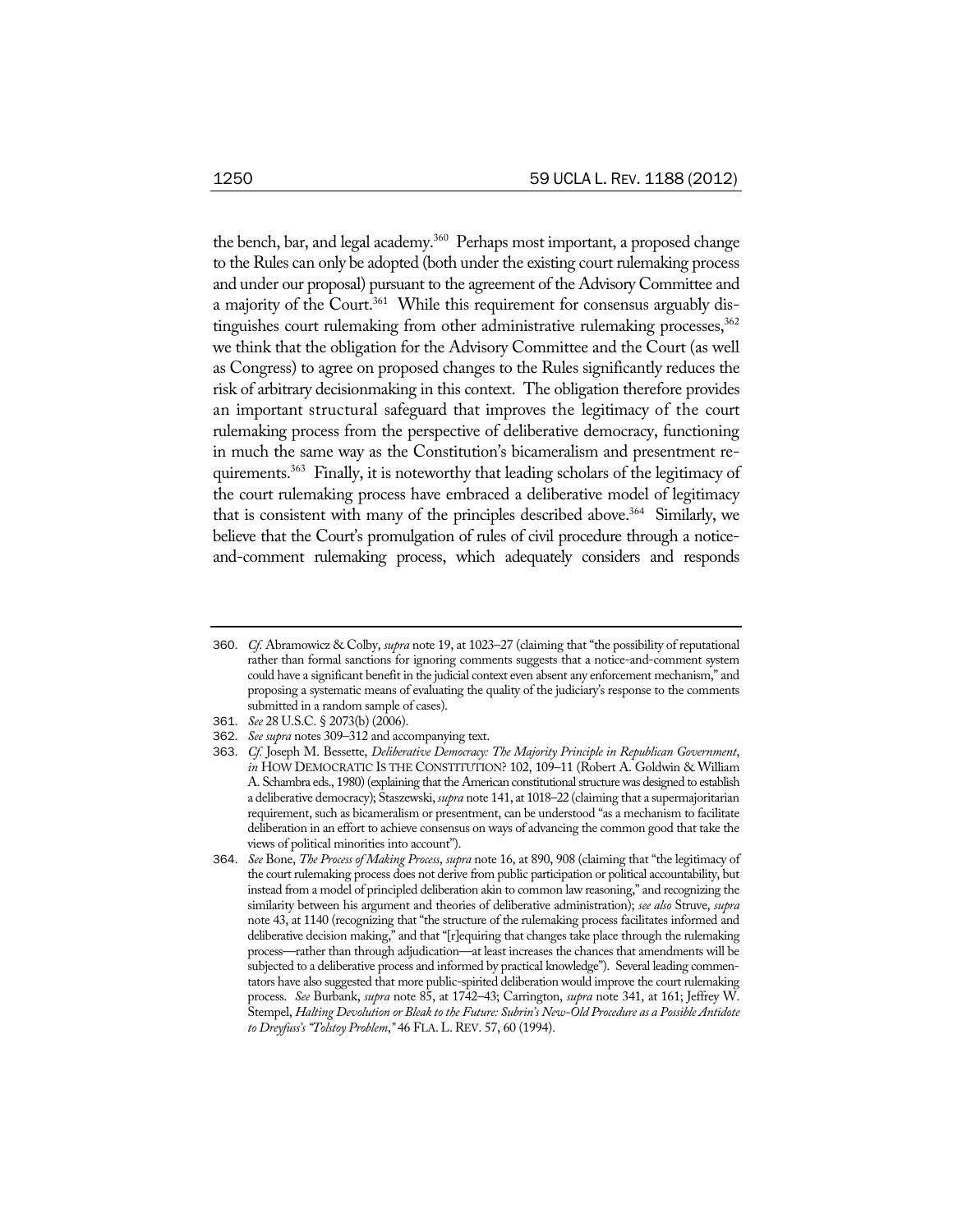the bench, bar, and legal academy.<sup>360</sup> Perhaps most important, a proposed change to the Rules can only be adopted (both under the existing court rulemaking process and under our proposal) pursuant to the agreement of the Advisory Committee and a majority of the Court.<sup>361</sup> While this requirement for consensus arguably distinguishes court rulemaking from other administrative rulemaking processes,  $362$ we think that the obligation for the Advisory Committee and the Court (as well as Congress) to agree on proposed changes to the Rules significantly reduces the risk of arbitrary decisionmaking in this context. The obligation therefore provides an important structural safeguard that improves the legitimacy of the court rulemaking process from the perspective of deliberative democracy, functioning in much the same way as the Constitution's bicameralism and presentment requirements.<sup>363</sup> Finally, it is noteworthy that leading scholars of the legitimacy of the court rulemaking process have embraced a deliberative model of legitimacy that is consistent with many of the principles described above.<sup>364</sup> Similarly, we believe that the Court's promulgation of rules of civil procedure through a noticeand-comment rulemaking process, which adequately considers and responds

<sup>360</sup>. *Cf.* Abramowicz & Colby, *supra* note 19, at 1023–27 (claiming that "the possibility of reputational rather than formal sanctions for ignoring comments suggests that a notice-and-comment system could have a significant benefit in the judicial context even absent any enforcement mechanism," and proposing a systematic means of evaluating the quality of the judiciary's response to the comments submitted in a random sample of cases).

<sup>361</sup>. *See* 28 U.S.C. § 2073(b) (2006).

<sup>362</sup>. *See supra* notes 309–312 and accompanying text.

<sup>363</sup>. *Cf.* Joseph M. Bessette, *Deliberative Democracy: The Majority Principle in Republican Government*, *in* HOW DEMOCRATIC IS THE CONSTITUTION? 102, 109–11 (Robert A. Goldwin & William A. Schambra eds., 1980) (explaining that the American constitutional structure was designed to establish a deliberative democracy); Staszewski, *supra* note 141, at 1018–22 (claiming that a supermajoritarian requirement, such as bicameralism or presentment, can be understood "as a mechanism to facilitate deliberation in an effort to achieve consensus on ways of advancing the common good that take the views of political minorities into account").

<sup>364</sup>. *See* Bone, *The Process of Making Process*, *supra* note 16, at 890, 908 (claiming that "the legitimacy of the court rulemaking process does not derive from public participation or political accountability, but instead from a model of principled deliberation akin to common law reasoning," and recognizing the similarity between his argument and theories of deliberative administration); *see also* Struve, *supra* note 43, at 1140 (recognizing that "the structure of the rulemaking process facilitates informed and deliberative decision making," and that "[r]equiring that changes take place through the rulemaking process—rather than through adjudication—at least increases the chances that amendments will be subjected to a deliberative process and informed by practical knowledge"). Several leading commentators have also suggested that more public-spirited deliberation would improve the court rulemaking process. *See* Burbank, *supra* note 85, at 1742–43; Carrington, *supra* note 341, at 161; Jeffrey W. Stempel, *Halting Devolution or Bleak to the Future: Subrin's New-Old Procedure as a Possible Antidote to Dreyfuss's "Tolstoy Problem*,*"* 46 FLA.L.REV. 57, 60 (1994).